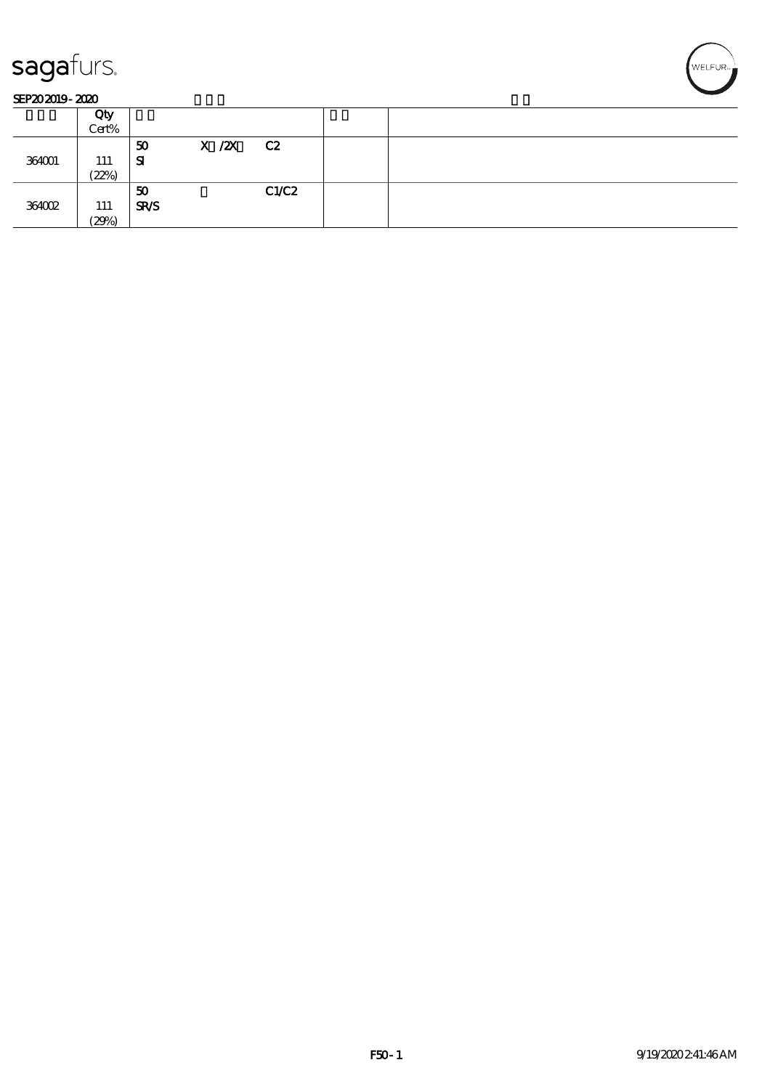

#### SEP202019-2020

|        | Qty   |             |               |       |  |
|--------|-------|-------------|---------------|-------|--|
|        | Cert% |             |               |       |  |
|        |       | 50          | $X / ZX$ $C2$ |       |  |
| 364001 | 111   | Я           |               |       |  |
|        | (22%) |             |               |       |  |
|        |       | 50          |               | C1/C2 |  |
| 364002 | 111   | <b>SR/S</b> |               |       |  |
|        | (29%) |             |               |       |  |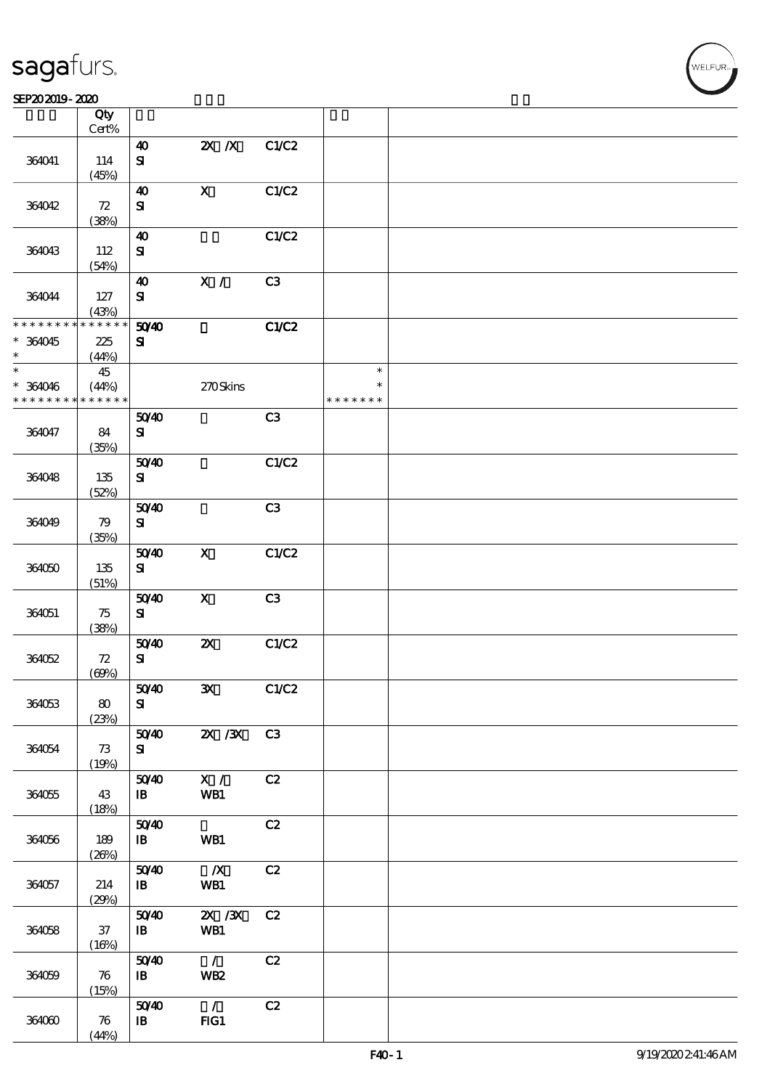$\overline{\mathsf{T}}$ 

#### $S$ EP202019 - 2020  $S$

|                             | Qty<br>Cert%                |                                    |                           |                |                         |  |
|-----------------------------|-----------------------------|------------------------------------|---------------------------|----------------|-------------------------|--|
|                             |                             |                                    |                           |                |                         |  |
| 364041                      | 114                         | $\boldsymbol{\omega}$<br>${\bf s}$ | $X$ $X$                   | C1/C2          |                         |  |
|                             | (45%)                       |                                    |                           |                |                         |  |
| 364042                      | $72\,$                      | $\boldsymbol{\omega}$<br>${\bf s}$ | $\mathbf X$               | C1/C2          |                         |  |
|                             | (38%)                       |                                    |                           |                |                         |  |
| 364043                      | 112                         | $\boldsymbol{\omega}$<br>${\bf s}$ |                           | C1/C2          |                         |  |
|                             | (54%)                       |                                    |                           |                |                         |  |
| 364044                      | 127                         | $\boldsymbol{\omega}$<br>${\bf s}$ | X /                       | C <sub>3</sub> |                         |  |
|                             | (43%)                       |                                    |                           |                |                         |  |
| * * * * * * * *             | * * * * * *                 | 5040                               |                           | C1/C2          |                         |  |
| * 364045                    | 225                         | ${\bf s}$                          |                           |                |                         |  |
| $\ast$                      | (44%)                       |                                    |                           |                |                         |  |
| $\ast$                      | 45                          |                                    |                           |                | $\ast$                  |  |
| * 364046<br>* * * * * * * * | (44%)<br>* * * * * *        |                                    | 270Skins                  |                | $\ast$<br>* * * * * * * |  |
|                             |                             | 5040                               |                           | C3             |                         |  |
| 364047                      | 84<br>(35%)                 | ${\bf s}$                          |                           |                |                         |  |
|                             |                             | 5040                               |                           | C1/C2          |                         |  |
| 364048                      | 135                         | ${\bf S}$                          |                           |                |                         |  |
|                             | (52%)                       |                                    |                           |                |                         |  |
| 364049                      | 79                          | 5040<br>${\bf s}$                  |                           | C3             |                         |  |
|                             | (35%)                       |                                    |                           |                |                         |  |
| 364050                      | 135<br>(51%)                | 5040<br>${\bf s}$                  | $\mathbf X$               | C1/C2          |                         |  |
|                             |                             | 5040                               | $\boldsymbol{\mathsf{X}}$ | C3             |                         |  |
| 364051                      | 75<br>(38%)                 | ${\bf s}$                          |                           |                |                         |  |
|                             |                             |                                    | $\boldsymbol{\mathsf{z}}$ | C1/C2          |                         |  |
| 364052                      | ${\bf Z}$                   | 5040<br>${\bf s}$                  |                           |                |                         |  |
|                             | (60%)                       |                                    |                           |                |                         |  |
| 364053                      | 80                          | 5040<br>${\bf s}$                  | $\mathbf{x}$              | C1/C2          |                         |  |
|                             | (23%)                       |                                    |                           |                |                         |  |
| 364054                      | 73                          | 5040<br>${\bf s}$                  | $X \, X$                  | C3             |                         |  |
|                             | (19%)                       | 5040                               | $\mathbf{X}$ /            | C2             |                         |  |
| 364055                      | 43<br>(18%)                 | $\mathbf{B}$                       | WB1                       |                |                         |  |
|                             |                             | 5040                               |                           | C2             |                         |  |
| 364056                      | 189<br>(20%)                | $\mathbf{B}$                       | WB1                       |                |                         |  |
|                             |                             | 5040                               | $\mathbf{X}$              | C2             |                         |  |
| 364057                      | 214<br>(29%)                | $\mathbf{B}$                       | WB1                       |                |                         |  |
|                             |                             | 5040                               | $ZX$ / $ZX$               | C2             |                         |  |
| 364058                      | $37\,$<br>(16%)             | $\mathbf{B}$                       | WB1                       |                |                         |  |
|                             |                             | 5040                               | $\mathcal{L}$             | C2             |                         |  |
| 364059                      | $\boldsymbol{\pi}$<br>(15%) | $\mathbf{B}$                       | WB <sub>2</sub>           |                |                         |  |
|                             |                             | 5040                               | $\mathcal{L}$             | C2             |                         |  |
| 364060                      | 76<br>(44%)                 | $\mathbf{B}$                       | FG1                       |                |                         |  |
|                             |                             |                                    |                           |                |                         |  |

 $\overline{\mathsf{T}}$ 

WELFUR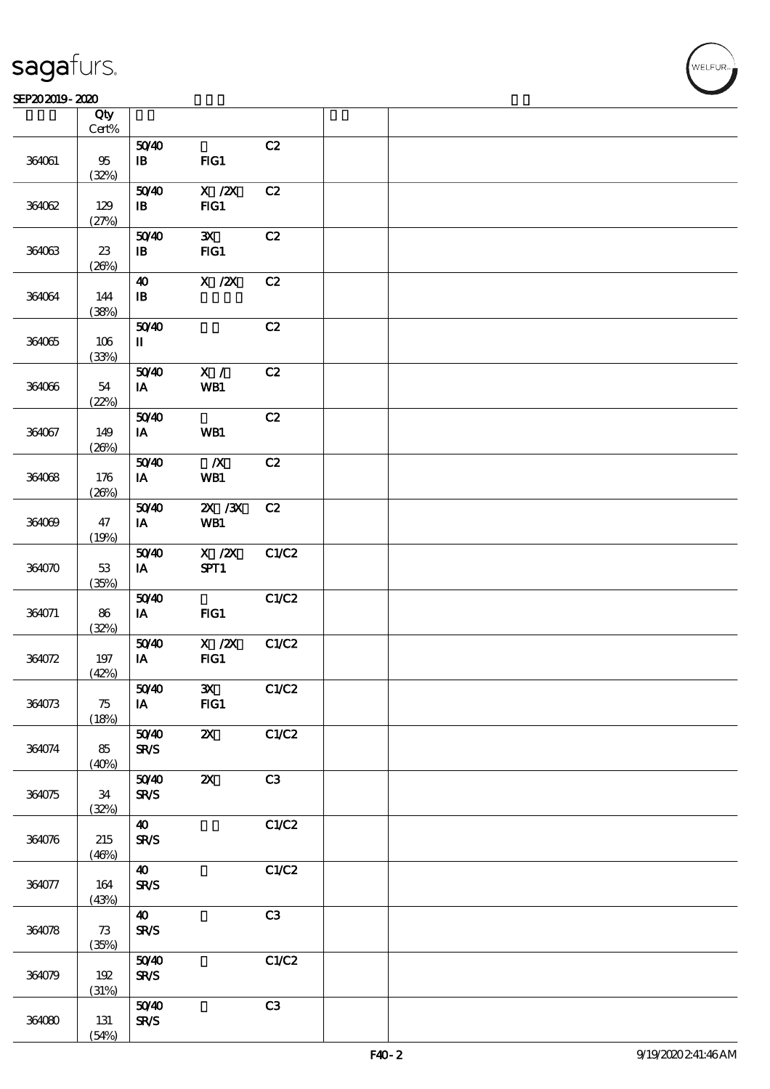### SEP202019-2020

|        | Qty<br>$Cert\%$  |                                       |                                                                                        |       |  |
|--------|------------------|---------------------------------------|----------------------------------------------------------------------------------------|-------|--|
|        |                  | 5040                                  |                                                                                        | C2    |  |
| 364061 | $95\,$<br>(32%)  | $\, {\bf I} \! {\bf B} \,$            | FG1                                                                                    |       |  |
| 364062 | 129              | 5040<br>$\, {\bf I} \! {\bf B} \,$    | $\boldsymbol{\mathrm{X}}$ / $\boldsymbol{\mathrm{Z}}\!\boldsymbol{\mathrm{X}}$<br>FIG1 | C2    |  |
|        | (27%)            |                                       |                                                                                        |       |  |
| 364063 | $23\,$<br>(20%)  | 5040<br>$\, {\bf I} \! {\bf B} \,$    | $\mathbf{x}$<br>FG1                                                                    | C2    |  |
|        |                  | $\boldsymbol{\Lambda}$                | $X$ / $ZX$                                                                             | C2    |  |
| 364064 | 144<br>(38%)     | $\, {\bf I} \! {\bf B} \,$            |                                                                                        |       |  |
|        |                  | 5040                                  |                                                                                        | C2    |  |
| 364065 | $106\,$<br>(33%) | $\rm I\hspace{-.1em}I\hspace{-.1em}I$ |                                                                                        |       |  |
|        |                  | 5040                                  | $\mathbf{X}$ /                                                                         | C2    |  |
| 364066 | 54<br>(22%)      | IA                                    | WB1                                                                                    |       |  |
|        |                  | 5040                                  |                                                                                        | C2    |  |
| 364067 | 149<br>(20%)     | $\,$ IA                               | WB1                                                                                    |       |  |
|        |                  | 5040                                  | $\boldsymbol{X}$                                                                       | C2    |  |
| 364068 | 176<br>(20%)     | IA                                    | WB1                                                                                    |       |  |
|        |                  | 5040                                  | $2X$ $/3X$                                                                             | C2    |  |
| 364069 | 47<br>(19%)      | IA                                    | WB1                                                                                    |       |  |
|        |                  | 5040                                  | $X$ / $ZX$                                                                             | C1/C2 |  |
| 364070 | $53\,$<br>(35%)  | $\mathbf{I}\mathbf{A}$                | SPT1                                                                                   |       |  |
|        |                  | 5040                                  |                                                                                        | C1/C2 |  |
| 364071 | 86<br>(32%)      | $\,$ IA                               | FG1                                                                                    |       |  |
|        |                  | 5040                                  | $X$ / $ZX$                                                                             | C1/C2 |  |
| 364072 | $197\,$<br>(42%) | $\,$ IA                               | FG1                                                                                    |       |  |
|        |                  | 5040                                  | $\mathbf{x}$                                                                           | C1/C2 |  |
| 364073 | 75<br>(18%)      | IA                                    | FIG1                                                                                   |       |  |
|        |                  | 5040                                  | $\boldsymbol{\alpha}$                                                                  | C1/C2 |  |
| 364074 | 85<br>(40%)      | <b>SR/S</b>                           |                                                                                        |       |  |
| 364075 | $34\,$           | 5040<br><b>SR/S</b>                   | $\boldsymbol{\mathsf{z}}$                                                              | C3    |  |
|        | (32%)            |                                       |                                                                                        |       |  |
| 364076 | 215              | $\boldsymbol{\omega}$<br><b>SR/S</b>  |                                                                                        | C1/C2 |  |
|        | (46%)            |                                       |                                                                                        |       |  |
|        |                  | $\boldsymbol{\omega}$                 |                                                                                        | C1/C2 |  |
| 364077 | 164<br>(43%)     | <b>SR/S</b>                           |                                                                                        |       |  |
| 364078 | 73               | $\boldsymbol{\omega}$<br><b>SR/S</b>  |                                                                                        | C3    |  |
|        | (35%)            |                                       |                                                                                        |       |  |
|        |                  | 5040                                  |                                                                                        | C1/C2 |  |
| 364079 | 192<br>(31%)     | <b>SR/S</b>                           |                                                                                        |       |  |
|        |                  | 5040                                  |                                                                                        | C3    |  |
| 364080 | 131<br>(54%)     | <b>SR/S</b>                           |                                                                                        |       |  |

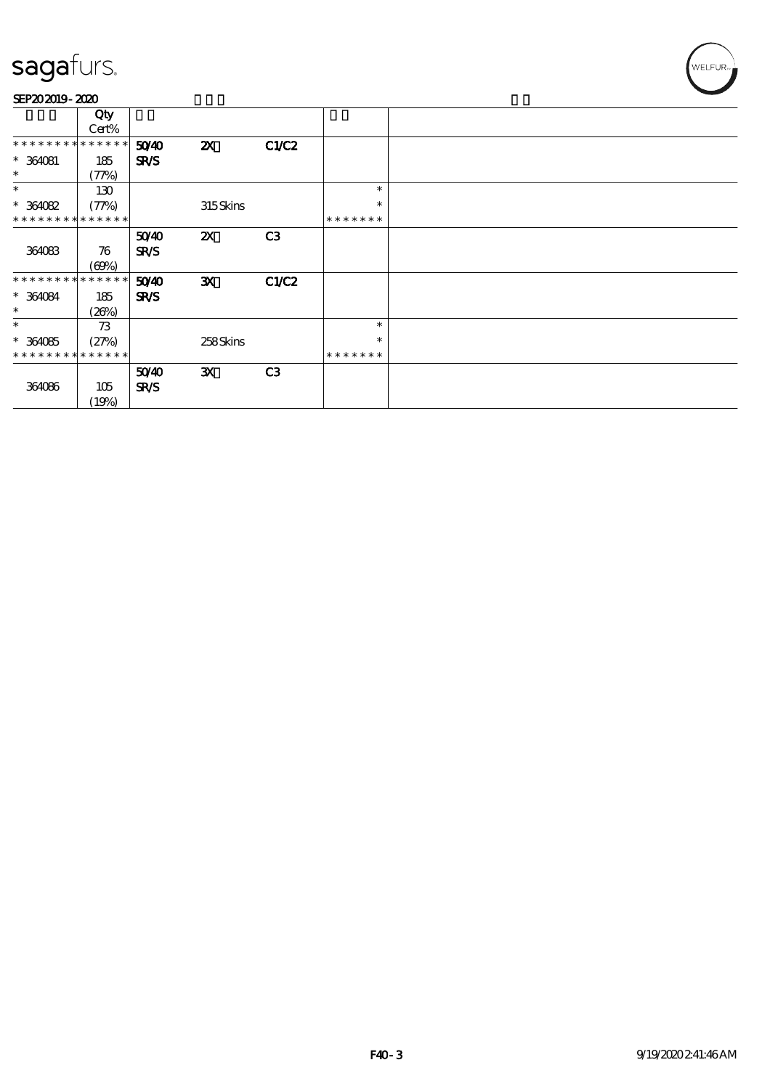| SEP202019-2020 |  |
|----------------|--|
|----------------|--|

|                             | Qty<br>Cert% |             |                           |                |               |  |
|-----------------------------|--------------|-------------|---------------------------|----------------|---------------|--|
| **************              |              | 5040        | $\boldsymbol{\mathsf{z}}$ | C1/C2          |               |  |
| $*$ 364081                  | 185          | <b>SR/S</b> |                           |                |               |  |
| $\ast$                      | (77%)        |             |                           |                |               |  |
| $\ast$                      | 130          |             |                           |                | $\ast$        |  |
| $*364082$                   | (77%)        |             | 315Skins                  |                | $\ast$        |  |
| * * * * * * * * * * * * * * |              |             |                           |                | * * * * * * * |  |
|                             |              | 5040        | $\boldsymbol{\alpha}$     | C <sub>3</sub> |               |  |
| 364083                      | 76           | <b>SR/S</b> |                           |                |               |  |
|                             | (60%)        |             |                           |                |               |  |
| * * * * * * * * *           | * * * * * *  | 5040        | $\mathbf{x}$              | C1/C2          |               |  |
| $*364084$                   | 185          | <b>SR/S</b> |                           |                |               |  |
| $\ast$                      | (20%)        |             |                           |                |               |  |
| $\ast$                      | 73           |             |                           |                | $\ast$        |  |
| $*364085$                   | (27%)        |             | 258Skins                  |                | $\ast$        |  |
| * * * * * * * * * * * * * * |              |             |                           |                | * * * * * * * |  |
|                             |              | 5040        | $\mathbf{x}$              | C <sub>3</sub> |               |  |
| 364086                      | 105          | <b>SR/S</b> |                           |                |               |  |
|                             | (19%)        |             |                           |                |               |  |

WELFUR-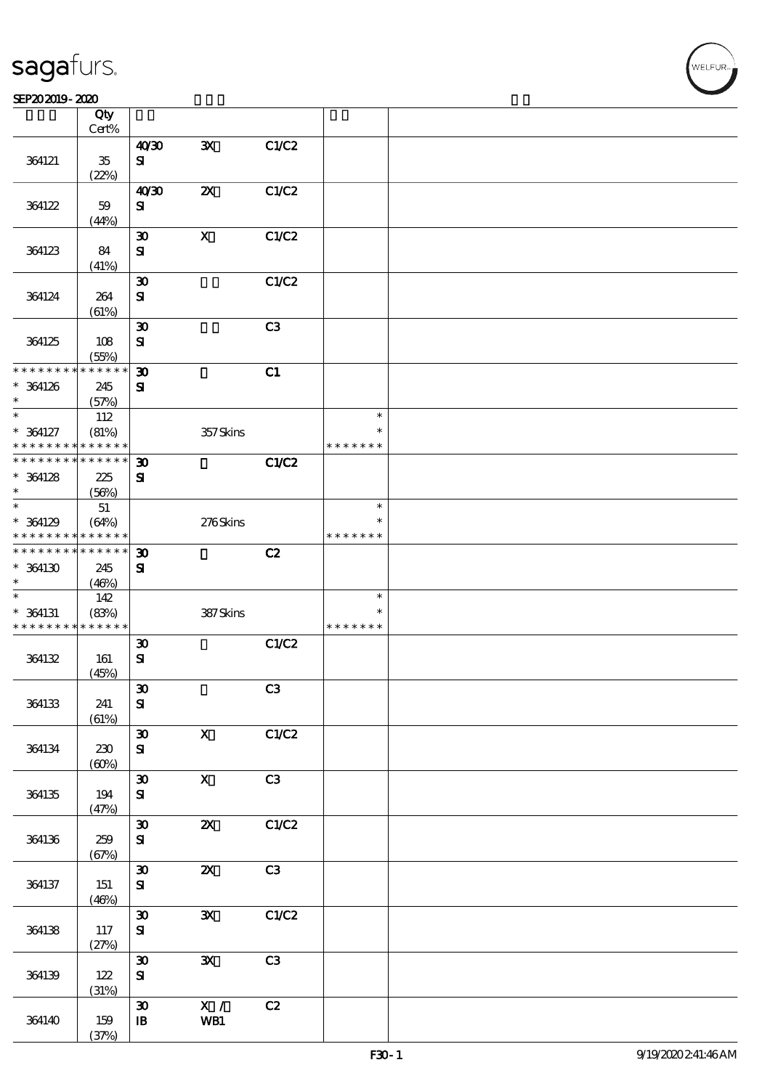### SEP202019-2020

|                                    | Qty<br>Cert%                              |                                   |                           |                |                         |  |
|------------------------------------|-------------------------------------------|-----------------------------------|---------------------------|----------------|-------------------------|--|
|                                    |                                           | 40'30                             | ${\bf x}$                 | C1/C2          |                         |  |
| 364121                             | $35\,$<br>(22%)                           | ${\bf s}$                         |                           |                |                         |  |
|                                    |                                           | 40'30                             | $\boldsymbol{\mathsf{z}}$ | C1/C2          |                         |  |
| 364122                             | 59                                        | ${\bf s}$                         |                           |                |                         |  |
|                                    | (44%)                                     |                                   |                           |                |                         |  |
|                                    |                                           | $\boldsymbol{\mathfrak{D}}$       | $\boldsymbol{\mathrm{X}}$ | C1/C2          |                         |  |
| 364123                             | 84                                        | ${\bf s}$                         |                           |                |                         |  |
|                                    | (41%)                                     |                                   |                           |                |                         |  |
|                                    |                                           | $\boldsymbol{\mathfrak{D}}$       |                           | C1/C2          |                         |  |
| 364124                             | 264                                       | $\mathbf{S}$                      |                           |                |                         |  |
|                                    | (61%)                                     | $\boldsymbol{\mathfrak{D}}$       |                           | C <sub>3</sub> |                         |  |
| 364125                             | 108                                       | ${\bf S}$                         |                           |                |                         |  |
|                                    | (55%)                                     |                                   |                           |                |                         |  |
| * * * * * * * *                    | * * * * *                                 | $\boldsymbol{\mathfrak{D}}$       |                           | C1             |                         |  |
| * 364126                           | 245                                       | ${\bf s}$                         |                           |                |                         |  |
| $\ast$                             | (57%)                                     |                                   |                           |                |                         |  |
| $\ast$                             | 112                                       |                                   |                           |                | $\ast$                  |  |
| $* 364127$                         | (81%)                                     |                                   | 357Skins                  |                | $\ast$                  |  |
| * * * * * * * *<br>* * * * * * * * | * * * * * *<br>$\ast\ast\ast\ast\ast\ast$ |                                   |                           |                | * * * * * * *           |  |
|                                    |                                           | $\boldsymbol{\mathfrak{D}}$       |                           | C1/C2          |                         |  |
| $*$ 364128<br>$\ast$               | 225<br>(56%)                              | ${\bf s}$                         |                           |                |                         |  |
| $\ast$                             | $5\!1$                                    |                                   |                           |                | $\ast$                  |  |
| $*$ 364129                         | (64%)                                     |                                   | 276Skins                  |                | $\ast$                  |  |
| * * * * * * * *                    | * * * * * *                               |                                   |                           |                | * * * * * * *           |  |
| * * * * * * * *                    | * * * * * *                               | $\boldsymbol{\mathfrak{D}}$       |                           | C2             |                         |  |
| $*$ 364130                         | 245                                       | ${\bf s}$                         |                           |                |                         |  |
| $\ast$                             | (46%)                                     |                                   |                           |                |                         |  |
| $\ast$                             | 142                                       |                                   |                           |                | $\ast$                  |  |
| $*$ 364131<br>* * * * * * * *      | (83%)<br>* * * * * *                      |                                   | 387Skins                  |                | $\ast$<br>* * * * * * * |  |
|                                    |                                           | $\boldsymbol{\mathfrak{D}}$       |                           | C1/C2          |                         |  |
| 364132                             | 161                                       | ${\bf s}$                         |                           |                |                         |  |
|                                    | (45%)                                     |                                   |                           |                |                         |  |
|                                    |                                           | $\boldsymbol{\mathfrak{D}}$       |                           | C3             |                         |  |
| 364133                             | 241                                       | ${\bf s}$                         |                           |                |                         |  |
|                                    | (61%)                                     |                                   |                           |                |                         |  |
|                                    |                                           | $\boldsymbol{\mathfrak{D}}$       | $\boldsymbol{\mathrm{X}}$ | C1/C2          |                         |  |
| 364134                             | 230                                       | ${\bf S\!I}$                      |                           |                |                         |  |
|                                    | (60%)                                     |                                   |                           |                |                         |  |
| 364135                             |                                           | $\pmb{\mathfrak{D}}$<br>${\bf S}$ | $\mathbf X$               | C3             |                         |  |
|                                    | 194<br>(47%)                              |                                   |                           |                |                         |  |
|                                    |                                           | $\pmb{\mathfrak{D}}$              | $\boldsymbol{\mathsf{z}}$ | C1/C2          |                         |  |
| 364136                             | 259                                       | ${\bf S}$                         |                           |                |                         |  |
|                                    | (67%)                                     |                                   |                           |                |                         |  |
|                                    |                                           | $\boldsymbol{\mathfrak{D}}$       | $\boldsymbol{\mathsf{X}}$ | C3             |                         |  |
| 364137                             | 151                                       | ${\bf S\!I}$                      |                           |                |                         |  |
|                                    | (46%)                                     |                                   |                           |                |                         |  |
|                                    |                                           | $\pmb{\mathfrak{D}}$              | $\mathbf{x}$              | C1/C2          |                         |  |
| 364138                             | 117<br>(27%)                              | ${\bf s}$                         |                           |                |                         |  |
|                                    |                                           | $\pmb{\mathfrak{D}}$              | $\mathbf{x}$              | C3             |                         |  |
| 364139                             | 122                                       | ${\bf s}$                         |                           |                |                         |  |
|                                    | (31%)                                     |                                   |                           |                |                         |  |
|                                    |                                           | $\pmb{\mathfrak{D}}$              | $\overline{\mathbf{x}}$ / | C2             |                         |  |
| 364140                             | 159                                       | ${\bf I\!B}$                      | WB1                       |                |                         |  |
|                                    | (37%)                                     |                                   |                           |                |                         |  |

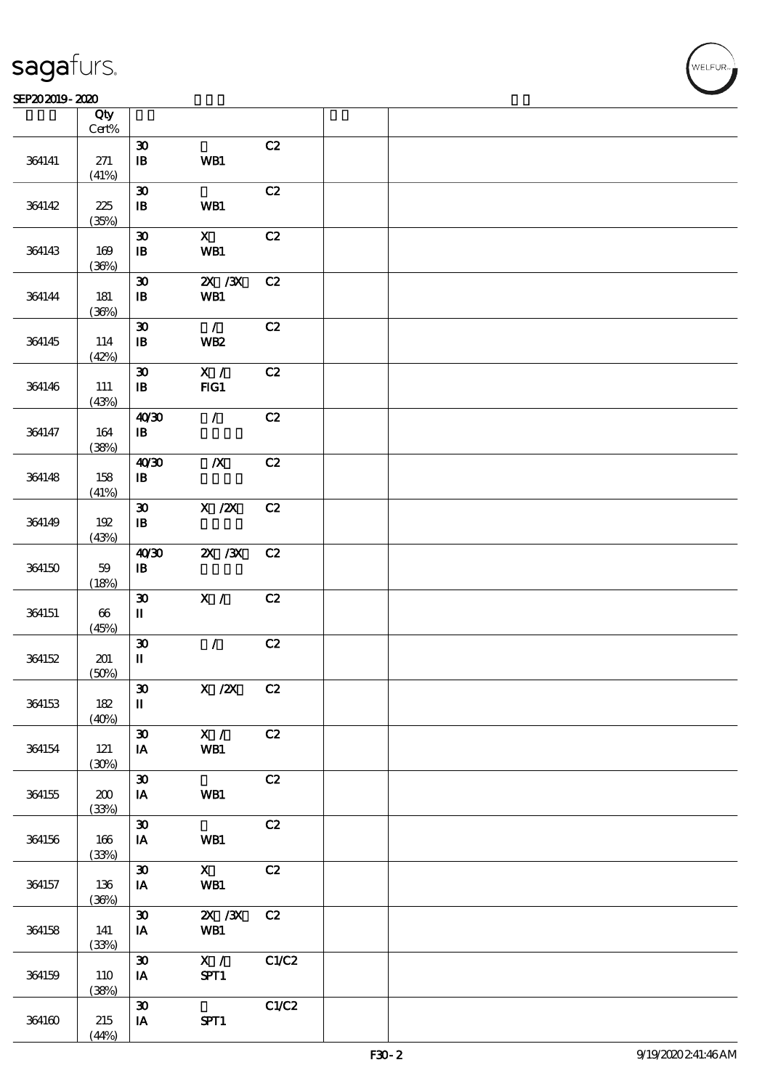┱

#### $S$ EP202019 - 2020  $S$

|        | Qty<br>$\mbox{Cert}\%$   |                                                               |                                                     |       |  |
|--------|--------------------------|---------------------------------------------------------------|-----------------------------------------------------|-------|--|
| 364141 | 271<br>(41%)             | $\pmb{\mathfrak{D}}$<br>$\, {\bf I} \! {\bf B} \,$            | WB1                                                 | C2    |  |
| 364142 | 225<br>(35%)             | $\pmb{\mathfrak{D}}$<br>$\, {\bf I} \! {\bf B} \,$            | WB1                                                 | C2    |  |
| 364143 | 169<br>(36%)             | $\boldsymbol{\mathfrak{D}}$<br>$\, {\bf I} \! {\bf B} \,$     | $\mathbf X$<br>WB1                                  | C2    |  |
| 364144 | 181<br>(36%)             | $\pmb{\mathfrak{D}}$<br>$\, {\bf I} \! {\bf B} \,$            | $ZX$ $ZX$<br>WB1                                    | C2    |  |
| 364145 | 114<br>(42%)             | $\boldsymbol{\mathfrak{D}}$<br>$\, {\bf I} \! {\bf B} \,$     | $\mathcal{L}$<br><b>WB2</b>                         | C2    |  |
| 364146 | 111<br>(43%)             | $\boldsymbol{\mathfrak{D}}$<br>$\, {\bf I} \! {\bf B} \,$     | X /<br>FG1                                          | C2    |  |
| 364147 | 164<br>(38%)             | 40'30<br>$\, {\bf I} \! {\bf B} \,$                           | $\mathcal{L}$                                       | C2    |  |
| 364148 | 158<br>(41%)             | 40'30<br>$\, {\bf I} \! {\bf B} \,$                           | $\boldsymbol{X}$                                    | C2    |  |
| 364149 | 192<br>(43%)             | $\boldsymbol{\mathfrak{D}}$<br>${\bf I\!B}$                   | $\boldsymbol{X}$ / $\boldsymbol{Z}\!\boldsymbol{X}$ | C2    |  |
| 364150 | $5\hskip-2pt 9$<br>(18%) | 40'30<br>$\, {\bf I} \! {\bf B} \,$                           | $X \, X$                                            | C2    |  |
| 364151 | $66\,$<br>(45%)          | $\pmb{\mathfrak{D}}$<br>$\mathbf I$                           | X /                                                 | C2    |  |
| 364152 | 201<br>(50%)             | $\boldsymbol{\mathfrak{D}}$<br>$\mathbf{I}\mathbf{I}$         | $\mathcal{L}$                                       | C2    |  |
| 364153 | 182<br>(40%)             | $\pmb{\mathfrak{D}}$<br>$\rm I\hspace{-.1em}I\hspace{-.1em}I$ | $X / ZX$ $C2$                                       |       |  |
| 364154 | 121<br>(30%)             | $\boldsymbol{\mathfrak{D}}$<br>IA                             | X /<br>WB1                                          | C2    |  |
| 364155 | 200<br>(33%)             | $\pmb{\mathfrak{D}}$<br>IA                                    | WB1                                                 | C2    |  |
| 364156 | 166<br>(33%)             | $\pmb{\mathfrak{D}}$<br>IA                                    | WB1                                                 | C2    |  |
| 364157 | 136<br>(36%)             | $\boldsymbol{\mathfrak{D}}$<br>IA                             | $\mathbf{x}$<br>WB1                                 | C2    |  |
| 364158 | 141<br>(33%)             | $\boldsymbol{\mathfrak{D}}$<br>IA                             | $X \, X$<br>WB1                                     | C2    |  |
| 364159 | 110<br>(38%)             | $\boldsymbol{\mathfrak{D}}$<br>IA                             | $\mathbf{X}$ /<br>SPT1                              | C1/C2 |  |
| 364160 | 215<br>(44%)             | $\boldsymbol{\mathfrak{D}}$<br>IA                             | SPT1                                                | C1/C2 |  |

 $\overline{\mathsf{T}}$ 

WELFUR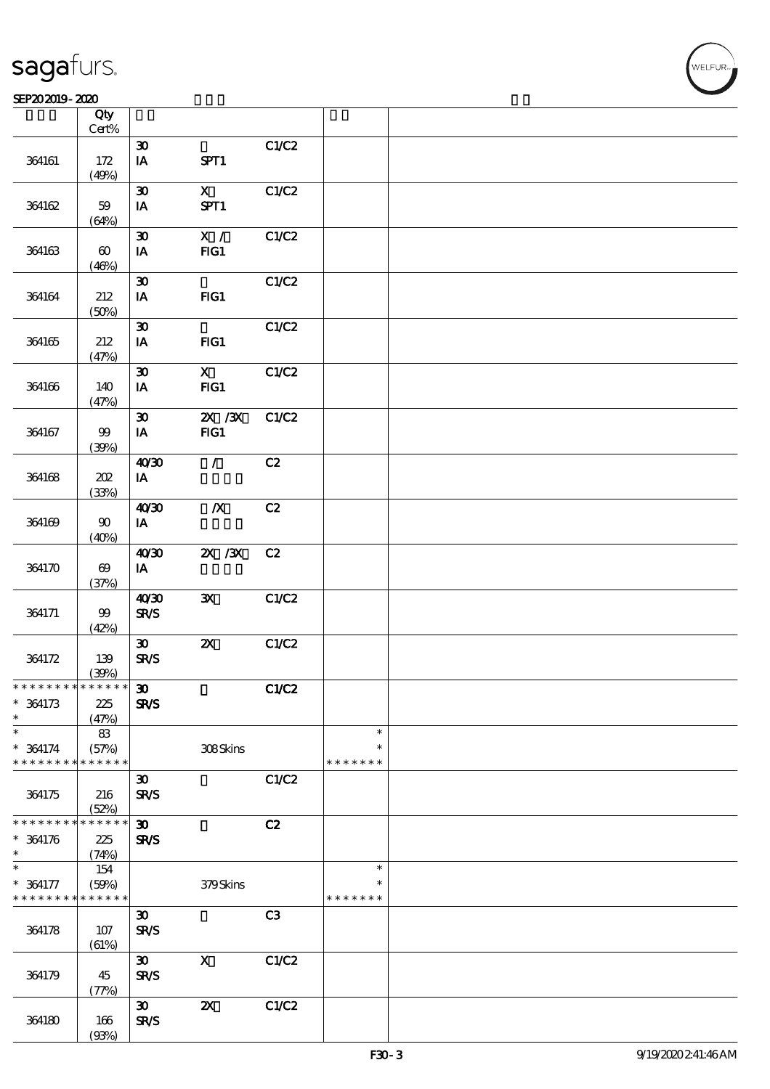$\overline{\mathsf{T}}$ 

#### SEP202019-2020  $\overline{\Omega}$

|                               | Qty<br>$\mbox{Cert}\%$         |                             |                                    |       |                    |  |
|-------------------------------|--------------------------------|-----------------------------|------------------------------------|-------|--------------------|--|
|                               |                                | $\boldsymbol{\mathfrak{D}}$ |                                    | C1/C2 |                    |  |
| 364161                        | 172<br>(49%)                   | IA                          | SPT1                               |       |                    |  |
|                               |                                | $\boldsymbol{\mathfrak{D}}$ | $\mathbf{X}$                       | C1/C2 |                    |  |
| 364162                        | 59<br>(64%)                    | $I$ A                       | SPT1                               |       |                    |  |
|                               |                                | $\boldsymbol{\mathfrak{D}}$ | $\mathbf{X}$ /                     |       |                    |  |
| 364163                        | $\boldsymbol{\omega}$<br>(46%) | IA                          | FG1                                | C1/C2 |                    |  |
|                               |                                | $\boldsymbol{\mathfrak{D}}$ |                                    | C1/C2 |                    |  |
| 364164                        | 212<br>(50%)                   | IA                          | FG1                                |       |                    |  |
|                               |                                | $\boldsymbol{\mathfrak{D}}$ |                                    | C1/C2 |                    |  |
| 364165                        | 212<br>(47%)                   | $I$ A                       | HG1                                |       |                    |  |
|                               |                                | $\boldsymbol{\mathfrak{D}}$ | $\mathbf{x}$                       | C1/C2 |                    |  |
| 364166                        | 140<br>(47%)                   | $\mathbf{I}\mathbf{A}$      | FG1                                |       |                    |  |
|                               |                                | $\boldsymbol{\mathfrak{D}}$ | $ZX$ / $ZX$                        | C1/C2 |                    |  |
| 364167                        | $99$<br>(39%)                  | IA                          | FG1                                |       |                    |  |
|                               |                                | 4030                        | $\mathcal{L}$                      | C2    |                    |  |
| 364168                        | 202<br>(33%)                   | $I$ A                       |                                    |       |                    |  |
|                               |                                | 40'30                       | $\boldsymbol{X}$                   | C2    |                    |  |
| 364169                        | $90\,$<br>(40%)                | $I$ A                       |                                    |       |                    |  |
|                               |                                | 40'30                       | $ZX$ / $ZX$                        | C2    |                    |  |
| 364170                        | $\boldsymbol{\Theta}$<br>(37%) | IA                          |                                    |       |                    |  |
|                               |                                | 40'30                       | $\mathbf{x}$                       | C1/C2 |                    |  |
| 364171                        | $99$<br>(42%)                  | $S\!R\!S$                   |                                    |       |                    |  |
|                               |                                | $\boldsymbol{\mathfrak{D}}$ | $\pmb{\mathsf{Z}}\pmb{\mathsf{X}}$ | C1/C2 |                    |  |
| 364172                        | 139<br>(30%)                   | <b>SR/S</b>                 |                                    |       |                    |  |
| * * * * * * * * * * * * * * * |                                | $\boldsymbol{\mathfrak{D}}$ |                                    | C1/C2 |                    |  |
| $* 364173$                    | 225                            | <b>SR/S</b>                 |                                    |       |                    |  |
| $\ast$<br>$\ast$              | (47%)<br>83                    |                             |                                    |       | $\ast$             |  |
| $* 364174$                    | (57%)                          |                             | 308Skins                           |       | $\ast$             |  |
| * * * * * * * *               | * * * * * *                    |                             |                                    |       | * * * * * * *      |  |
|                               |                                | $\boldsymbol{\mathfrak{D}}$ |                                    | C1/C2 |                    |  |
| 364175                        | 216<br>(52%)                   | <b>SR/S</b>                 |                                    |       |                    |  |
| * * * * * * *                 | * * * * * *                    | $\boldsymbol{\mathfrak{D}}$ |                                    | C2    |                    |  |
| $* 364176$                    | 225                            | <b>SR/S</b>                 |                                    |       |                    |  |
| $\ast$                        |                                |                             |                                    |       |                    |  |
| $\ast$                        | (74%)                          |                             |                                    |       | $\ast$             |  |
|                               | 154                            |                             |                                    |       |                    |  |
| $* 364177$<br>* * * * * * * * | (50%)<br>* * * * * *           |                             | 379Skins                           |       | *<br>* * * * * * * |  |
|                               |                                | $\boldsymbol{\mathfrak{D}}$ |                                    | C3    |                    |  |
| 364178                        | 107<br>(61%)                   | <b>SR/S</b>                 |                                    |       |                    |  |
|                               |                                | $\boldsymbol{\mathfrak{D}}$ | $\mathbf X$                        | C1/C2 |                    |  |
| 364179                        | 45<br>(77%)                    | <b>SR/S</b>                 |                                    |       |                    |  |
|                               |                                | $\boldsymbol{\mathfrak{D}}$ | $\boldsymbol{\mathsf{z}}$          | C1/C2 |                    |  |
| 364180                        | 166                            | SR/S                        |                                    |       |                    |  |
|                               | (93%)                          |                             |                                    |       |                    |  |

 $\overline{\mathsf{T}}$ 

WELFUR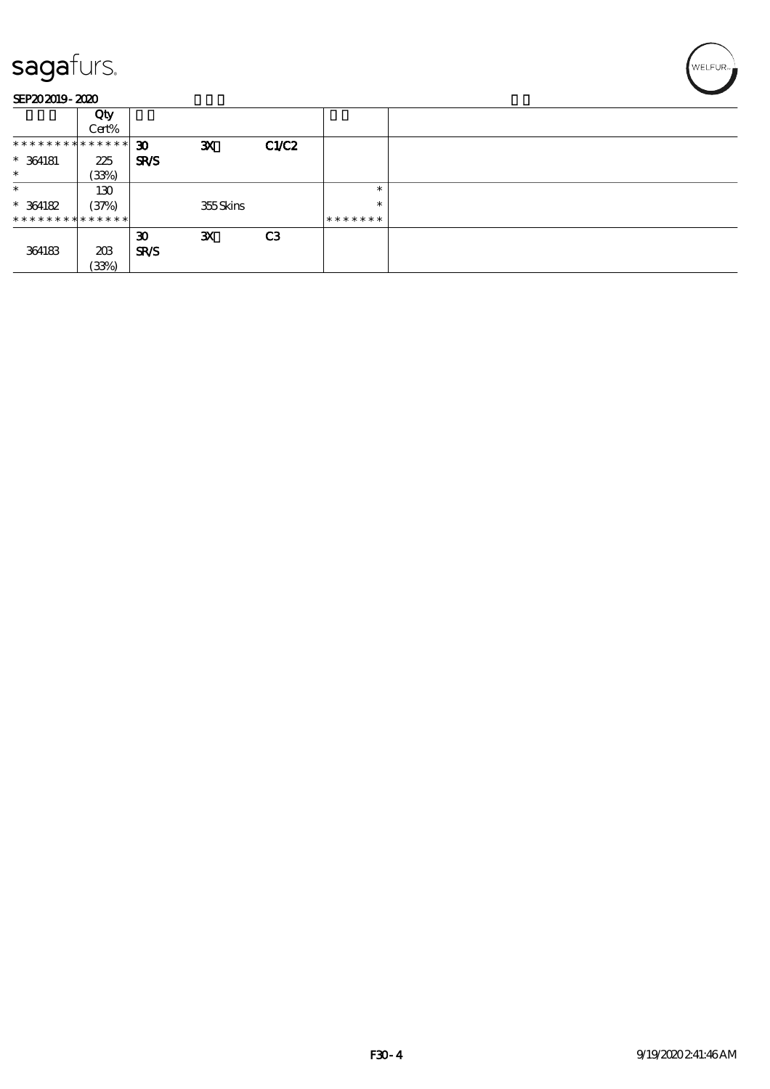|                               | Qty   |                             |              |                |         |  |
|-------------------------------|-------|-----------------------------|--------------|----------------|---------|--|
|                               | Cert% |                             |              |                |         |  |
| * * * * * * * * * * * * * * * |       | $\boldsymbol{\mathfrak{D}}$ | $\mathbf{x}$ | CLC2           |         |  |
| $*$ 364181                    | 225   | SR/S                        |              |                |         |  |
| $\ast$                        | (33%) |                             |              |                |         |  |
| $\ast$                        | 130   |                             |              |                | $\ast$  |  |
| $*$ 364182                    | (37%) |                             | 355Skins     |                | $\ast$  |  |
| * * * * * * * * * * * * * * * |       |                             |              |                | ******* |  |
|                               |       | $\boldsymbol{\mathfrak{D}}$ | $\mathbf{x}$ | C <sub>3</sub> |         |  |
| 364183                        | 203   | SR/S                        |              |                |         |  |
|                               | (33%) |                             |              |                |         |  |

'<br>WELFUR<sub>™</sub>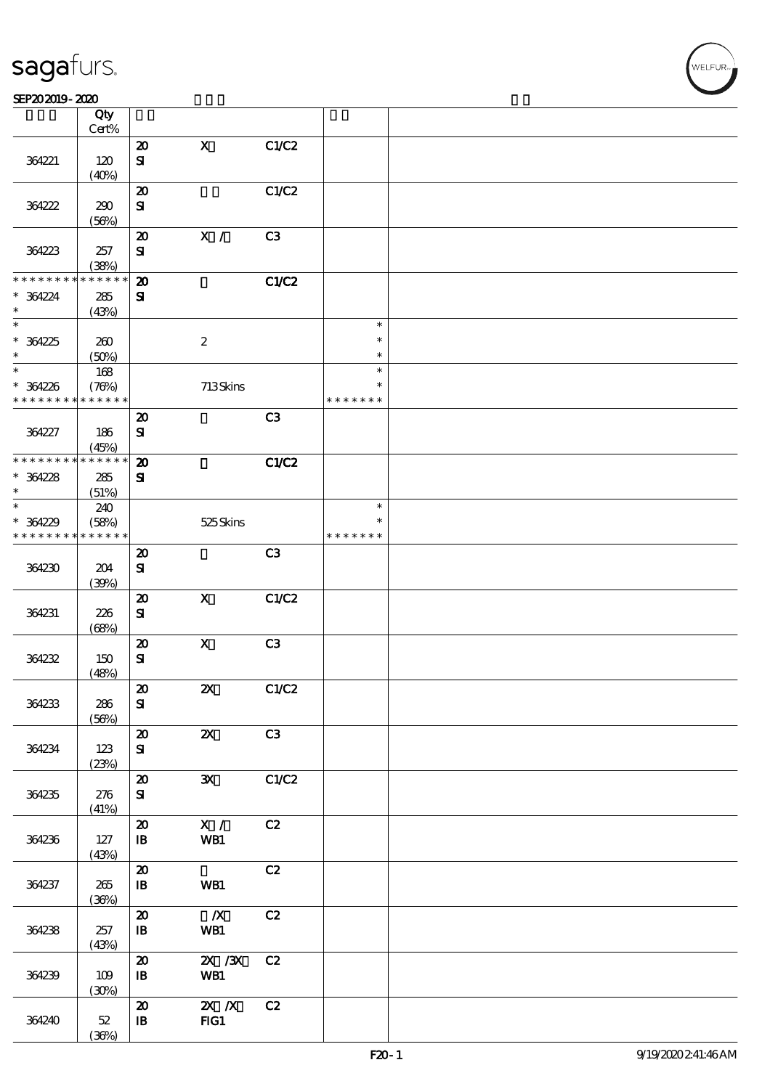$\top$ 

#### $S$ EP202019 - 2020  $S$

|                 | Qty<br>Cert%         |                             |                           |                |               |  |
|-----------------|----------------------|-----------------------------|---------------------------|----------------|---------------|--|
|                 |                      |                             | $\mathbf X$               | C1/C2          |               |  |
|                 |                      | $\boldsymbol{\mathbf{z}}$   |                           |                |               |  |
| 364221          | 120                  | $\mathbf{S}$                |                           |                |               |  |
|                 | (40%)                |                             |                           |                |               |  |
|                 |                      | $\boldsymbol{\mathfrak{D}}$ |                           | C1/C2          |               |  |
| 364222          | 290                  | ${\bf S}$                   |                           |                |               |  |
|                 | (56%)                |                             |                           |                |               |  |
|                 |                      | $\boldsymbol{\mathfrak{D}}$ | $\mathbf{X}$ /            | C <sub>3</sub> |               |  |
| 364223          |                      |                             |                           |                |               |  |
|                 | 257                  | ${\bf s}$                   |                           |                |               |  |
|                 | (38%)                |                             |                           |                |               |  |
| * * * * * * * * | * * * * * *          | $\boldsymbol{\mathbf{z}}$   |                           | C1/C2          |               |  |
| $* 364224$      | $285\,$              | ${\bf s}$                   |                           |                |               |  |
| $\ast$          | (43%)                |                             |                           |                |               |  |
| $\ast$          |                      |                             |                           |                | $\ast$        |  |
| $*364225$       | 260                  |                             | $\boldsymbol{2}$          |                | $\ast$        |  |
| $\ast$          | (50%)                |                             |                           |                | $\ast$        |  |
| $\ast$          | $168$                |                             |                           |                | $\ast$        |  |
|                 |                      |                             |                           |                | $\ast$        |  |
| $* 364226$      | (78%)<br>* * * * * * |                             | 713Skins                  |                | * * * * * * * |  |
| * * * * * * * * |                      |                             |                           |                |               |  |
|                 |                      | $\boldsymbol{\mathsf{20}}$  |                           | C3             |               |  |
| 364227          | 186                  | $\mathbf{S}$                |                           |                |               |  |
|                 | (45%)                |                             |                           |                |               |  |
| * * * * * * * * | * * * * * *          | $\boldsymbol{\mathsf{20}}$  |                           | C1/C2          |               |  |
| $* 364228$      | 285                  | ${\bf s}$                   |                           |                |               |  |
| $\ast$          | (51%)                |                             |                           |                |               |  |
| $\ast$          | 240                  |                             |                           |                | $\ast$        |  |
|                 |                      |                             |                           |                | *             |  |
| $* 364229$      | (58%)                |                             | 525 Skins                 |                |               |  |
| * * * * * * * * | * * * * * *          |                             |                           |                | * * * * * * * |  |
|                 |                      | $\boldsymbol{\mathfrak{D}}$ |                           | C3             |               |  |
| 364230          | 204                  | ${\bf S}$                   |                           |                |               |  |
|                 | (30%)                |                             |                           |                |               |  |
|                 |                      | $\boldsymbol{\mathsf{20}}$  | $\boldsymbol{\mathsf{X}}$ | C1/C2          |               |  |
| 364231          | 226                  | ${\bf s}$                   |                           |                |               |  |
|                 | (68%)                |                             |                           |                |               |  |
|                 |                      | $\boldsymbol{\mathsf{20}}$  | $\mathbf X$               | C3             |               |  |
| 364232          | 150                  | ${\bf S}$                   |                           |                |               |  |
|                 |                      |                             |                           |                |               |  |
|                 | (48%)                |                             |                           |                |               |  |
|                 |                      | $\pmb{\mathcal{Z}}$         | $\boldsymbol{\mathsf{z}}$ | C1/C2          |               |  |
| 364233          | 286                  | ${\bf s}$                   |                           |                |               |  |
|                 | (56%)                |                             |                           |                |               |  |
|                 |                      | $\boldsymbol{\mathbf{z}}$   | $\boldsymbol{\mathsf{X}}$ | C3             |               |  |
| 364234          | 123                  | ${\bf S\hspace{-.075ex}I}$  |                           |                |               |  |
|                 | (23%)                |                             |                           |                |               |  |
|                 |                      | $\pmb{\mathcal{Z}}$         | $\mathbf{x}$              | C1/C2          |               |  |
| 364235          | 276                  | ${\bf s}$                   |                           |                |               |  |
|                 | (41%)                |                             |                           |                |               |  |
|                 |                      |                             |                           |                |               |  |
|                 |                      | $\pmb{\mathcal{X}}$         | $\mathbf{X}$ /            | C2             |               |  |
| 364236          | 127                  | $\mathbf{B}$                | WB1                       |                |               |  |
|                 | (43%)                |                             |                           |                |               |  |
|                 |                      | $\boldsymbol{\mathbf{z}}$   |                           | C2             |               |  |
| 364237          | 265                  | $\mathbf{B}$                | WB1                       |                |               |  |
|                 | (36%)                |                             |                           |                |               |  |
|                 |                      | $\boldsymbol{\mathbf{z}}$   | $\boldsymbol{X}$          | C2             |               |  |
| 364238          | 257                  | ${\bf I\!B}$                | WB1                       |                |               |  |
|                 | (43%)                |                             |                           |                |               |  |
|                 |                      | $\boldsymbol{\mathfrak{D}}$ | $X \, X$                  | C2             |               |  |
|                 |                      |                             |                           |                |               |  |
| 364239          | 109                  | $\mathbf{B}$                | WB1                       |                |               |  |
|                 | (30%)                |                             |                           |                |               |  |
|                 |                      | $\boldsymbol{\mathbf{z}}$   | $X$ $N$                   | C2             |               |  |
| 364240          | $52\,$               | $\mathbf{B}$                | FG1                       |                |               |  |
|                 | (36%)                |                             |                           |                |               |  |

 $\overline{\mathbf{r}}$ 

WELFUR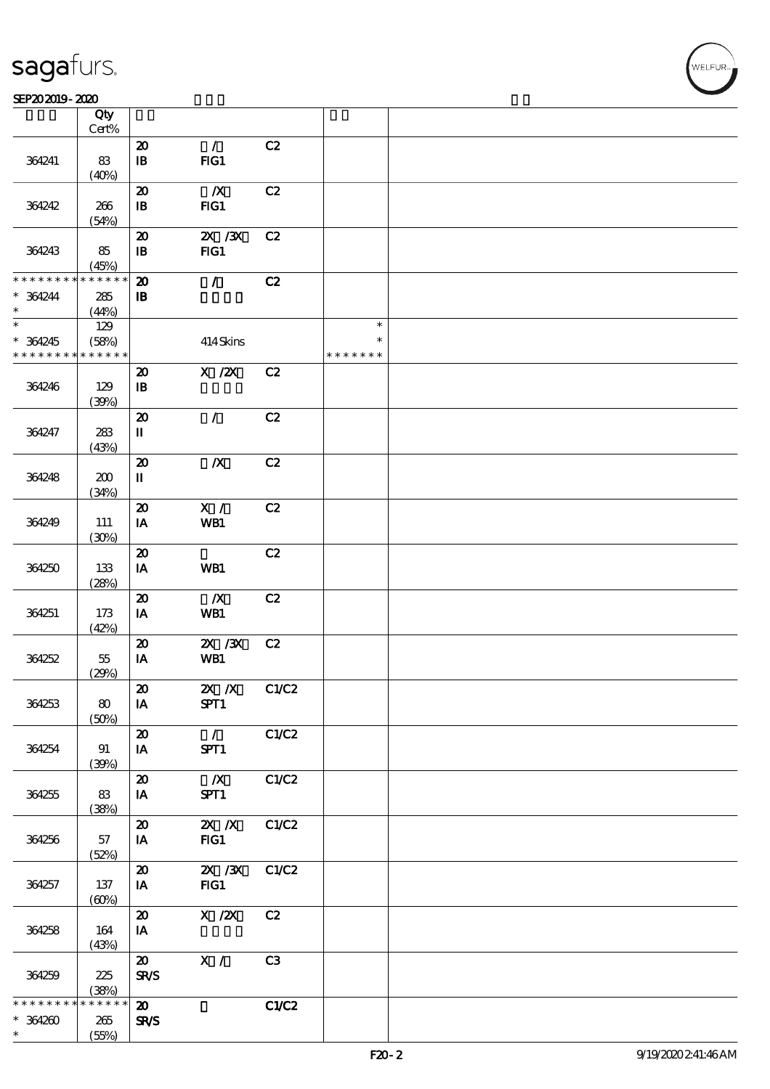#### $S$ EP202019 - 2020  $S$

|                      | Qty<br>$Cert\%$                          |                                       |                  |       |               |  |
|----------------------|------------------------------------------|---------------------------------------|------------------|-------|---------------|--|
|                      |                                          |                                       |                  |       |               |  |
|                      |                                          | $\boldsymbol{\mathbf{z}}$             | $\mathcal{L}$    | C2    |               |  |
| 364241               | 83                                       | ${\bf I\!B}$                          | FIG1             |       |               |  |
|                      | (40%)                                    |                                       |                  |       |               |  |
|                      |                                          | $\boldsymbol{\boldsymbol{\lambda}}$   | $\boldsymbol{X}$ | C2    |               |  |
| 364242               | 266                                      | $\, {\bf I} \! {\bf B} \,$            | FG1              |       |               |  |
|                      | (54%)                                    |                                       |                  |       |               |  |
|                      |                                          | $\boldsymbol{\mathbf{z}}$             | $X$ / $X$        | C2    |               |  |
| 364243               | 85                                       | ${\bf I\!B}$                          | FG1              |       |               |  |
|                      | (45%)                                    |                                       |                  |       |               |  |
| * * * * * * * *      | * * * * * *                              | $\boldsymbol{\mathfrak{D}}$           | $\mathcal{L}$    | C2    |               |  |
|                      |                                          |                                       |                  |       |               |  |
| $* 364244$<br>$\ast$ | ${\bf 285}$                              | ${\bf I\!B}$                          |                  |       |               |  |
| $\overline{\ast}$    | (44%)                                    |                                       |                  |       |               |  |
|                      | 129                                      |                                       |                  |       | $\ast$        |  |
| $* 364245$           | (58%)                                    |                                       | 414Skins         |       | $\ast$        |  |
| * * * * * * * *      | * * * * * *                              |                                       |                  |       | * * * * * * * |  |
|                      |                                          | $\boldsymbol{\mathbf{z}}$             | $X$ / $ZX$       | C2    |               |  |
| 364246               | 129                                      | $\mathbf{B}$                          |                  |       |               |  |
|                      | (39%)                                    |                                       |                  |       |               |  |
|                      |                                          | $\boldsymbol{\mathsf{20}}$            | $\mathcal{L}$    | C2    |               |  |
| 364247               | 283                                      | $\mathbf I$                           |                  |       |               |  |
|                      | (43%)                                    |                                       |                  |       |               |  |
|                      |                                          | $\boldsymbol{\mathfrak{D}}$           | $\boldsymbol{X}$ | C2    |               |  |
|                      | 200                                      | $\rm I\hspace{-.1em}I\hspace{-.1em}I$ |                  |       |               |  |
| 364248               |                                          |                                       |                  |       |               |  |
|                      | (34%)                                    |                                       |                  |       |               |  |
|                      |                                          | $\boldsymbol{\mathsf{20}}$            | X /              | C2    |               |  |
| 364249               | 111                                      | IA                                    | WB1              |       |               |  |
|                      | (30%)                                    |                                       |                  |       |               |  |
|                      |                                          | $\boldsymbol{\mathsf{20}}$            |                  | C2    |               |  |
| 364250               | 133                                      | IA                                    | WB1              |       |               |  |
|                      | (28%)                                    |                                       |                  |       |               |  |
|                      |                                          | $\boldsymbol{\mathbf{z}}$             | $\boldsymbol{X}$ | C2    |               |  |
| 364251               | 173                                      | IA                                    | WB1              |       |               |  |
|                      | (42%)                                    |                                       |                  |       |               |  |
|                      |                                          | $\boldsymbol{\mathbf{z}}$             | 2X / 3X          | C2    |               |  |
| 364252               | $55\,$                                   | IA                                    | WB1              |       |               |  |
|                      | (29%)                                    |                                       |                  |       |               |  |
|                      |                                          |                                       |                  |       |               |  |
|                      |                                          | $\boldsymbol{\mathfrak{D}}$           | 2X /X C1/C2      |       |               |  |
| 364253               | $\bf{80}$                                | IA                                    | SPT1             |       |               |  |
|                      | (50%)                                    |                                       |                  |       |               |  |
|                      |                                          | $\boldsymbol{\mathfrak{D}}$           | $\mathcal{L}$    | C1/C2 |               |  |
| 364254               | 91                                       | IA                                    | SPT1             |       |               |  |
|                      | (30%)                                    |                                       |                  |       |               |  |
|                      |                                          | $\boldsymbol{\mathbf{z}}$             | $\mathbf{X}$     | C1/C2 |               |  |
| 364255               | 83                                       | IA                                    | SPT1             |       |               |  |
|                      | (38%)                                    |                                       |                  |       |               |  |
|                      |                                          | $\boldsymbol{\mathfrak{D}}$           | $X$ $X$          | C1/C2 |               |  |
| 364256               | 57                                       | IA                                    | FG1              |       |               |  |
|                      | (52%)                                    |                                       |                  |       |               |  |
|                      |                                          | $\boldsymbol{\mathfrak{D}}$           | $X \, X$         | C1/C2 |               |  |
| 364257               | 137                                      | IA                                    | FG1              |       |               |  |
|                      |                                          |                                       |                  |       |               |  |
|                      | $\left(\frac{\text{O}}{\text{O}}\right)$ |                                       |                  |       |               |  |
|                      |                                          | $\boldsymbol{\mathsf{20}}$            | $X$ / $ZX$       | C2    |               |  |
| 364258               | 164                                      | IA                                    |                  |       |               |  |
|                      | (43%)                                    |                                       |                  |       |               |  |
|                      |                                          | $\boldsymbol{\mathfrak{D}}$           | $\mathbf{X}$ /   | C3    |               |  |
| 364259               | 225                                      | <b>SR/S</b>                           |                  |       |               |  |
|                      | (38%)                                    |                                       |                  |       |               |  |
| * * * * * *          | * * * * * *                              | $\boldsymbol{\mathfrak{D}}$           |                  | C1/C2 |               |  |
| $*364200$            | 265                                      | SR/S                                  |                  |       |               |  |
| $\ast$               | (55%)                                    |                                       |                  |       |               |  |

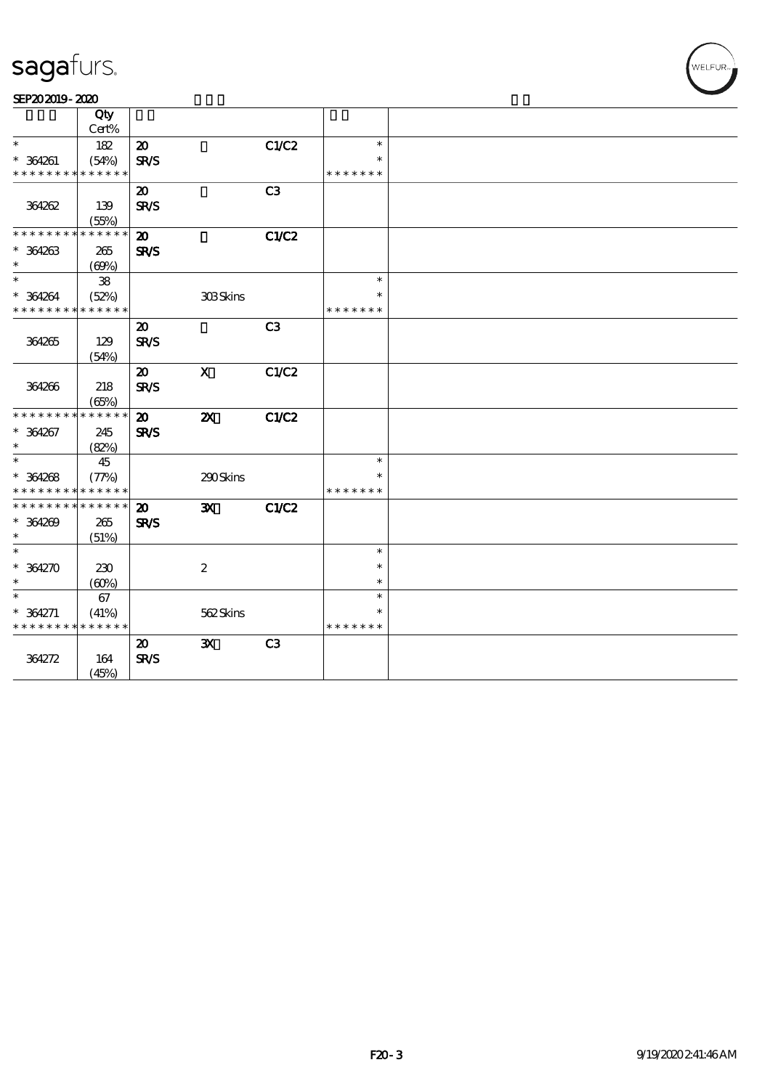| SEP202019-2020 |  |
|----------------|--|
|----------------|--|

|                                          | Qty         |                             |                           |                |               |  |
|------------------------------------------|-------------|-----------------------------|---------------------------|----------------|---------------|--|
| $\ast$                                   | Cert%       |                             |                           |                |               |  |
|                                          | 182         | $\boldsymbol{\mathsf{20}}$  |                           | C1/C2          | $\ast$        |  |
| $* 364261$                               | (54%)       | <b>SR/S</b>                 |                           |                |               |  |
| * * * * * * * *                          | * * * * * * |                             |                           |                | * * * * * * * |  |
|                                          |             | $\boldsymbol{\mathfrak{D}}$ |                           | C <sub>3</sub> |               |  |
| 364262                                   | 139         | <b>SR/S</b>                 |                           |                |               |  |
|                                          | (55%)       |                             |                           |                |               |  |
| * * * * * * * *                          | * * * * * * | $\boldsymbol{\mathbf{z}}$   |                           | C1/C2          |               |  |
| $* 364263$                               | 265         | <b>SR/S</b>                 |                           |                |               |  |
| $\ast$                                   | (69%)       |                             |                           |                |               |  |
| $\ast$                                   | ${\bf 38}$  |                             |                           |                | $\ast$        |  |
| $* 364264$                               | (52%)       |                             | <b>303Skins</b>           |                | ∗             |  |
| * * * * * * * *                          | * * * * * * |                             |                           |                | * * * * * * * |  |
|                                          |             | $\boldsymbol{\mathfrak{D}}$ |                           | C <sub>3</sub> |               |  |
| 364265                                   | 129         | <b>SR/S</b>                 |                           |                |               |  |
|                                          | (54%)       |                             |                           |                |               |  |
|                                          |             | $\boldsymbol{\mathfrak{D}}$ | $\mathbf X$               | C1/C2          |               |  |
| 364266                                   | 218         | <b>SR/S</b>                 |                           |                |               |  |
|                                          | (65%)       |                             |                           |                |               |  |
| * * * * * * * *                          | * * * * * * | $\boldsymbol{\mathfrak{D}}$ | $\boldsymbol{\mathsf{z}}$ | <b>C1/C2</b>   |               |  |
| $* 364267$                               | 245         | SR/S                        |                           |                |               |  |
| $\ast$                                   | (82%)       |                             |                           |                |               |  |
| $\ast$                                   | 45          |                             |                           |                | $\ast$        |  |
| $* 364268$                               | (77%)       |                             | 290Skins                  |                | $\ast$        |  |
| * * * * * * * * <mark>* * * * * *</mark> |             |                             |                           |                | * * * * * * * |  |
| * * * * * * * *                          | * * * * * * | $\boldsymbol{\mathbf{z}}$   | $\mathbf{x}$              | C1/C2          |               |  |
| $* 364269$                               | 265         | SR/S                        |                           |                |               |  |
| $\ast$                                   | (51%)       |                             |                           |                |               |  |
| $\ast$                                   |             |                             |                           |                | $\ast$        |  |
| $* 364270$                               | 230         |                             | $\boldsymbol{2}$          |                | $\ast$        |  |
| $\ast$                                   | (60%)       |                             |                           |                | $\ast$        |  |
| $\ast$                                   | 67          |                             |                           |                | $\ast$        |  |
| $* 364271$                               | (41%)       |                             | 562Skins                  |                | $\ast$        |  |
| * * * * * * * *                          | * * * * * * |                             |                           |                | * * * * * * * |  |
|                                          |             | $\boldsymbol{\mathfrak{D}}$ | $\mathbf{x}$              | C3             |               |  |
| 364272                                   | 164         | <b>SR/S</b>                 |                           |                |               |  |
|                                          | (45%)       |                             |                           |                |               |  |
|                                          |             |                             |                           |                |               |  |

WELFUR<sub>T</sub>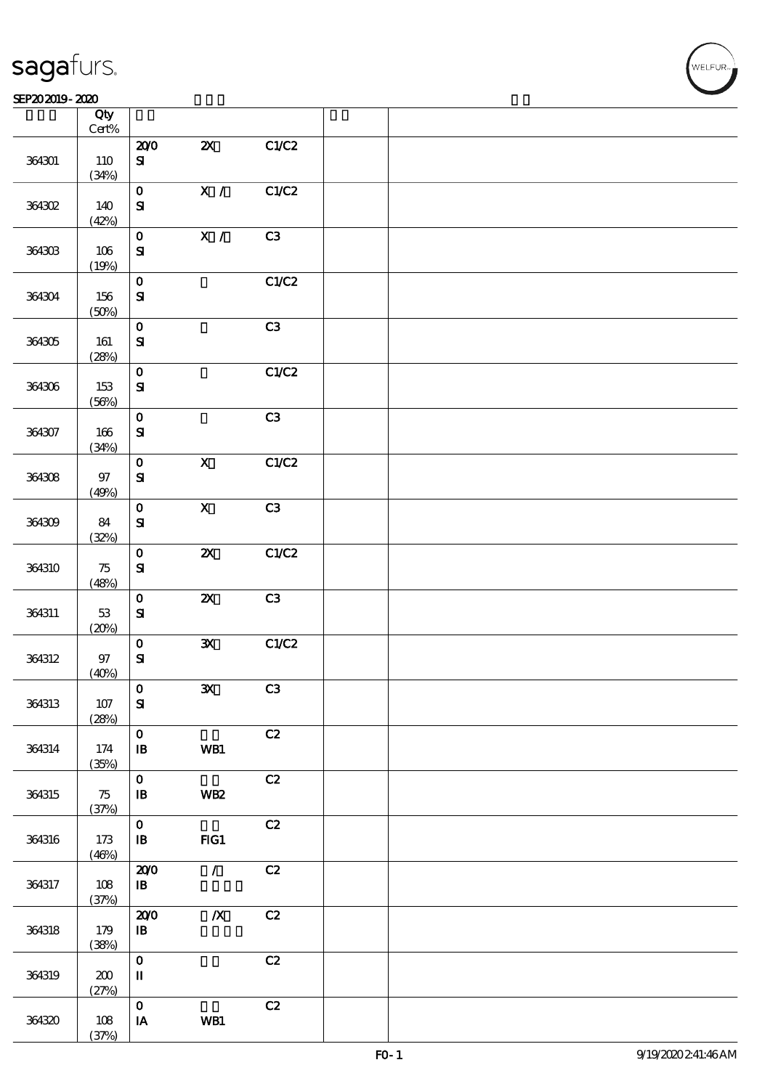### SEP202019-2020

|        | Qty<br>$\mbox{Cert}\%$ |                                       |                           |       |  |
|--------|------------------------|---------------------------------------|---------------------------|-------|--|
|        |                        | 200                                   | $\boldsymbol{\mathsf{Z}}$ | C1/C2 |  |
| 364301 | 110<br>(34%)           | ${\bf s}$                             |                           |       |  |
|        |                        | $\mathbf{o}$                          | $\mathbf{X} \neq$         | C1/C2 |  |
| 364302 | 140<br>(42%)           | ${\bf S\hspace{-.075ex}l}$            |                           |       |  |
|        |                        | $\mathbf O$                           | X /                       | C3    |  |
| 364303 | 106<br>(19%)           | ${\bf S\!I}$                          |                           |       |  |
|        |                        | $\mathbf O$                           |                           | C1/C2 |  |
| 364304 | 156<br>(50%)           | $\mathbf{S}$                          |                           |       |  |
|        |                        | $\mathbf{o}$                          |                           | C3    |  |
| 364305 | 161<br>(28%)           | ${\bf S}$                             |                           |       |  |
|        |                        | $\mathbf O$                           |                           | C1/C2 |  |
| 364306 | 153<br>(56%)           | ${\bf S}$                             |                           |       |  |
|        |                        | $\mathbf O$                           |                           | C3    |  |
| 364307 | 166<br>(34%)           | $\mathbf{S}$                          |                           |       |  |
|        |                        | $\mathbf{o}$                          | $\overline{\mathbf{X}}$   | C1/C2 |  |
| 364308 | $97\,$<br>(49%)        | ${\bf S\!I}$                          |                           |       |  |
|        |                        | $\mathbf 0$                           | $\mathbf X$               | C3    |  |
| 364309 | 84<br>(32%)            | ${\bf S\!I}$                          |                           |       |  |
|        |                        | $\mathbf 0$                           | $\boldsymbol{\mathsf{z}}$ | C1/C2 |  |
| 364310 | 75<br>(48%)            | $\mathbf{S}$                          |                           |       |  |
|        |                        | $\mathbf 0$                           | $\boldsymbol{\mathsf{z}}$ | C3    |  |
| 364311 | 53<br>(20%)            | ${\bf S\!I}$                          |                           |       |  |
|        |                        | $\mathbf 0$                           | $\mathbf{x}$              | C1/C2 |  |
| 364312 | $97\,$<br>(40%)        | $\mathbf{S}$                          |                           |       |  |
|        |                        | $ 0\rangle$                           | $\mathbf{x}$              | C3    |  |
| 364313 | 107<br>(28%)           | ${\bf S}$                             |                           |       |  |
|        |                        | $\mathbf{O}$                          |                           | C2    |  |
| 364314 | 174<br>(35%)           | $\mathbf{B}$                          | WB1                       |       |  |
|        |                        | $\mathbf{o}$                          |                           | C2    |  |
| 364315 | 75<br>(37%)            | ${\bf I\!B}$                          | <b>WB2</b>                |       |  |
|        |                        | $\mathbf{o}$                          |                           | C2    |  |
| 364316 | 173<br>(46%)           | $\mathbf{B}$                          | $HG1$                     |       |  |
|        |                        | 200                                   | $\mathcal{L}$             | C2    |  |
| 364317 | 108<br>(37%)           | $\, {\bf I} \! {\bf B} \,$            |                           |       |  |
|        |                        | 200                                   | $\boldsymbol{X}$          | C2    |  |
| 364318 | 179<br>(38%)           | ${\bf I\!B}$                          |                           |       |  |
|        |                        | $\mathbf 0$                           |                           | C2    |  |
| 364319 | 200<br>(27%)           | $\rm I\hspace{-.1em}I\hspace{-.1em}I$ |                           |       |  |
|        |                        | $\mathbf{o}$                          |                           | C2    |  |
| 364320 | 108<br>(37%)           | $\,$ IA                               | WB1                       |       |  |
|        |                        |                                       |                           |       |  |

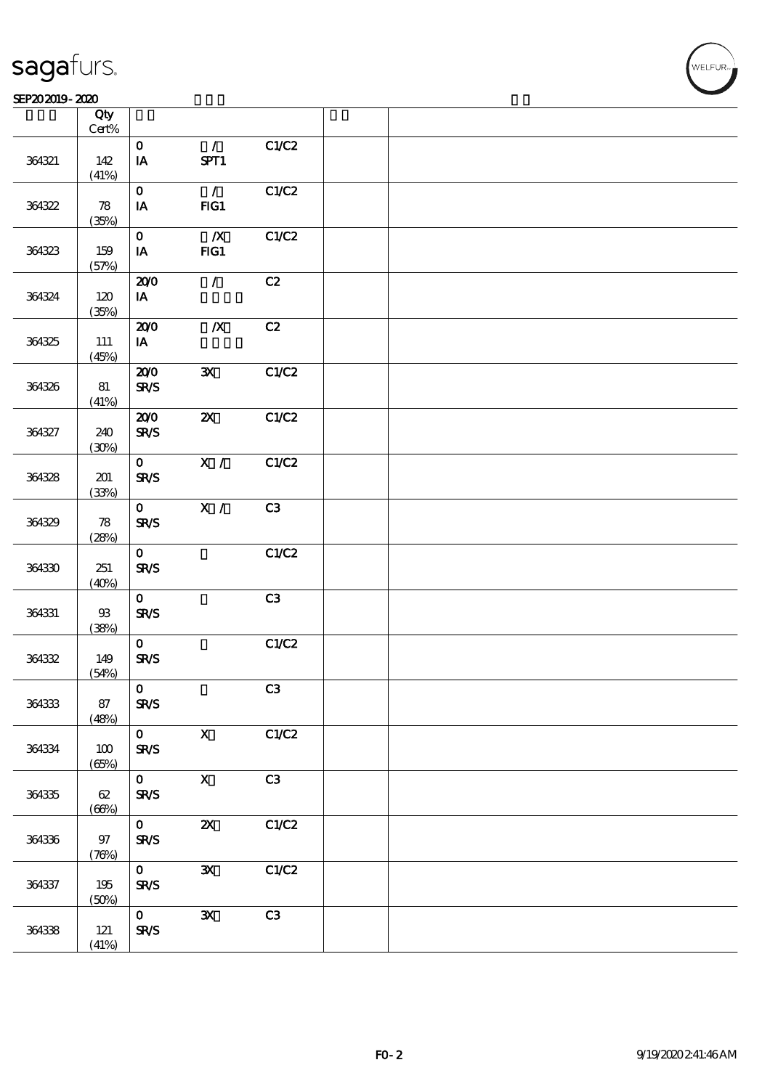$\top$ 

### $S$ EP202019 - 2020  $S$

|        | Qty<br>$Cert\%$ |                             |                           |       |  |
|--------|-----------------|-----------------------------|---------------------------|-------|--|
|        |                 | $\mathbf{O}$                | $\mathcal{L}$             | C1/C2 |  |
| 364321 | 142<br>(41%)    | $\mathbf{IA}$               | SPT1                      |       |  |
|        |                 | $\mathbf{O}$                | $\mathcal{L}$             | C1/C2 |  |
| 364322 | 78<br>(35%)     | IA                          | FG1                       |       |  |
|        |                 | $\mathbf{O}$                | $\boldsymbol{X}$          | C1/C2 |  |
| 364323 | 159<br>(57%)    | IA                          | FG1                       |       |  |
|        |                 | 200                         | $\mathcal{L}$             | C2    |  |
| 364324 | 120<br>(35%)    | IA                          |                           |       |  |
|        |                 | 200                         | $\boldsymbol{X}$          | C2    |  |
| 364325 | 111<br>(45%)    | IA                          |                           |       |  |
|        |                 | 200                         | $\mathbf{x}$              | C1/C2 |  |
| 364326 | 81<br>(41%)     | <b>SR/S</b>                 |                           |       |  |
|        |                 | 200                         | $\boldsymbol{\mathsf{Z}}$ | C1/C2 |  |
| 364327 | 240<br>(30%)    | <b>SR/S</b>                 |                           |       |  |
|        |                 | $\mathbf{O}$                | X /                       | C1/C2 |  |
| 364328 | 201<br>(33%)    | <b>SR/S</b>                 |                           |       |  |
|        |                 | $\mathbf{O}$                | X /                       | C3    |  |
| 364329 | 78<br>(28%)     | <b>SR/S</b>                 |                           |       |  |
|        |                 | $\mathbf{O}$                |                           | C1/C2 |  |
| 364330 | 251<br>(40%)    | <b>SR/S</b>                 |                           |       |  |
|        |                 | $\mathbf{O}$                |                           | C3    |  |
| 364331 | $93\,$<br>(38%) | $S\!R\!S$                   |                           |       |  |
|        |                 | $\mathbf{O}$                |                           | C1/C2 |  |
| 364332 | 149<br>(54%)    | <b>SR/S</b>                 |                           |       |  |
|        |                 | $\mathbf{O}$                |                           | C3    |  |
| 364333 | 87<br>(48%)     | <b>SR/S</b>                 |                           |       |  |
|        |                 | $\mathbf{O}$                | $\mathbf{x}$              | C1/C2 |  |
| 364334 | 100<br>(65%)    | $S\!R\!S$                   |                           |       |  |
| 364335 | 62              | $\mathbf{O}$<br><b>SR/S</b> | $\mathbf X$               | C3    |  |
|        | (66%)           |                             |                           |       |  |
|        |                 | $\mathbf{0}$                | $\boldsymbol{\mathsf{Z}}$ | C1/C2 |  |
| 364336 | 97<br>(76%)     | <b>SR/S</b>                 |                           |       |  |
| 364337 | $195\,$         | $\mathbf{O}$<br>SR/S        | $\mathbf{x}$              | C1/C2 |  |
|        | (50%)           |                             |                           |       |  |
| 364338 | 121             | $\mathbf{O}$<br>SRS         | ${\bf x}$                 | C3    |  |
|        | (41%)           |                             |                           |       |  |

 $\overline{\mathbf{r}}$ 

**VELFUR**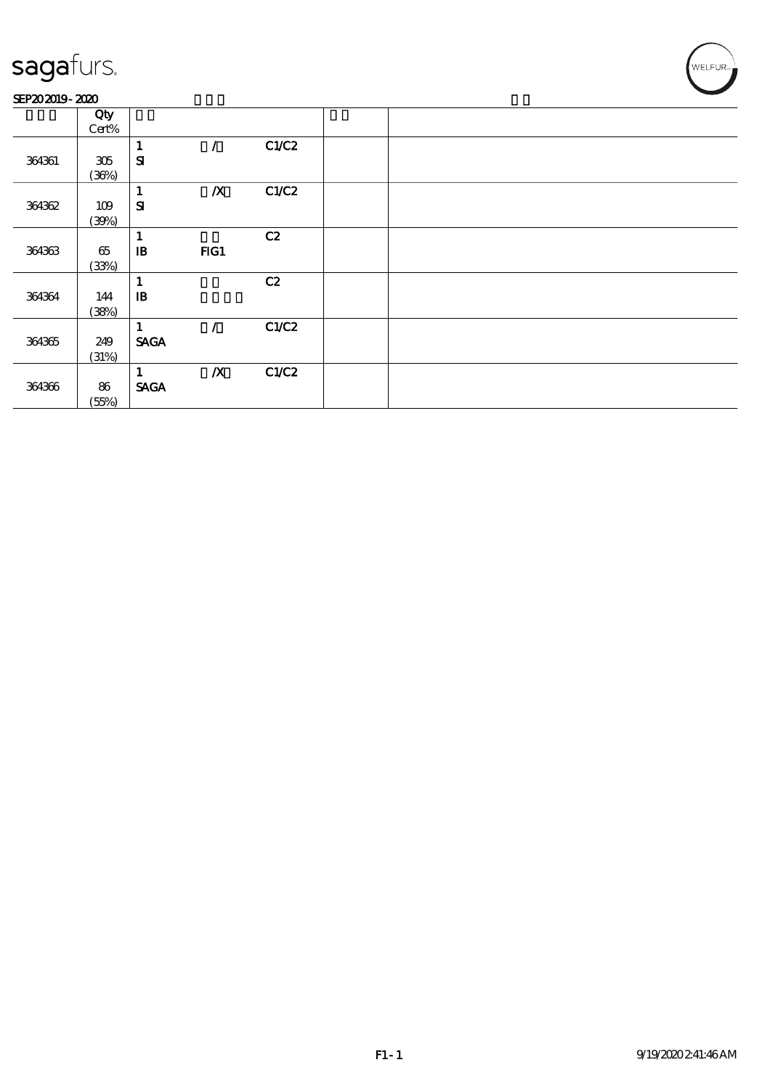### SEP202019-2020

|        | Qty   |                      |                  |       |  |  |  |
|--------|-------|----------------------|------------------|-------|--|--|--|
|        | Cert% |                      |                  |       |  |  |  |
|        |       | 1                    | $\prime$         | C1/C2 |  |  |  |
| 364361 | 305   | ${\bf s}$            |                  |       |  |  |  |
|        | (36%) |                      |                  |       |  |  |  |
|        |       | $\mathbf{1}$         | $\boldsymbol{X}$ | C1/C2 |  |  |  |
| 364362 | 109   | ${\bf s}$            |                  |       |  |  |  |
|        | (30%) |                      |                  |       |  |  |  |
|        |       | 1                    |                  | C2    |  |  |  |
| 364363 | 65    | ${\bf I\!B}$         | FG1              |       |  |  |  |
|        | (33%) |                      |                  |       |  |  |  |
|        |       | 1                    |                  | C2    |  |  |  |
| 364364 | 144   | $\, {\bf I} {\bf B}$ |                  |       |  |  |  |
|        | (38%) |                      |                  |       |  |  |  |
|        |       | 1                    | $\sqrt{ }$       | C1/C2 |  |  |  |
| 364365 | 249   | <b>SAGA</b>          |                  |       |  |  |  |
|        | (31%) |                      |                  |       |  |  |  |
|        |       | 1                    | $\boldsymbol{X}$ | C1/C2 |  |  |  |
| 364366 | 86    | <b>SAGA</b>          |                  |       |  |  |  |
|        | (55%) |                      |                  |       |  |  |  |
|        |       |                      |                  |       |  |  |  |

WELFUR-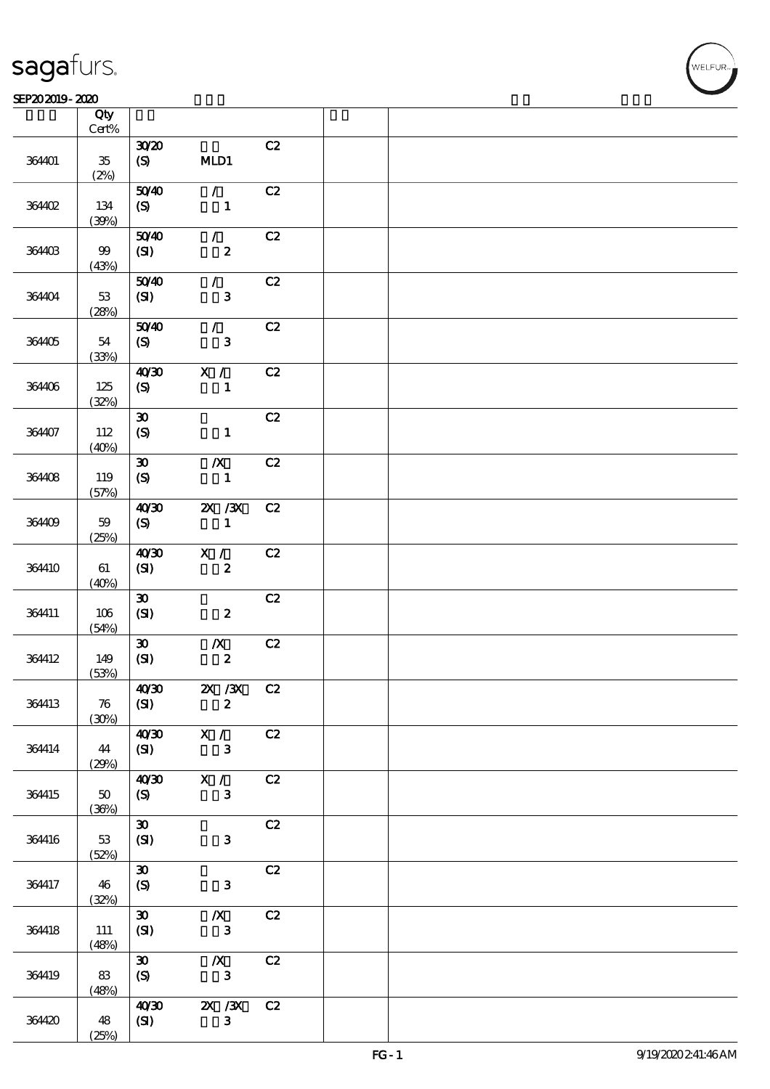#### $SEP202019 - 2020$  $\overline{\phantom{a}}$  Qty  $\overline{\phantom{a}}$

|        | Qty<br>$\mbox{Cert}\%$ |                             |                               |    |  |
|--------|------------------------|-----------------------------|-------------------------------|----|--|
|        |                        | 3020                        |                               | C2 |  |
| 364401 | $35\,$<br>(2%)         | (S)                         | MLD1                          |    |  |
| 36402  | 134                    | 5040<br>(S)                 | $\mathcal{L}$<br>$\mathbf{1}$ | C2 |  |
|        | (30%)                  |                             |                               |    |  |
| 364403 | $99$<br>(43%)          | 5040<br>$\pmb{\text{(S)}}$  | $\mathcal{F}$<br>$\pmb{2}$    | C2 |  |
|        |                        | 5040                        | $\mathcal{L}$                 | C2 |  |
| 364404 | $53\,$<br>(28%)        | (SI)                        | $\mathbf{3}$                  |    |  |
|        |                        | 5040                        | $\mathcal{T}$                 | C2 |  |
| 364405 | 54<br>(33%)            | (S)                         | $\mathbf{3}$                  |    |  |
|        |                        | 40'30                       | X /                           | C2 |  |
| 364406 | 125<br>(32%)           | $\boldsymbol{S}$            | $\mathbf{1}$                  |    |  |
|        |                        | $\pmb{\mathfrak{D}}$        |                               | C2 |  |
| 364407 | 112<br>(40%)           | $\boldsymbol{\mathrm{(S)}}$ | $\mathbf{1}$                  |    |  |
|        |                        | $\pmb{\mathfrak{D}}$        | $\boldsymbol{X}$              | C2 |  |
| 364408 | 119<br>(57%)           | $\boldsymbol{S}$            | $\mathbf{1}$                  |    |  |
|        |                        | 40'30                       | $X \, X$                      | C2 |  |
| 364409 | $59$<br>(25%)          | $\boldsymbol{S}$            | $\mathbf{1}$                  |    |  |
|        |                        | 40'30                       | X /                           | C2 |  |
| 364410 | 61<br>(40%)            | (SI)                        | $\pmb{2}$                     |    |  |
|        |                        | $\pmb{\mathfrak{D}}$        |                               | C2 |  |
| 364411 | 106<br>(54%)           | (SI)                        | $\boldsymbol{2}$              |    |  |
|        |                        | $\boldsymbol{\mathfrak{D}}$ | $\boldsymbol{X}$              | C2 |  |
| 364412 | 149<br>(53%)           | (SI)                        | $\pmb{2}$                     |    |  |
|        |                        | 40 <sup>30</sup>            | $X \, X$                      | C2 |  |
| 364413 | 76<br>(30%)            | (SI)                        | $\mathbf{z}$                  |    |  |
|        |                        | 40'30                       | X /                           | C2 |  |
| 364414 | 44<br>(29%)            | (SI)                        | $\mathbf{3}$                  |    |  |
|        |                        | 40'30                       | X /                           | C2 |  |
| 364415 | $50\,$<br>(36%)        | (S)                         | $\mathbf{3}$                  |    |  |
|        |                        | $\boldsymbol{\mathfrak{D}}$ |                               | C2 |  |
| 364416 | 53<br>(52%)            | (SI)                        | $\mathbf{3}$                  |    |  |
|        |                        | $\boldsymbol{\mathfrak{D}}$ |                               | C2 |  |
| 364417 | 46                     | (S)                         | $\mathbf{3}$                  |    |  |
|        | (32%)                  | $\boldsymbol{\mathfrak{D}}$ | $\boldsymbol{X}$              | C2 |  |
| 364418 | 111<br>(48%)           | (SI)                        | $\mathbf{3}$                  |    |  |
|        |                        | $\boldsymbol{\mathfrak{D}}$ | $\boldsymbol{X}$              | C2 |  |
| 364419 | $83\,$<br>(48%)        | (S)                         | $\mathbf{3}$                  |    |  |
|        |                        | 40'30                       | $\chi$ / $\chi$               | C2 |  |
| 364420 | 48<br>(25%)            | (S)                         | $\mathbf{3}$                  |    |  |

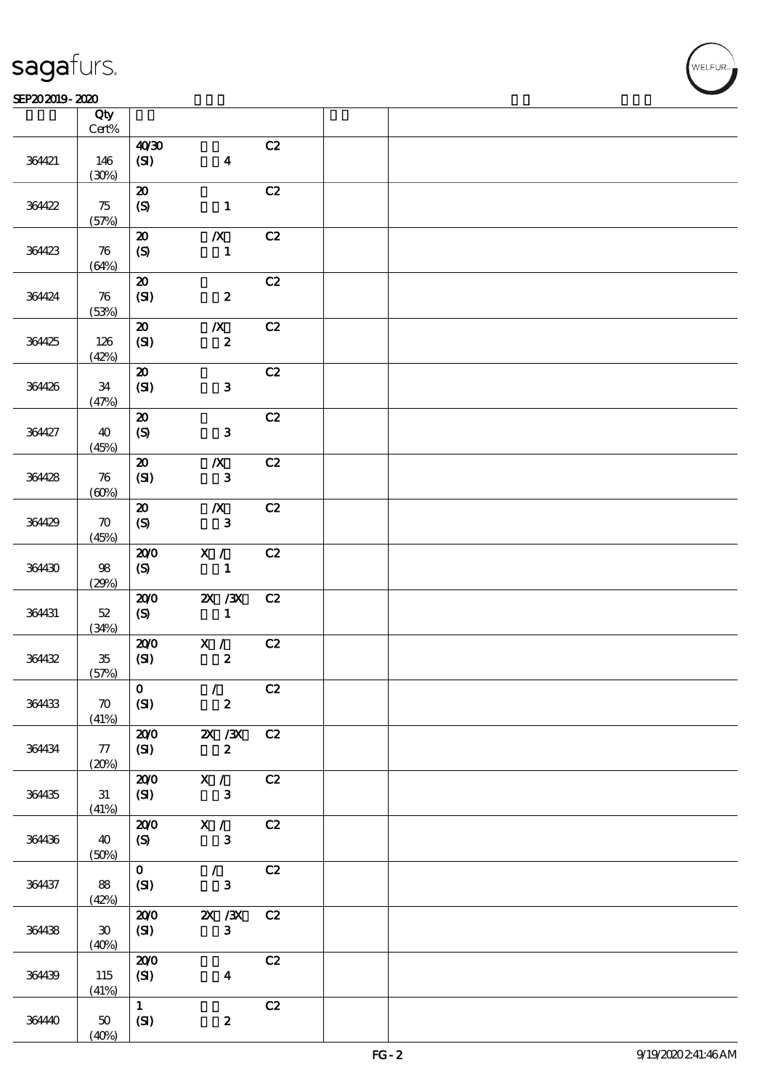#### SEP202019-2020 RHZ

|        | Qty<br>$\mbox{Cert}\%$               |                             |                  |    |  |
|--------|--------------------------------------|-----------------------------|------------------|----|--|
|        |                                      | 40'30                       |                  | C2 |  |
| 364421 | 146<br>(30%)                         | (SI)                        | $\boldsymbol{4}$ |    |  |
|        |                                      | $\boldsymbol{\mathfrak{D}}$ |                  | C2 |  |
| 364422 | 75<br>(57%)                          | $\boldsymbol{\mathrm{(S)}}$ | $\mathbf{1}$     |    |  |
|        |                                      | $\boldsymbol{\mathbf{Z}}$   | $\boldsymbol{X}$ | C2 |  |
| 364423 | $\boldsymbol{\pi}$<br>(64%)          | $\boldsymbol{S}$            | $\mathbf{1}$     |    |  |
|        |                                      | $\boldsymbol{\mathbf{z}}$   |                  | C2 |  |
| 364424 | $\boldsymbol{\pi}$<br>(53%)          | (SI)                        | $\boldsymbol{z}$ |    |  |
|        |                                      | $\boldsymbol{\mathfrak{D}}$ | $\boldsymbol{X}$ | C2 |  |
| 364425 | 126<br>(42%)                         | (SI)                        | $\boldsymbol{z}$ |    |  |
|        |                                      | $\boldsymbol{\mathbf{z}}$   |                  | C2 |  |
| 364426 | 34<br>(47%)                          | (SI)                        | $\mathbf{3}$     |    |  |
|        |                                      | $\boldsymbol{\mathbf{z}}$   |                  | C2 |  |
| 364427 | 40<br>(45%)                          | $\boldsymbol{S}$            | ${\bf 3}$        |    |  |
|        |                                      | $\boldsymbol{\mathfrak{D}}$ | $\boldsymbol{X}$ | C2 |  |
| 364428 | 76<br>(60%)                          | (SI)                        | ${\bf 3}$        |    |  |
|        |                                      | $\boldsymbol{\mathfrak{D}}$ | $\boldsymbol{X}$ | C2 |  |
| 364429 | $\boldsymbol{\pi}$<br>(45%)          | $\boldsymbol{S}$            | ${\bf 3}$        |    |  |
|        |                                      | 200                         | X /              | C2 |  |
| 364430 | $98\,$<br>(29%)                      | (S)                         | $\mathbf{1}$     |    |  |
|        |                                      | 200                         | $X \, X$         | C2 |  |
| 364431 | $52\,$<br>(34%)                      | (S)                         | $\mathbf{1}$     |    |  |
|        |                                      | 200                         | X /              | C2 |  |
| 364432 | $35\,$<br>(57%)                      | (SI)                        | $\boldsymbol{2}$ |    |  |
|        |                                      | $\vert$ 0                   | $\mathcal{L}$    | C2 |  |
| 364433 | $\boldsymbol{\pi}$<br>(41%)          | (SI)                        | $\boldsymbol{z}$ |    |  |
|        |                                      | 200                         | $\chi$ / $\chi$  | C2 |  |
| 364434 | 77<br>(20%)                          | (SI)                        | $\boldsymbol{z}$ |    |  |
|        |                                      | 200                         | X /              | C2 |  |
| 364435 | 31<br>(41%)                          | (SI)                        | $\mathbf{3}$     |    |  |
|        |                                      | 200                         | X /              | C2 |  |
| 364436 | 40<br>(50%)                          | (S)                         | $\mathbf{3}$     |    |  |
|        |                                      | $\mathbf{O}$                | $\mathcal{L}$    | C2 |  |
| 364437 | 88<br>(42%)                          | (SI)                        | $\mathbf{3}$     |    |  |
|        |                                      | 200                         | $\chi$ / $\chi$  | C2 |  |
| 364438 | $\boldsymbol{\mathfrak{D}}$<br>(40%) | (SI)                        | $\mathbf{3}$     |    |  |
|        |                                      | 200                         |                  | C2 |  |
| 364439 | 115<br>(41%)                         | (SI)                        | $\boldsymbol{4}$ |    |  |
|        |                                      | $\mathbf{1}$                |                  | C2 |  |
| 36440  | 50<br>(40%)                          | (SI)                        | $\boldsymbol{z}$ |    |  |

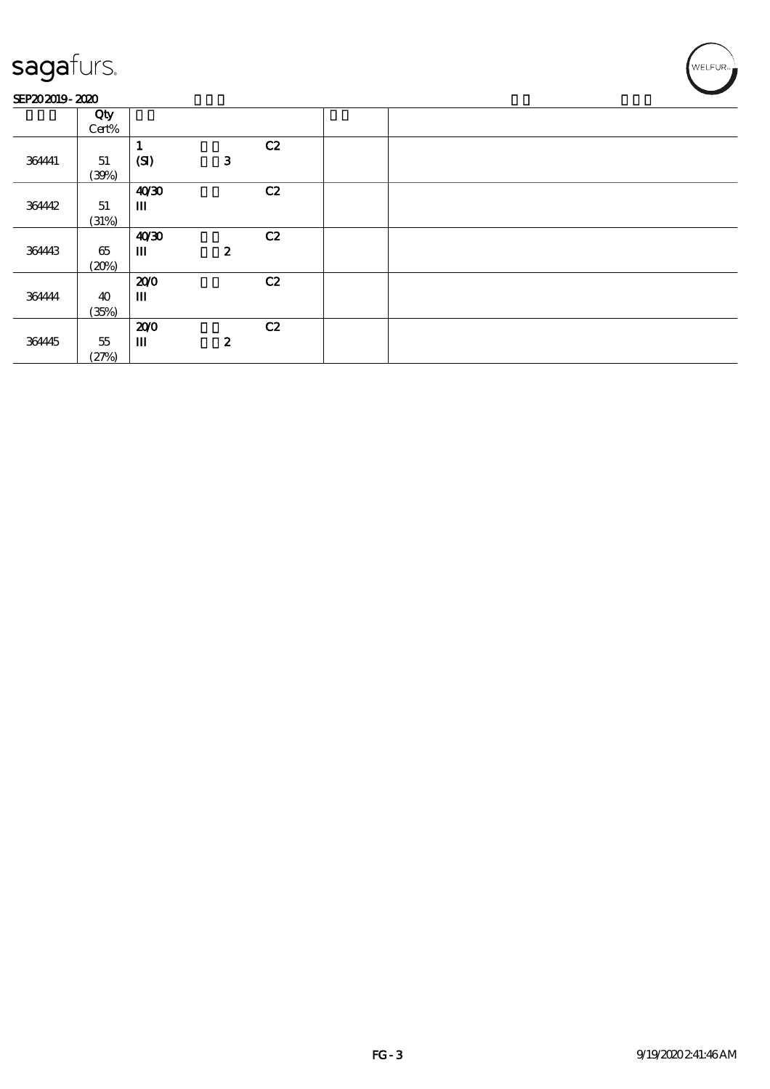### SEP202019-2020

|        | Qty    |              |                  |    |  |
|--------|--------|--------------|------------------|----|--|
|        | Cert%  |              |                  |    |  |
|        |        |              |                  | C2 |  |
| 364441 | 51     | (SI)         | $\mathbf{3}$     |    |  |
|        | (30%)  |              |                  |    |  |
|        |        | 40'30        |                  | C2 |  |
| 364442 | 51     | $\mathbf{m}$ |                  |    |  |
|        | (31%)  |              |                  |    |  |
|        |        | 40'30        |                  | C2 |  |
| 364443 | 65     | $\mathbf{m}$ | $\boldsymbol{z}$ |    |  |
|        | (20%)  |              |                  |    |  |
|        |        | 200          |                  | C2 |  |
| 364444 | 40     | $\mathbf{m}$ |                  |    |  |
|        | (35%)  |              |                  |    |  |
|        |        | 200          |                  | C2 |  |
| 364445 | $55\,$ | $\mathbf m$  | $\boldsymbol{z}$ |    |  |
|        | (27%)  |              |                  |    |  |

WELFUR-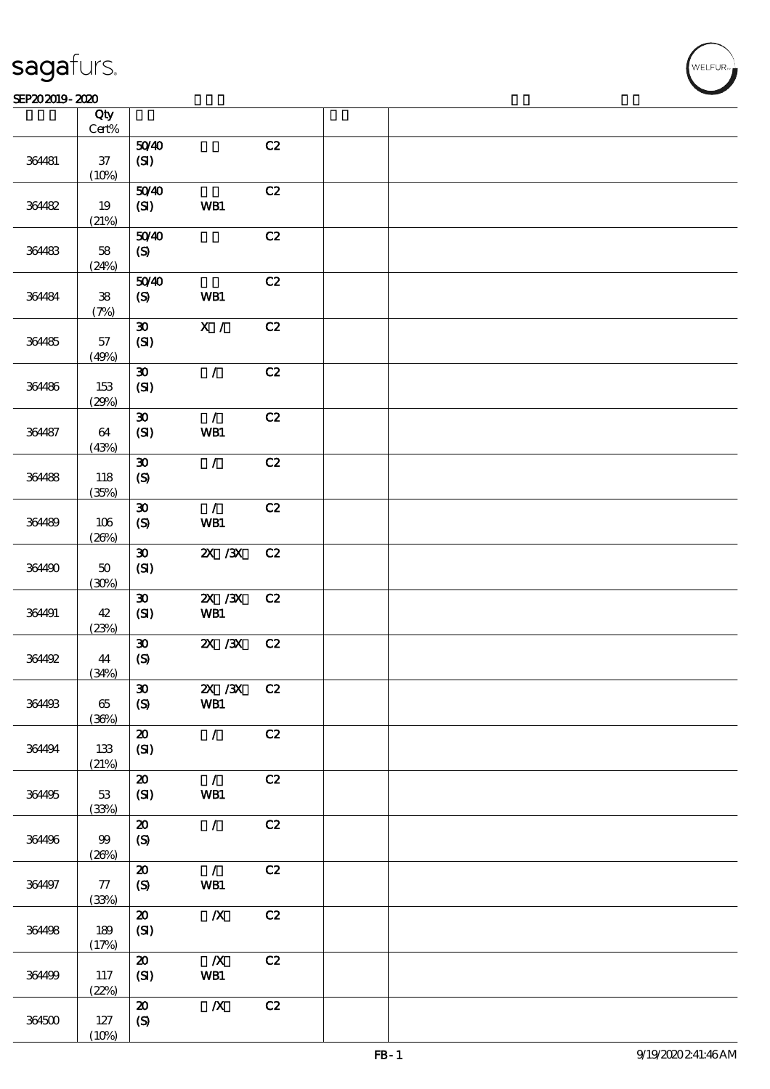### SEP202019-2020

|        | Qty<br>$\mbox{Cert}\%$ |                                     |                         |    |  |
|--------|------------------------|-------------------------------------|-------------------------|----|--|
|        |                        | 5040                                |                         | C2 |  |
| 364481 | $3\!7$<br>(10%)        | (SI)                                |                         |    |  |
|        |                        | 5040                                |                         | C2 |  |
| 364482 | 19<br>(21%)            | (SI)                                | WB1                     |    |  |
|        |                        | 5040                                |                         | C2 |  |
| 364483 | $5\!8$<br>(24%)        | $\pmb{\text{(S)}}$                  |                         |    |  |
|        |                        | 5040                                |                         | C2 |  |
| 364484 | ${\bf 38}$<br>(7%)     | $\boldsymbol{\mathrm{(S)}}$         | WB1                     |    |  |
|        |                        | $\pmb{\mathfrak{D}}$                | $\mathbf{X}$ /          | C2 |  |
| 364485 | $57\,$<br>(49%)        | (SI)                                |                         |    |  |
|        |                        | $\pmb{\mathfrak{D}}$                | $\mathcal{L}$           | C2 |  |
| 364486 | 153<br>(29%)           | (SI)                                |                         |    |  |
|        |                        | $\boldsymbol{\mathfrak{D}}$         | $\mathcal{L}$           | C2 |  |
| 364487 | 64<br>(43%)            | (SI)                                | <b>WB1</b>              |    |  |
|        |                        | $\pmb{\mathfrak{D}}$                | $\mathcal{L}$           | C2 |  |
| 364488 | 118<br>(35%)           | $\boldsymbol{S}$                    |                         |    |  |
|        |                        | $\boldsymbol{\mathfrak{D}}$         | $\mathcal{L}$           | C2 |  |
| 364489 | 106<br>(20%)           | $\pmb{\text{(S)}}$                  | WB1                     |    |  |
|        |                        | $\boldsymbol{\mathfrak{D}}$         | $X \, X$                | C2 |  |
| 364490 | $50\,$<br>(30%)        | (SI)                                |                         |    |  |
|        |                        | $\pmb{\mathfrak{D}}$                | $X \, X$                | C2 |  |
| 364491 | 42<br>(23%)            | (SI)                                | WB1                     |    |  |
|        |                        | $\boldsymbol{\mathfrak{D}}$         | $ZX$ $/3X$              | C2 |  |
| 364492 | 44<br>(34%)            | (S)                                 |                         |    |  |
|        |                        | $\vert x$                           | $\overline{2}X$ /3X     | C2 |  |
| 364493 | 65<br>(36%)            | (S)                                 | WB1                     |    |  |
|        |                        | $\boldsymbol{\mathfrak{D}}$         | $\mathcal{L}$           | C2 |  |
| 364494 | 133<br>(21%)           | (SI)                                |                         |    |  |
|        |                        | $\boldsymbol{\mathsf{20}}$          | $\mathcal{L}$           | C2 |  |
| 364495 | 53<br>(33%)            | (SI)                                | WB1                     |    |  |
|        |                        | $\boldsymbol{\mathsf{20}}$          | $\mathcal{L}$           | C2 |  |
| 364496 | 99<br>(20%)            | $\boldsymbol{S}$                    |                         |    |  |
|        |                        | $\boldsymbol{\mathsf{20}}$          | $\mathcal{L}$           | C2 |  |
| 364497 | 77                     | (S)                                 | WB1                     |    |  |
|        | (33%)                  |                                     |                         |    |  |
| 364498 | 189                    | $\boldsymbol{\mathsf{20}}$<br>(SI)  | $\boldsymbol{X}$        | C2 |  |
|        | (17%)                  |                                     |                         |    |  |
| 364499 | 117                    | $\boldsymbol{\mathfrak{D}}$<br>(SI) | $\boldsymbol{X}$<br>WB1 | C2 |  |
|        | (22%)                  |                                     |                         |    |  |
|        |                        | $\boldsymbol{\mathsf{20}}$          | $\boldsymbol{X}$        | C2 |  |
| 364500 | 127                    | $\boldsymbol{S}$                    |                         |    |  |
|        | (10%)                  |                                     |                         |    |  |

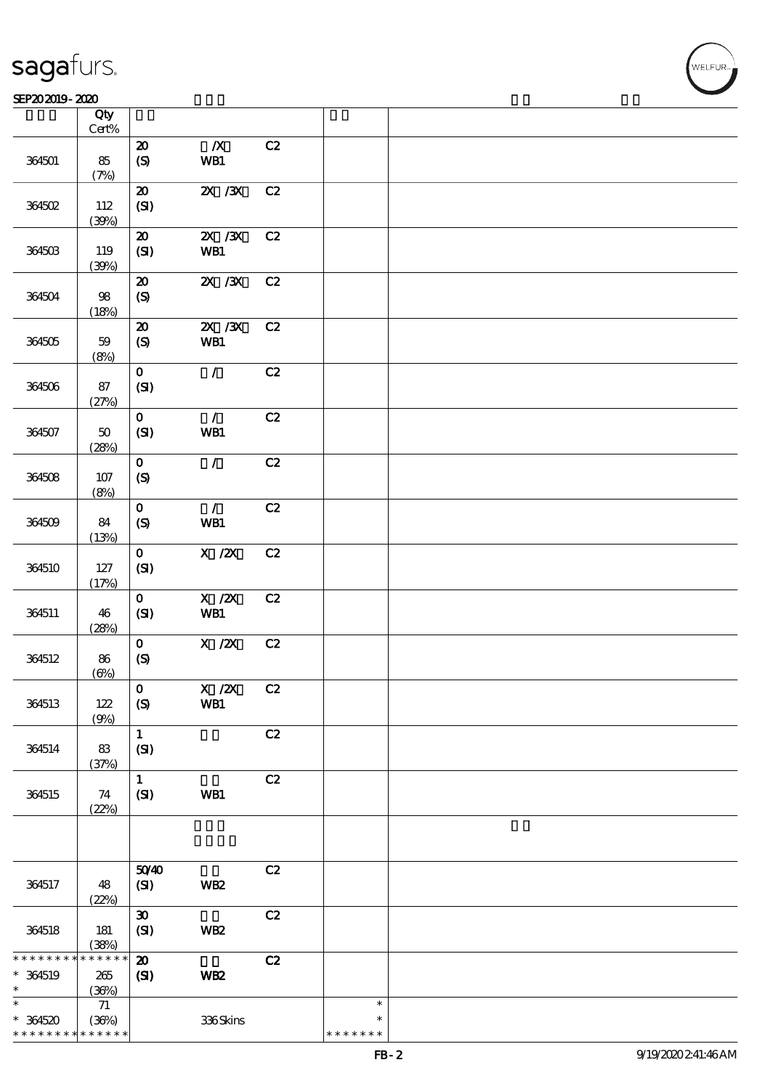#### SEP202019-2020 REPORTED TO A REPORT OF THE SEPENDENT CONTROL AND THE SEPENDENT CONTROL OF THE SEPENDENT CONTROL OF THE SEPENDENT CONTROL OF THE SEPENDENT CONTROL OF THE SEPENDENT CONTROL OF THE SEPENDENT CONTROL OF THE SEP

| SEP202019-2020                         |                                    |                                                 |                                                                                |    |                                   | $\sim$ |
|----------------------------------------|------------------------------------|-------------------------------------------------|--------------------------------------------------------------------------------|----|-----------------------------------|--------|
|                                        | Qty<br>$\mbox{Cert\%}$             |                                                 |                                                                                |    |                                   |        |
| 364501                                 | 85<br>(7%)                         | $\boldsymbol{\mathbf{z}}$<br>$\pmb{\in}$        | $\boldsymbol{X}$<br>WB1                                                        | C2 |                                   |        |
| 364502                                 | 112<br>(30%)                       | $\pmb{\mathcal{Z}}$<br>(SI)                     | $X \, X$                                                                       | C2 |                                   |        |
| 364503                                 | 119<br>(30%)                       | $\boldsymbol{\mathfrak{D}}$<br>(SI)             | $X \, X$<br>WB1                                                                | C2 |                                   |        |
| 364504                                 | 98<br>(18%)                        | $\boldsymbol{\mathbf{z}}$<br>$\pmb{\in}$        | $X \, X$                                                                       | C2 |                                   |        |
| 364505                                 | 59<br>(8%)                         | $\boldsymbol{\mathfrak{D}}$<br>$\boldsymbol{S}$ | $X \, X$<br>WB1                                                                | C2 |                                   |        |
| 364506                                 | 87<br>(27%)                        | $\mathbf{O}$<br>(SI)                            | $\mathcal{L}$                                                                  | C2 |                                   |        |
| 364507                                 | $50\,$<br>(28%)                    | $\mathbf 0$<br>(SI)                             | $\mathcal{L}$<br>WB1                                                           | C2 |                                   |        |
| 364508                                 | $107$<br>(8%)                      | $\mathbf 0$<br>$\boldsymbol{\mathrm{(S)}}$      | $\mathcal{L}$                                                                  | C2 |                                   |        |
| 364509                                 | 84<br>(13%)                        | $\mathbf{o}$<br>$\boldsymbol{S}$                | $\mathcal{L}$<br>WB1                                                           | C2 |                                   |        |
| 364510                                 | $127$<br>(17%)                     | $\mathbf{O}$<br>(SI)                            | $\boldsymbol{\mathrm{X}}$ / $\boldsymbol{\mathrm{Z}}\!\boldsymbol{\mathrm{X}}$ | C2 |                                   |        |
| 364511                                 | 46<br>(28%)                        | $\mathbf 0$<br>(SI)                             | $X$ / $ZX$<br>WB1                                                              | C2 |                                   |        |
| 364512                                 | 86<br>(6%)                         | $\mathbf{o}$<br>$\pmb{\text{(S)}}$              | $X$ / $ZX$                                                                     | C2 |                                   |        |
| 364513                                 | 122<br>(9%)                        | $\mathbf 0$<br>$\mathcal{S}$                    | $X$ / $ZX$<br>WB1                                                              | C2 |                                   |        |
| 364514                                 | 83<br>(37%)                        | $\mathbf{1}$<br>(SI)                            |                                                                                | C2 |                                   |        |
| 364515                                 | 74<br>(22%)                        | $\mathbf{1}$<br>(SI)                            | WB1                                                                            | C2 |                                   |        |
|                                        |                                    |                                                 |                                                                                |    |                                   |        |
| 364517                                 | 48<br>(22%)                        | 5040<br>(SI)                                    | <b>WB2</b>                                                                     | C2 |                                   |        |
| 364518                                 | 181<br>(38%)                       | $\pmb{\mathfrak{D}}$<br>(SI)                    | WB <sub>2</sub>                                                                | C2 |                                   |        |
| * * * * * * *<br>$* 364519$<br>$\ast$  | * * * * * *<br>265<br>(36%)        | $\boldsymbol{\mathbf{z}}$<br>$\mathbf{C}$       | WB <sub>2</sub>                                                                | C2 |                                   |        |
| $\ast$<br>$*364520$<br>* * * * * * * * | $71\,$<br>(36%)<br>$* * * * * * *$ |                                                 | 336Skins                                                                       |    | $\ast$<br>$\ast$<br>* * * * * * * |        |

WELFUR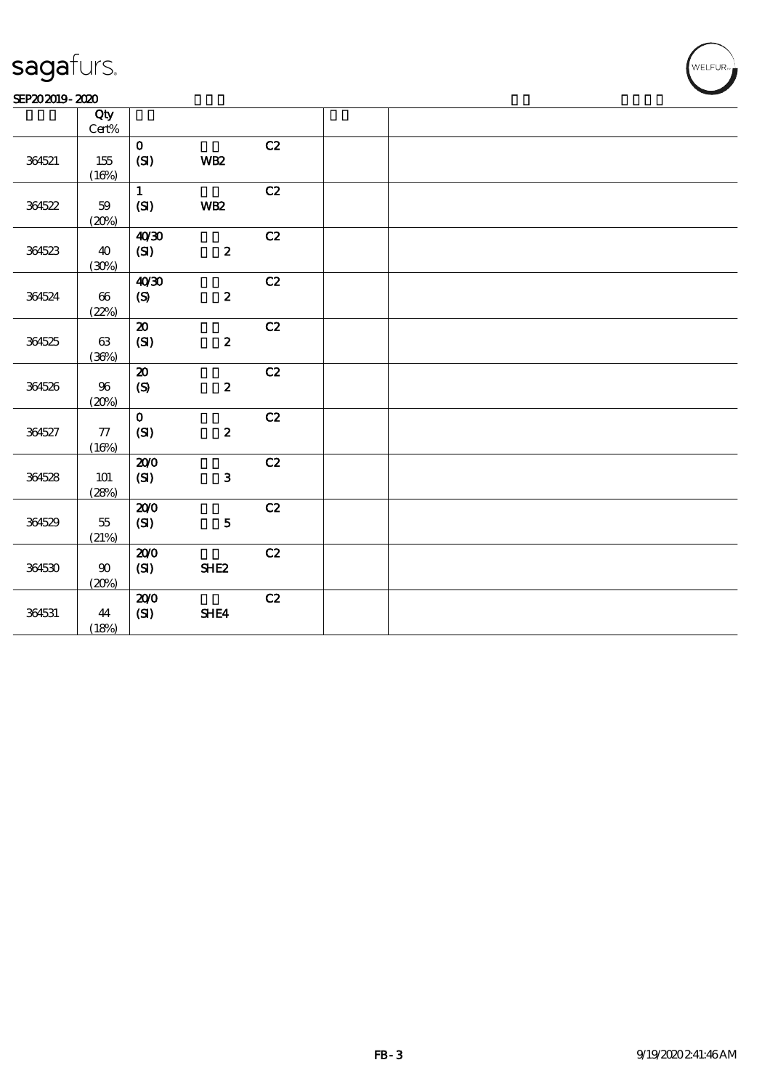| SEP202019-2020 |  |
|----------------|--|
|----------------|--|

|        | Qty             |                           |                  |               |  |
|--------|-----------------|---------------------------|------------------|---------------|--|
|        | $\text{Cert}\%$ |                           |                  |               |  |
|        |                 | $\mathbf{o}$              |                  | C2            |  |
| 364521 | $155\,$         | (SI)                      | WB <sub>2</sub>  |               |  |
|        | (16%)           |                           |                  |               |  |
|        |                 | $\mathbf{1}$              |                  | C2            |  |
| 364522 | $59\,$          | (S)                       | WB <sub>2</sub>  |               |  |
|        | (20%)           |                           |                  |               |  |
|        |                 | 40'30                     |                  | C2            |  |
| 364523 | 40              | (SI)                      | $\boldsymbol{2}$ |               |  |
|        | (30%)           |                           |                  |               |  |
|        |                 | 40'30                     |                  | C2            |  |
| 364524 | $66\,$          | $\pmb{\text{(S)}}$        | $\pmb{2}$        |               |  |
|        | (22%)           |                           |                  |               |  |
|        |                 | ${\bf Z}$                 |                  | C2            |  |
| 364525 | $63\,$          | (SI)                      | $\boldsymbol{2}$ |               |  |
|        | (36%)           |                           |                  |               |  |
|        |                 | $\boldsymbol{\mathbf{z}}$ |                  | C2            |  |
| 364526 | 96              | (S)                       | $\boldsymbol{2}$ |               |  |
|        | (20%)           |                           |                  |               |  |
|        |                 | $\mathbf{o}$              |                  | C2            |  |
| 364527 | $77\,$          | (SI)                      | $\pmb{2}$        |               |  |
|        | (16%)           |                           |                  |               |  |
|        |                 | 200                       |                  | C2            |  |
| 364528 | 101             | (SI)                      | $\mathbf 3$      |               |  |
|        | (28%)           |                           |                  |               |  |
|        |                 | 200                       |                  | C2            |  |
| 364529 | $5\!5$          | $\mathbf{C}$              | ${\bf 5}$        |               |  |
|        | (21%)           |                           |                  |               |  |
|        |                 | 200                       |                  | $\mathbf{C2}$ |  |
| 364530 | $90\,$          | (SI)                      | <b>SHE2</b>      |               |  |
|        | (20%)           |                           |                  |               |  |
|        |                 | 200                       |                  | C2            |  |
| 364531 | 44              | (SI)                      | SHE4             |               |  |
|        | (18%)           |                           |                  |               |  |
|        |                 |                           |                  |               |  |

WELFUR-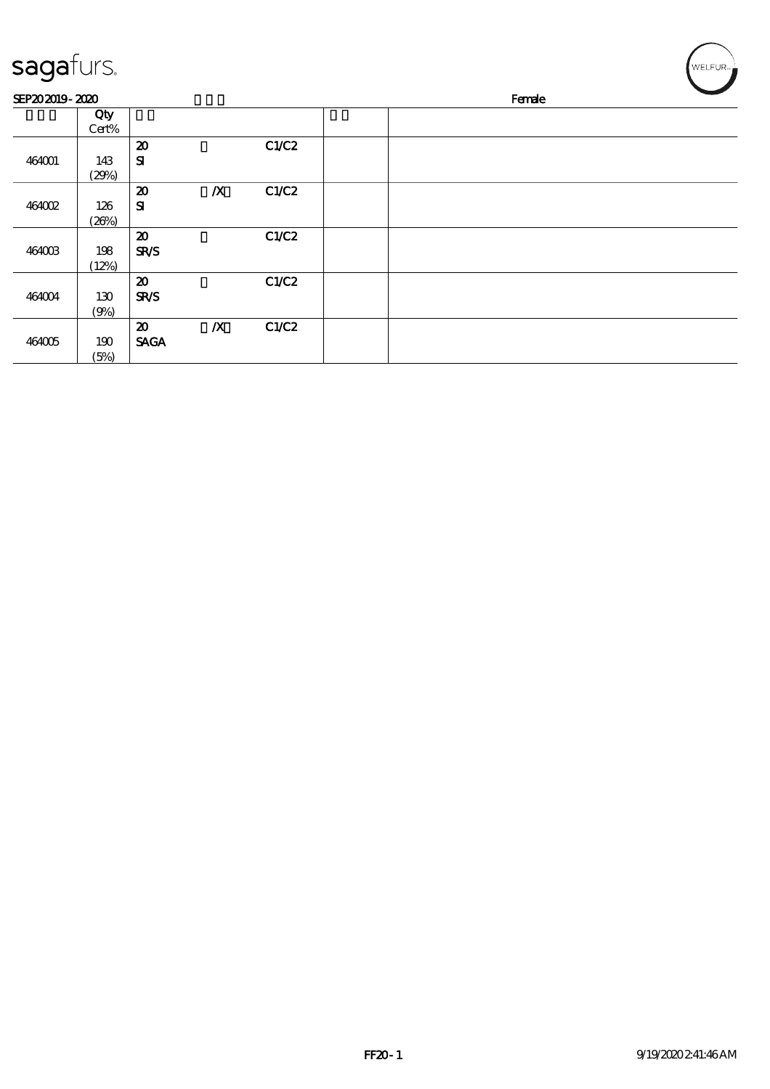| sagafurs.      |       |                             |                  |       |        |  |  | WELFUR <sub>™</sub> |  |
|----------------|-------|-----------------------------|------------------|-------|--------|--|--|---------------------|--|
| SEP202019-2020 |       |                             |                  |       | Female |  |  |                     |  |
|                | Qty   |                             |                  |       |        |  |  |                     |  |
|                | Cert% |                             |                  |       |        |  |  |                     |  |
|                |       | $\boldsymbol{\mathfrak{D}}$ |                  | C1/C2 |        |  |  |                     |  |
| 464001         | 143   | ${\bf s}$                   |                  |       |        |  |  |                     |  |
|                | (29%) |                             |                  |       |        |  |  |                     |  |
|                |       | $\boldsymbol{\mathfrak{D}}$ | $\boldsymbol{X}$ | C1/C2 |        |  |  |                     |  |
| 464002         | 126   | ${\bf s}$                   |                  |       |        |  |  |                     |  |
|                | (20%) |                             |                  |       |        |  |  |                     |  |
|                |       | $\boldsymbol{\mathbf{z}}$   |                  | C1/C2 |        |  |  |                     |  |
| 464003         | 198   | <b>SR/S</b>                 |                  |       |        |  |  |                     |  |
|                | (12%) |                             |                  |       |        |  |  |                     |  |
|                |       | $\boldsymbol{\mathbf{z}}$   |                  | C1/C2 |        |  |  |                     |  |
| 464004         | 130   | <b>SR/S</b>                 |                  |       |        |  |  |                     |  |
|                | (9%)  |                             |                  |       |        |  |  |                     |  |
|                |       | $\boldsymbol{\mathfrak{D}}$ | $\boldsymbol{X}$ | C1/C2 |        |  |  |                     |  |
| 464005         | 190   | <b>SAGA</b>                 |                  |       |        |  |  |                     |  |
|                | (5%)  |                             |                  |       |        |  |  |                     |  |

╭  $\overline{\phantom{0}}$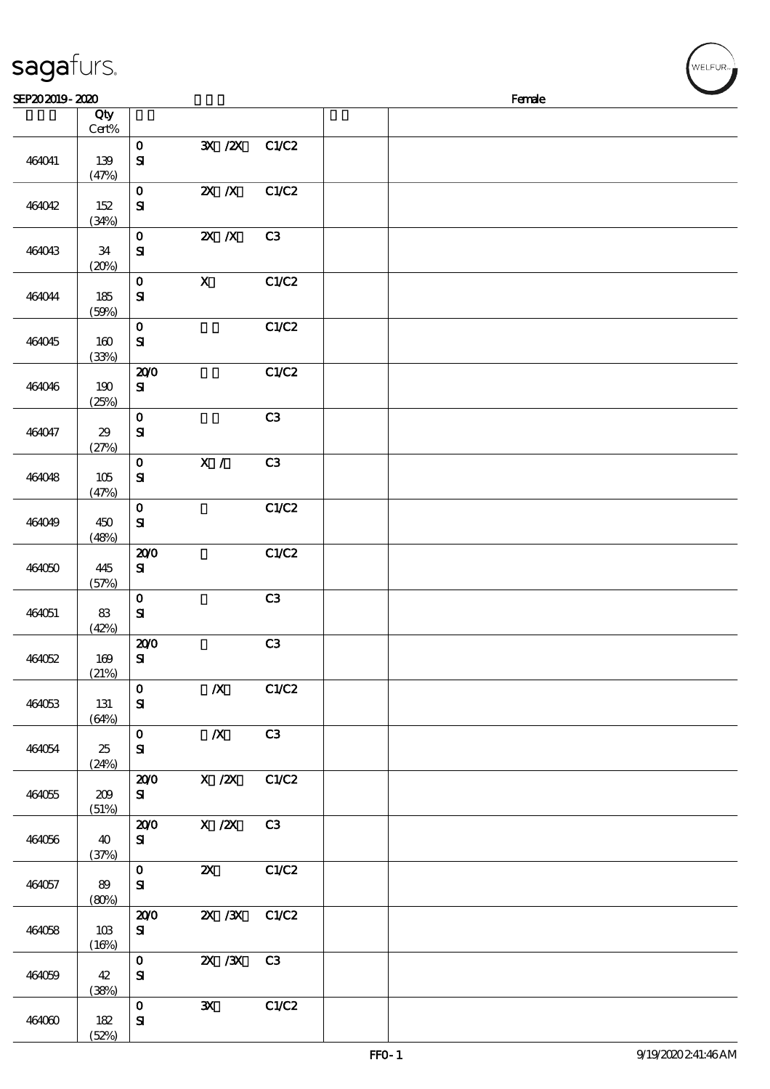| SEP202019-2020 |              |                                           |                           |                |  | Female |  |
|----------------|--------------|-------------------------------------------|---------------------------|----------------|--|--------|--|
|                | Qty          |                                           |                           |                |  |        |  |
|                | Cert%        |                                           |                           |                |  |        |  |
| 464041         | 139<br>(47%) | $\mathbf O$<br>$\mathbf{S}$               | 3X /2X                    | C1/C2          |  |        |  |
| 464042         | 152<br>(34%) | $\mathbf{o}$<br>${\bf S}$                 | $X$ $N$                   | C1/C2          |  |        |  |
| 464043         | 34<br>(20%)  | $\mathbf O$<br>${\bf S\!I}$               | $X$ $N$                   | C <sub>3</sub> |  |        |  |
| 464044         | 185<br>(50%) | $\mathbf O$<br>$\mathbf{S}$               | $\mathbf X$               | C1/C2          |  |        |  |
| 464045         | 160<br>(33%) | $\mathbf O$<br>${\bf S}$                  |                           | C1/C2          |  |        |  |
| 464046         | 190<br>(25%) | 200<br>${\bf s}$                          |                           | C1/C2          |  |        |  |
| 464047         | 29<br>(27%)  | $\bf{0}$<br>$\mathbf{S}$                  |                           | C3             |  |        |  |
| 464048         | 105<br>(47%) | $\mathbf O$<br>${\bf S}$                  | X /                       | C <sub>3</sub> |  |        |  |
| 464049         | 450<br>(48%) | $\mathbf 0$<br>${\bf S\hspace{-.075ex}I}$ |                           | C1/C2          |  |        |  |
| 464050         | 445<br>(57%) | 200<br>$\bf S$                            |                           | C1/C2          |  |        |  |
| 464051         | 83<br>(42%)  | $\mathbf O$<br>${\bf s}$                  |                           | C3             |  |        |  |
| 464052         | 169<br>(21%) | 200<br>${\bf S}$                          |                           | C <sub>3</sub> |  |        |  |
| 464053         | 131<br>(64%) | $\mathbf 0$<br>${\bf S}$                  | $\boldsymbol{X}$          | C1/C2          |  |        |  |
| 464054         | 25<br>(24%)  | $\mathbf 0$<br>${\bf s}$                  | $\boldsymbol{X}$          | C3             |  |        |  |
| 464055         | 209<br>(51%) | 200<br>${\bf s}$                          | $X$ / $ZX$                | C1/C2          |  |        |  |
| 464056         | 40<br>(37%)  | 200<br>${\bf s}$                          | $X$ / $ZX$                | C3             |  |        |  |
| 464057         | 89<br>(80%)  | $\mathbf{O}$<br>${\bf S\!I}$              | $\boldsymbol{\mathsf{X}}$ | C1/C2          |  |        |  |
| 464058         | 10B<br>(16%) | 200<br>${\bf s}$                          | $X \, X$                  | C1/C2          |  |        |  |
| 464059         | 42<br>(38%)  | $\mathbf{o}$<br>${\bf S}$                 | 2X / 3X                   | C3             |  |        |  |
| 464060         | 182          | $\mathbf{o}$<br>${\bf s}$                 | $\mathbf{x}$              | C1/C2          |  |        |  |

sagafurs.

(52%)

WELFUR<sub>"</sub>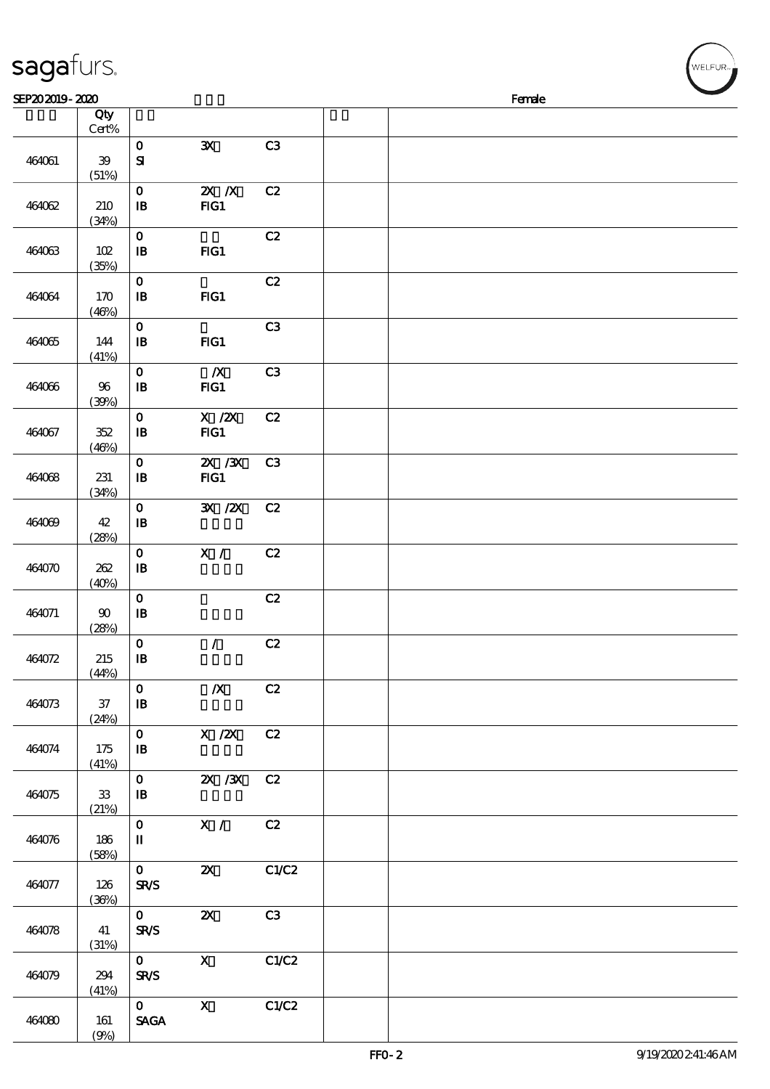| sagafurs.      |                       |                               |                                                                                                                                                                                                                                                                                                                                 |                |  |        | WELFUR <sub>™</sub> |
|----------------|-----------------------|-------------------------------|---------------------------------------------------------------------------------------------------------------------------------------------------------------------------------------------------------------------------------------------------------------------------------------------------------------------------------|----------------|--|--------|---------------------|
| SEP202019-2020 |                       |                               |                                                                                                                                                                                                                                                                                                                                 |                |  | Female |                     |
|                | Qty<br>Cert%          |                               |                                                                                                                                                                                                                                                                                                                                 |                |  |        |                     |
|                |                       | $\mathbf 0$                   | ${\bf x}$                                                                                                                                                                                                                                                                                                                       | C3             |  |        |                     |
| 464061         | ${\bf 39}$            | ${\bf s}$                     |                                                                                                                                                                                                                                                                                                                                 |                |  |        |                     |
|                | (51%)                 |                               |                                                                                                                                                                                                                                                                                                                                 |                |  |        |                     |
|                |                       | $\mathbf{o}$                  | $X$ $N$                                                                                                                                                                                                                                                                                                                         | C2             |  |        |                     |
| 464062         | 210                   | $\, {\bf I} \! {\bf B} \,$    | FG1                                                                                                                                                                                                                                                                                                                             |                |  |        |                     |
|                | (34%)                 |                               |                                                                                                                                                                                                                                                                                                                                 |                |  |        |                     |
|                |                       | $\mathbf 0$                   |                                                                                                                                                                                                                                                                                                                                 | C2             |  |        |                     |
| 464063         | 102                   | $\, {\bf B}$                  | $HG1$                                                                                                                                                                                                                                                                                                                           |                |  |        |                     |
|                | (35%)                 |                               |                                                                                                                                                                                                                                                                                                                                 |                |  |        |                     |
|                |                       | $\mathbf O$                   |                                                                                                                                                                                                                                                                                                                                 | C2             |  |        |                     |
| 464064         | 170                   | ${\bf I\!B}$                  | FIG1                                                                                                                                                                                                                                                                                                                            |                |  |        |                     |
|                | (46%)                 | $\mathbf{o}$                  |                                                                                                                                                                                                                                                                                                                                 | C <sub>3</sub> |  |        |                     |
| 464065         | 144                   | $\, {\bf I} \! {\bf B} \,$    | FIG1                                                                                                                                                                                                                                                                                                                            |                |  |        |                     |
|                | (41%)                 |                               |                                                                                                                                                                                                                                                                                                                                 |                |  |        |                     |
|                |                       | $\mathbf 0$                   | $\boldsymbol{X}$                                                                                                                                                                                                                                                                                                                | C3             |  |        |                     |
| 464066         | 96                    | $\, {\bf B}$                  | FIG1                                                                                                                                                                                                                                                                                                                            |                |  |        |                     |
|                | (30%)                 |                               |                                                                                                                                                                                                                                                                                                                                 |                |  |        |                     |
|                |                       | $\mathbf 0$                   | $X$ / $ZX$                                                                                                                                                                                                                                                                                                                      | C2             |  |        |                     |
| 464067         | 352                   | ${\bf I\!B}$                  | FG1                                                                                                                                                                                                                                                                                                                             |                |  |        |                     |
|                | (46%)                 |                               |                                                                                                                                                                                                                                                                                                                                 |                |  |        |                     |
|                |                       | $\mathbf 0$                   | $ZX$ / $ZX$                                                                                                                                                                                                                                                                                                                     | C <sub>3</sub> |  |        |                     |
| 464068         | 231                   | $\, {\bf I} \! {\bf B} \,$    | $HG1$                                                                                                                                                                                                                                                                                                                           |                |  |        |                     |
|                | (34%)                 |                               | $\mathbf{X}$ / $\mathbf{X}$                                                                                                                                                                                                                                                                                                     |                |  |        |                     |
| 464069         | 42                    | $\mathbf O$<br>$\mathbf{B}$   |                                                                                                                                                                                                                                                                                                                                 | C2             |  |        |                     |
|                | (28%)                 |                               |                                                                                                                                                                                                                                                                                                                                 |                |  |        |                     |
|                |                       | $\mathbf O$                   | X /                                                                                                                                                                                                                                                                                                                             | C2             |  |        |                     |
| 464070         | 262                   | $\, {\bf I} \! {\bf B} \,$    |                                                                                                                                                                                                                                                                                                                                 |                |  |        |                     |
|                | (40%)                 |                               |                                                                                                                                                                                                                                                                                                                                 |                |  |        |                     |
|                |                       | $\mathbf 0$                   |                                                                                                                                                                                                                                                                                                                                 | C2             |  |        |                     |
| 464071         | $\boldsymbol{\omega}$ | ${\bf I\!B}$                  |                                                                                                                                                                                                                                                                                                                                 |                |  |        |                     |
|                | (28%)                 |                               |                                                                                                                                                                                                                                                                                                                                 |                |  |        |                     |
|                |                       | $\mathbf 0$                   | $\mathcal{L}$                                                                                                                                                                                                                                                                                                                   | C2             |  |        |                     |
| 464072         | 215                   | $\, {\bf I} \! {\bf B} \,$    |                                                                                                                                                                                                                                                                                                                                 |                |  |        |                     |
|                | (44%)                 | $\mathbf{o}$                  | $\boldsymbol{X}$                                                                                                                                                                                                                                                                                                                | C2             |  |        |                     |
| 464073         | $37\,$                | $\mathbf{B}$                  |                                                                                                                                                                                                                                                                                                                                 |                |  |        |                     |
|                | (24%)                 |                               |                                                                                                                                                                                                                                                                                                                                 |                |  |        |                     |
|                |                       | $\mathbf{O}$                  | X / ZX                                                                                                                                                                                                                                                                                                                          | C2             |  |        |                     |
| 464074         | 175                   | $\mathbf{B}$                  |                                                                                                                                                                                                                                                                                                                                 |                |  |        |                     |
|                | (41%)                 |                               |                                                                                                                                                                                                                                                                                                                                 |                |  |        |                     |
|                |                       | $\mathbf{0}$                  | 2X / 3X C 2                                                                                                                                                                                                                                                                                                                     |                |  |        |                     |
| 464075         | 33                    | $\mathbf{B}$                  |                                                                                                                                                                                                                                                                                                                                 |                |  |        |                     |
|                | (21%)                 | $\mathbf{0}$                  | $\overline{X}$ /                                                                                                                                                                                                                                                                                                                | C2             |  |        |                     |
| 464076         | 186                   | $\mathbf I$                   |                                                                                                                                                                                                                                                                                                                                 |                |  |        |                     |
|                | (58%)                 |                               |                                                                                                                                                                                                                                                                                                                                 |                |  |        |                     |
|                |                       | $\mathbf{O}$                  | $\boldsymbol{\alpha}$                                                                                                                                                                                                                                                                                                           | C1/C2          |  |        |                     |
| 464077         | 126                   | <b>SR/S</b>                   |                                                                                                                                                                                                                                                                                                                                 |                |  |        |                     |
|                | (36%)                 |                               |                                                                                                                                                                                                                                                                                                                                 |                |  |        |                     |
|                |                       | $\mathbf{O}$                  | $\boldsymbol{\mathsf{Z}}$                                                                                                                                                                                                                                                                                                       | C3             |  |        |                     |
| 464078         | 41                    | <b>SR/S</b>                   |                                                                                                                                                                                                                                                                                                                                 |                |  |        |                     |
|                | (31%)                 | $\mathbf{O}$                  | $\mathbf{X}$                                                                                                                                                                                                                                                                                                                    | C1/C2          |  |        |                     |
| 464079         | 294                   | <b>SR/S</b>                   |                                                                                                                                                                                                                                                                                                                                 |                |  |        |                     |
|                | (41%)                 |                               |                                                                                                                                                                                                                                                                                                                                 |                |  |        |                     |
|                |                       | $\mathbf{O}$ and $\mathbf{O}$ | $\mathbf x$ and $\mathbf x$ and $\mathbf x$ and $\mathbf x$ and $\mathbf x$ and $\mathbf x$ and $\mathbf x$ and $\mathbf x$ and $\mathbf x$ and $\mathbf x$ and $\mathbf x$ and $\mathbf x$ and $\mathbf x$ and $\mathbf x$ and $\mathbf x$ and $\mathbf x$ and $\mathbf x$ and $\mathbf x$ and $\mathbf x$ and $\mathbf x$ and | C1/C2          |  |        |                     |

464080 161

 $(9%)$ 

SAGA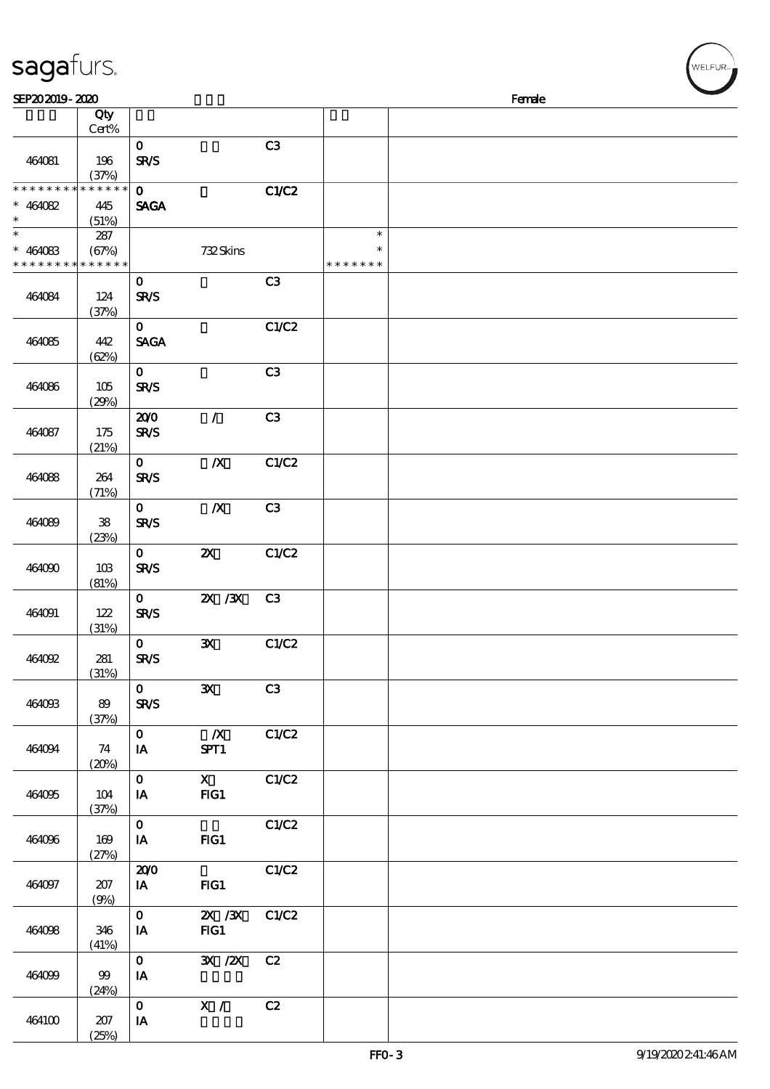| sagafurs.                                                        |                 |                             |                                    |                |                                   |        |  |
|------------------------------------------------------------------|-----------------|-----------------------------|------------------------------------|----------------|-----------------------------------|--------|--|
| SEP202019-2020                                                   |                 |                             |                                    |                |                                   | Female |  |
|                                                                  | Qty<br>$Cert\%$ |                             |                                    |                |                                   |        |  |
| 464081                                                           | 196<br>(37%)    | $\mathbf{O}$<br><b>SR/S</b> |                                    | C3             |                                   |        |  |
| * * * * * * * * * * * * * *<br>$* 464082$<br>$\ast$              | 445<br>(51%)    | $\mathbf{O}$<br><b>SAGA</b> |                                    | C1/C2          |                                   |        |  |
| $\ast$<br>$* 464083$<br>* * * * * * * * <mark>* * * * * *</mark> | 287<br>(67%)    |                             | 732Skins                           |                | $\ast$<br>$\ast$<br>* * * * * * * |        |  |
| 464084                                                           | 124<br>(37%)    | $\mathbf{O}$<br><b>SR/S</b> |                                    | C3             |                                   |        |  |
| 464085                                                           | 442<br>(62%)    | $\mathbf{O}$<br><b>SAGA</b> |                                    | C1/C2          |                                   |        |  |
| 464086                                                           | 105<br>(29%)    | $\mathbf{O}$<br><b>SR/S</b> |                                    | C3             |                                   |        |  |
| 464087                                                           | 175<br>(21%)    | 200<br><b>SR/S</b>          | $\mathcal{L}$                      | C3             |                                   |        |  |
| 464088                                                           | 264<br>(71%)    | $\mathbf{O}$<br><b>SR/S</b> | $\boldsymbol{X}$                   | C1/C2          |                                   |        |  |
| 464089                                                           | 38<br>(23%)     | $\mathbf{O}$<br><b>SR/S</b> | $\boldsymbol{X}$                   | C3             |                                   |        |  |
| 464090                                                           | 10B<br>(81%)    | $\mathbf{O}$<br><b>SR/S</b> | $\pmb{\mathsf{zx}}$                | C1/C2          |                                   |        |  |
| 464091                                                           | 122<br>(31%)    | $\mathbf{O}$<br><b>SR/S</b> | $X \, X$                           | C <sub>3</sub> |                                   |        |  |
| 464092                                                           | 281<br>(31%)    | $\mathbf{0}$<br><b>SR/S</b> | $\mathbf{x}$                       | C1/C2          |                                   |        |  |
| 464093                                                           | 89<br>(37%)     | $\mathbf{O}$<br><b>SR/S</b> | $\mathbf{x}$                       | C3             |                                   |        |  |
| 464094                                                           | 74<br>(20%)     | $\mathbf{O}$<br>IA          | $\mathbb{X}$<br>SPT1               | C1/C2          |                                   |        |  |
| 464095                                                           | 104<br>(37%)    | $\mathbf{O}$<br>IA          | $\mathbf X$<br>FG1                 | C1/C2          |                                   |        |  |
| 464096                                                           | 169<br>(27%)    | $\mathbf{O}$<br><b>IA</b>   | $HG1$                              | C1/C2          |                                   |        |  |
| 464097                                                           | 207<br>(9%)     | 200<br>$I$ A                | $HG1$                              | C1/C2          |                                   |        |  |
| 464098                                                           | 346<br>(41%)    | $\mathbf{O}$<br>IA          | $\mathbf{X}$ / $\mathbf{X}$<br>FG1 | C1/C2          |                                   |        |  |
| 464099                                                           | 99<br>(24%)     | $\mathbf{O}$<br>IA          | 3X / ZX                            | C2             |                                   |        |  |
| 464100                                                           | 207             | $\mathbf{O}$<br>IA          | X / C2                             |                |                                   |        |  |

(25%)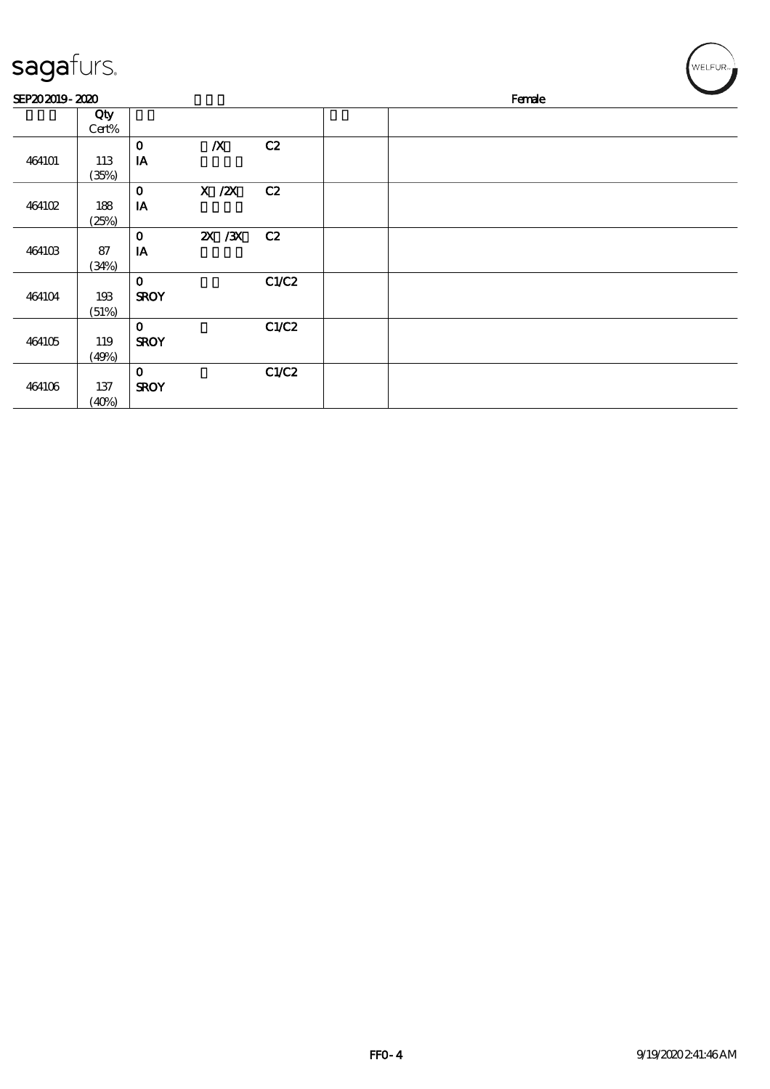| sagafurs.      |              |                             |                  |       |  |        | WELFUR <sub>™</sub> |
|----------------|--------------|-----------------------------|------------------|-------|--|--------|---------------------|
| SEP202019-2020 |              |                             |                  |       |  | Female |                     |
|                | Qty<br>Cert% |                             |                  |       |  |        |                     |
| 464101         | 113<br>(35%) | $\mathbf{o}$<br>IA          | $\boldsymbol{X}$ | C2    |  |        |                     |
| 464102         | 188<br>(25%) | $\mathbf{o}$<br>$I\!\!A$    | $X$ / $ZX$       | C2    |  |        |                     |
| 464103         | 87<br>(34%)  | $\mathbf{o}$<br>IA          | $X \, X$         | C2    |  |        |                     |
| 464104         | 193<br>(51%) | $\mathbf{o}$<br><b>SROY</b> |                  | C1/C2 |  |        |                     |
| 464105         | 119<br>(49%) | $\mathbf{o}$<br><b>SROY</b> |                  | C1/C2 |  |        |                     |
| 464106         | 137<br>(40%) | $\mathbf 0$<br><b>SROY</b>  |                  | C1/C2 |  |        |                     |

╭  $\overline{\phantom{0}}$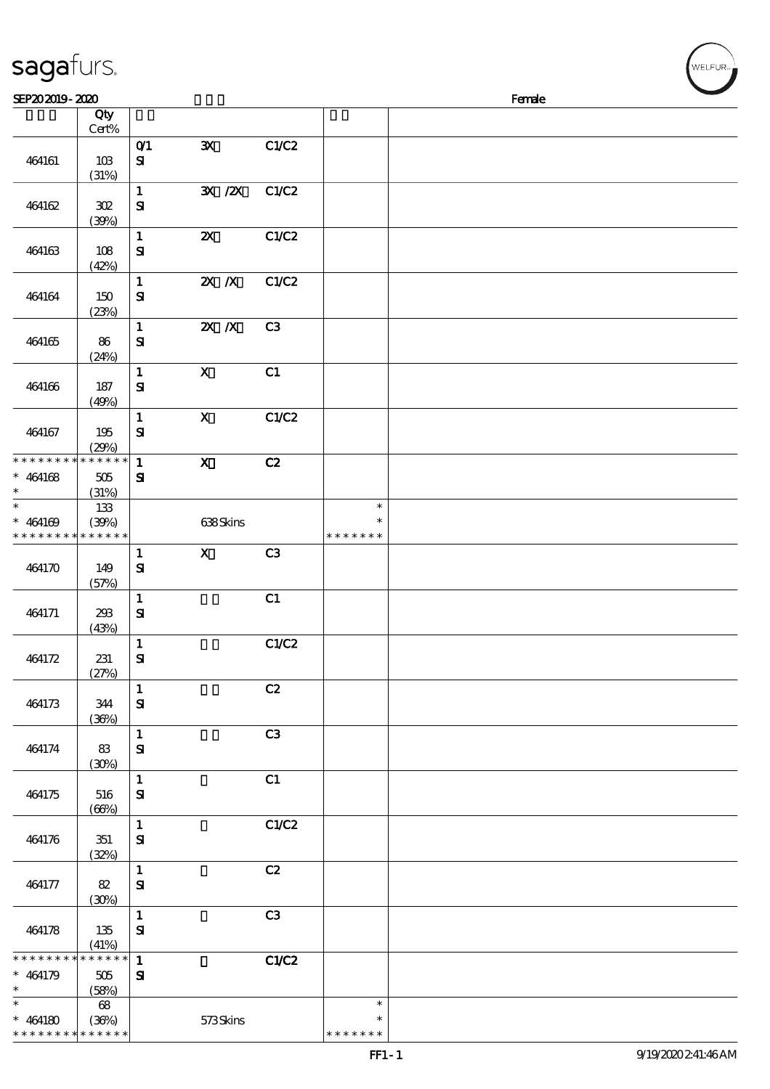| sagafurs.                                                        |                             |                              |                             |                |                                   |        | WELFUR <sub>™</sub> |
|------------------------------------------------------------------|-----------------------------|------------------------------|-----------------------------|----------------|-----------------------------------|--------|---------------------|
| SEP202019-2020                                                   |                             |                              |                             |                |                                   | Female |                     |
|                                                                  | Qty<br>Cert%                |                              |                             |                |                                   |        |                     |
| 464161                                                           | 10B<br>(31%)                | O(1)<br>$\mathbf{S}$         | $\mathbf{x}$                | C1/C2          |                                   |        |                     |
| 464162                                                           | 302<br>(30%)                | $\mathbf{1}$<br>${\bf s}$    | $\mathbf{X}$ / $\mathbf{X}$ | C1/C2          |                                   |        |                     |
| 464163                                                           | 108<br>(42%)                | $\mathbf{1}$<br>$\mathbf{S}$ | $\boldsymbol{\mathsf{X}}$   | C1/C2          |                                   |        |                     |
| 464164                                                           | 150<br>(23%)                | $\mathbf{1}$<br>$\mathbf{S}$ | $\mathbf{X}$ $\mathbf{X}$   | C1/C2          |                                   |        |                     |
| 464165                                                           | 86<br>(24%)                 | $\mathbf{1}$<br>${\bf S}$    | $X$ $X$                     | C <sub>3</sub> |                                   |        |                     |
| 464166                                                           | 187<br>(49%)                | $\mathbf{1}$<br>${\bf s}$    | $\boldsymbol{\mathrm{X}}$   | C1             |                                   |        |                     |
| 464167                                                           | 195<br>(29%)                | $\mathbf{1}$<br>${\bf S}$    | $\mathbf X$                 | C1/C2          |                                   |        |                     |
| * * * * * * * *<br>$* 464168$                                    | * * * * * *<br>505<br>(31%) | $\mathbf{1}$<br>${\bf s}$    | $\boldsymbol{\mathrm{X}}$   | C2             |                                   |        |                     |
| $\ast$<br>$* 464169$<br>* * * * * * * * <mark>* * * * * *</mark> | 133<br>(30%)                |                              | 638Skins                    |                | $\ast$<br>$\ast$<br>* * * * * * * |        |                     |
| 464170                                                           | 149<br>(57%)                | $\mathbf{1}$<br>$\mathbf{S}$ | $\mathbf X$                 | C <sub>3</sub> |                                   |        |                     |
| 464171                                                           | 298<br>(43%)                | $\mathbf{1}$<br>${\bf S}$    |                             | C1             |                                   |        |                     |
| 464172                                                           | 231<br>(27%)                | $\mathbf{1}$<br>${\bf s}$    |                             | C1/C2          |                                   |        |                     |
| 464173                                                           | 344<br>(36%)                | $\mathbf{1}$<br>${\bf S}$    |                             | C2             |                                   |        |                     |
| 464174                                                           | 83<br>(30%)                 | $\mathbf{1}$<br>${\bf S}$    |                             | C3             |                                   |        |                     |
| 464175                                                           | 516<br>(66%)                | $\mathbf{1}$<br>${\bf s}$    |                             | C1             |                                   |        |                     |
| 464176                                                           | 351<br>(32%)                | $\mathbf{1}$<br>${\bf S}$    |                             | C1/C2          |                                   |        |                     |
| 464177                                                           | $82\,$<br>(30%)             | $\mathbf{1}$<br>${\bf s}$    |                             | C2             |                                   |        |                     |
| 464178                                                           | 135<br>(41%)                | $\mathbf{1}$<br>${\bf s}$    |                             | C3             |                                   |        |                     |
| * * * * * * * *                                                  | * * * * * *                 | $\mathbf{1}$                 |                             | C1/C2          |                                   |        |                     |
| $* 464179$<br>$\ast$<br>$\ast$                                   | 505<br>(58%)                | ${\bf s}$                    |                             |                | $\ast$                            |        |                     |
| $* 464180$                                                       | 68<br>(36%)                 |                              | 573Skins                    |                | $\ast$                            |        |                     |

\* \* \* \* \* \*

\* \* \* \* \* \*

\* \* \* \* \*

\*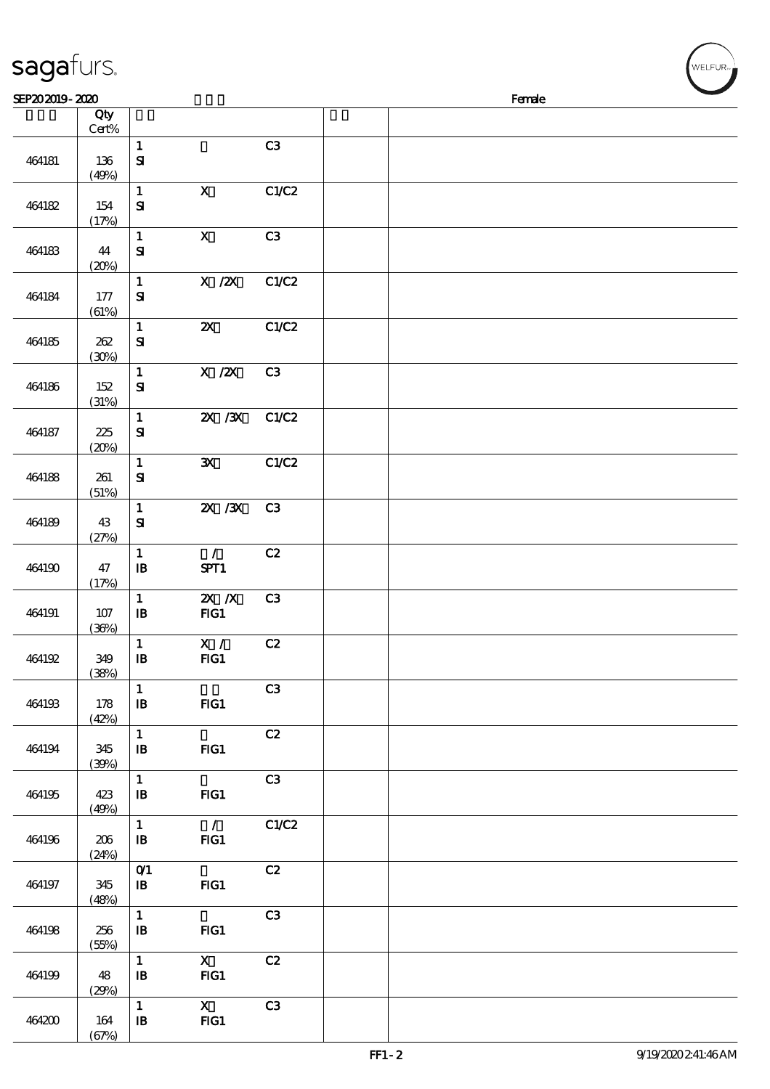| sagafurs.      |                 |                                                                  |                                 |                |  |        |  |
|----------------|-----------------|------------------------------------------------------------------|---------------------------------|----------------|--|--------|--|
| SEP202019-2020 |                 |                                                                  |                                 |                |  | Female |  |
|                | Qty<br>$Cert\%$ |                                                                  |                                 |                |  |        |  |
| 464181         | 136<br>(49%)    | $\mathbf{1}$<br>${\bf s}$                                        |                                 | C3             |  |        |  |
| 464182         | 154<br>(17%)    | $\mathbf{1}$<br>${\bf s}$                                        | $\mathbf X$                     | C1/C2          |  |        |  |
| 464183         | 44<br>(20%)     | $\mathbf{1}$<br>${\bf S}$                                        | $\mathbf X$                     | C3             |  |        |  |
| 464184         | 177<br>(61%)    | $\mathbf{1}$<br>${\bf s}$                                        | $X$ / $ZX$                      | C1/C2          |  |        |  |
| 464185         | 262<br>(30%)    | $\mathbf{1}$<br>${\bf s}$                                        | $\boldsymbol{\mathsf{X}}$       | C1/C2          |  |        |  |
| 464186         | 152<br>(31%)    | $\mathbf{1}$<br>${\bf s}$                                        | X / ZX                          | C3             |  |        |  |
| 464187         | 225<br>(20%)    | $\mathbf{1}$<br>$\mathbf{S}$                                     | 2X / 3X                         | C1/C2          |  |        |  |
| 464188         | 261<br>(51%)    | $\mathbf{1}$<br>${\bf s}$                                        | $\mathbf{x}$                    | <b>C1/C2</b>   |  |        |  |
| 464189         | 43<br>(27%)     | $\mathbf{1}$<br>${\bf s}$                                        | $\mathbf{X}$ / $\mathbf{X}$     | C <sub>3</sub> |  |        |  |
| 464190         | 47<br>(17%)     | $\mathbf 1$<br>$\mathbf{B}$                                      | $\mathcal{L}$<br>SPT1           | C2             |  |        |  |
| 464191         | 107<br>(36%)    | $\mathbf{1}$<br>$\mathbf{B}$                                     | $X$ $N$<br>FG1                  | C <sub>3</sub> |  |        |  |
| 464192         | 349<br>(38%)    | $\mathbf{1}$<br>$\mathbf{B}$                                     | X /<br>FG1                      | C2             |  |        |  |
| 464193         | 178<br>(42%)    | $\mathbf{1}$<br>$\mathbf{B}$                                     | $HG1$                           | C <sub>3</sub> |  |        |  |
| 464194         | 345<br>(30%)    | $\mathbf{1}$<br>$\, {\bf I} \! {\bf B} \,$                       | $HG1$                           | C2             |  |        |  |
| 464195         | 423<br>(49%)    | $\mathbf{1}$<br>$\, {\bf I} \! {\bf B} \,$                       | FG1                             | C3             |  |        |  |
| 464196         | 206<br>(24%)    | $\mathbf{1}$<br>$\, {\bf B}$                                     | $\overline{\phantom{a}}$<br>FG1 | C1/C2          |  |        |  |
| 464197         | 345<br>(48%)    | $O$ <sup><math>\prime</math></sup><br>$\, {\bf I} \! {\bf B} \,$ | $HG1$                           | C2             |  |        |  |
| 464198         | 256<br>(55%)    | $\mathbf{1}$<br>$\mathbf{B}$                                     | FG1                             | C3             |  |        |  |
| 464199         | 48<br>(29%)     | $\mathbf{1}$<br>$\mathbf{B}$                                     | $\mathbf{X}$<br>$HG1$           | C2             |  |        |  |
| 464200         | 164             | $\mathbf{1}$<br>${\bf I\!B}$                                     | $\mathbf{x}$<br>FG1             | C3             |  |        |  |

 $(67%)$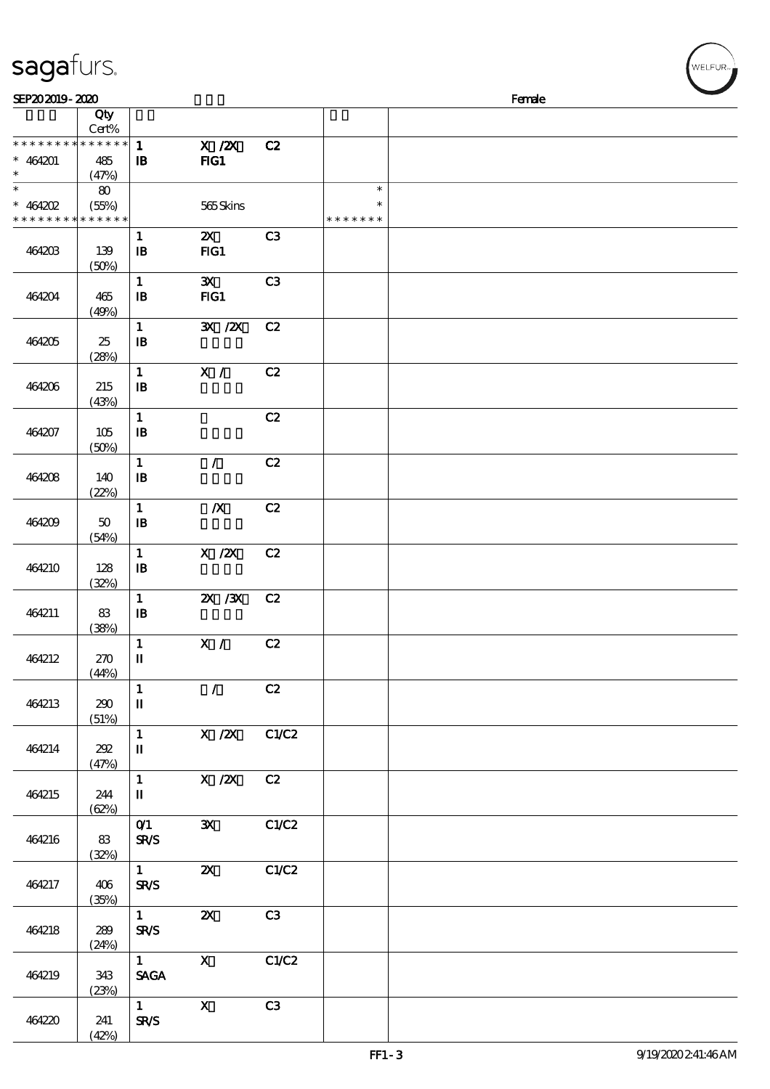| SEP202019-2020                          |                            |                                               |                                    |                |                                   | Female |  |
|-----------------------------------------|----------------------------|-----------------------------------------------|------------------------------------|----------------|-----------------------------------|--------|--|
|                                         | Qty                        |                                               |                                    |                |                                   |        |  |
| * * * * * * * *                         | $Cert\%$<br>******         | $\mathbf{1}$                                  | $X$ / $ZX$                         | C2             |                                   |        |  |
| $* 464201$<br>$\ast$                    | 485<br>(47%)               | $\mathbf{B}$                                  | $HG1$                              |                |                                   |        |  |
| $\ast$<br>$*$ 464202<br>* * * * * * * * | 80<br>(55%)<br>* * * * * * |                                               | 565Skins                           |                | $\ast$<br>$\ast$<br>* * * * * * * |        |  |
| 464203                                  | 139<br>(50%)               | $\mathbf{1}$<br>$\mathbf{B}$                  | $\boldsymbol{\mathsf{X}}$<br>$HG1$ | C <sub>3</sub> |                                   |        |  |
| 464204                                  | 465<br>(49%)               | $\mathbf{1}$<br>${\bf I\!B}$                  | $\mathbf{x}$<br>FG1                | C3             |                                   |        |  |
| 464205                                  | 25<br>(28%)                | $\mathbf{1}$<br>$\, {\bf B}$                  | $\mathbf{X}$ / $\mathbf{X}$        | C2             |                                   |        |  |
| 464206                                  | 215<br>(43%)               | $\mathbf{1}$<br>$\mathbf{B}$                  | X /                                | C2             |                                   |        |  |
| 464207                                  | 105<br>(50%)               | $\mathbf{1}$<br>$\mathbf{B}$                  |                                    | C2             |                                   |        |  |
| 464208                                  | 140<br>(22%)               | $\mathbf{1}$<br>$\mathbf{B}$                  | $\mathcal{L}$                      | C2             |                                   |        |  |
| 464209                                  | 50<br>(54%)                | $\mathbf 1$<br>$\mathbf{B}$                   | $\boldsymbol{X}$                   | C2             |                                   |        |  |
| 464210                                  | 128<br>(32%)               | $\mathbf 1$<br>$\, {\bf B}$                   | $X$ / $ZX$                         | C2             |                                   |        |  |
| 464211                                  | 83<br>(38%)                | $\mathbf{1}$<br>$\, {\bf I} \! {\bf B} \,$    | $X \, X$                           | C2             |                                   |        |  |
| 464212                                  | 270<br>(44%)               | $\mathbf 1$<br>$\mathbf u$                    | X /                                | C2             |                                   |        |  |
| 464213                                  | 290<br>(51%)               | $\mathbf{1}$<br>$\rm I\hspace{-.1em}I$        | $\mathcal{L}$                      | C2             |                                   |        |  |
| 464214                                  | 202<br>(47%)               | $\mathbf{1}$<br>$\mathbf I$                   | $X$ / $ZX$                         | C1/C2          |                                   |        |  |
| 464215                                  | 244<br>(62%)               | $\mathbf{1}$<br>$\mathbf{I}\mathbf{I}$        | $X$ / $ZX$                         | C2             |                                   |        |  |
| 464216                                  | 83<br>(32%)                | O(1)<br><b>SR/S</b>                           | $\mathbf{x}$                       | C1/C2          |                                   |        |  |
| 464217                                  | 406<br>(35%)               | $\mathbf{1}$<br><b>SR/S</b>                   | $\boldsymbol{\mathsf{z}}$          | C1/C2          |                                   |        |  |
| 464218                                  | 289<br>(24%)               | $\mathbf{1}$<br><b>SR/S</b>                   | $\boldsymbol{\mathsf{z}}$          | C3             |                                   |        |  |
| 464219                                  | 343<br>(23%)               | $\mathbf{1}$<br><b>SAGA</b>                   | $\mathbf{x}$                       | C1/C2          |                                   |        |  |
| 464220                                  | 241                        | $\mathbf{1}$<br>${\mbox{\bf S\!R\!}}{\cal S}$ | $\mathbf X$                        | C3             |                                   |        |  |

(42%)

sagafurs.

.<br>WELFUR∍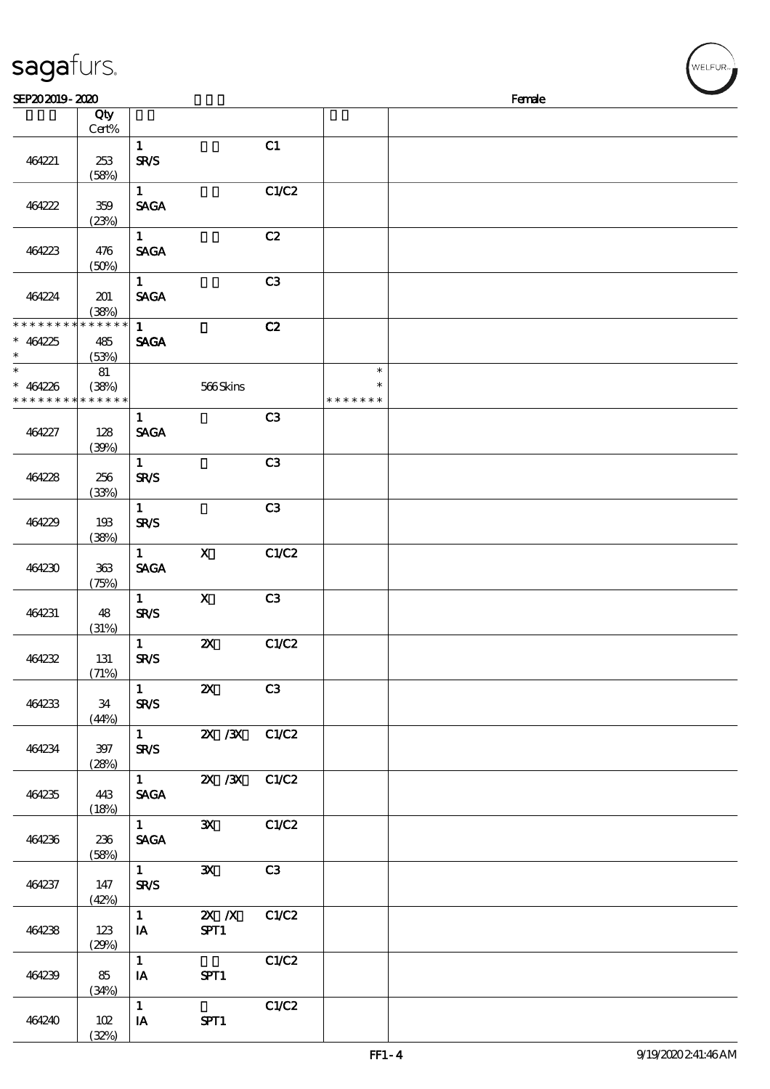| sagafurs.                                           |                          |                                       |                           |       |                         |        | WELFUR <sub>™</sub> |
|-----------------------------------------------------|--------------------------|---------------------------------------|---------------------------|-------|-------------------------|--------|---------------------|
| SEP202019-2020                                      |                          |                                       |                           |       |                         | Female |                     |
|                                                     | Qty<br>$Cert\%$          |                                       |                           |       |                         |        |                     |
| 464221                                              | 253<br>(58%)             | $\mathbf{1}$<br><b>SR/S</b>           |                           | C1    |                         |        |                     |
| 464222                                              | 359<br>(23%)             | $1 -$<br><b>SAGA</b>                  |                           | C1/C2 |                         |        |                     |
| 464223                                              | 476<br>(50%)             | $1 -$<br><b>SAGA</b>                  |                           | C2    |                         |        |                     |
| 464224                                              | 201<br>(38%)             | $\mathbf{1}$<br><b>SACA</b>           |                           | C3    |                         |        |                     |
| * * * * * * * *<br>$* 464225$<br>$\ast$             | $******$<br>485<br>(53%) | $\mathbf{1}$<br><b>SAGA</b>           |                           | C2    |                         |        |                     |
| $\ast$<br>$* 464226$<br>* * * * * * * * * * * * * * | 81<br>(38%)              |                                       | 566Skins                  |       | $\ast$<br>* * * * * * * |        |                     |
| 464227                                              | 128<br>(30%)             | $\mathbf{1}$<br><b>SAGA</b>           |                           | C3    |                         |        |                     |
| 464228                                              | 256<br>(33%)             | $\mathbf{1}$<br><b>SR/S</b>           |                           | C3    |                         |        |                     |
| 464229                                              | 193<br>(38%)             | $\mathbf{1}$<br><b>SR/S</b>           |                           | C3    |                         |        |                     |
| 464230                                              | 363<br>(75%)             | $\mathbf{1}$<br><b>SACA</b>           | $\mathbf x$               | C1/C2 |                         |        |                     |
| 464231                                              | 48<br>(31%)              | $\mathbf{1}$<br><b>SR/S</b>           | $\boldsymbol{\mathrm{X}}$ | C3    |                         |        |                     |
| 464232                                              | 131<br>(71%)             | $\mathbf{1}$<br>SR/S                  | $\mathbf{Z}$ $\mathbf{X}$ | C1/C2 |                         |        |                     |
| 464233                                              | 34<br>(44%)              | $1 \quad \blacksquare$<br>SR/S        | ZX                        | C3    |                         |        |                     |
| 464234                                              | 397<br>(28%)             | $1 \quad \square$<br><b>SR/S</b>      | 2X /3X C1/C2              |       |                         |        |                     |
| 464235                                              | 443<br>(18%)             | <b>SAGA</b>                           | 1 $\frac{2X}{3X}$ C1/C2   |       |                         |        |                     |
| 464236                                              | 236<br>(58%)             | $1$ and $1$<br><b>SAGA</b>            | $\mathbf{x}$              | C1/C2 |                         |        |                     |
| 464237                                              | 147<br>(42%)             | $1 \quad \blacksquare$<br><b>SR/S</b> | $\mathbf{x}$              | C3    |                         |        |                     |
| 464238                                              | 123<br>(29%)             | $\mathbf{1}$<br>IA                    | $X \, X$<br>SPT1          | C1/C2 |                         |        |                     |
| 464239                                              | 85<br>(34%)              | $\mathbf{1}$<br>IA                    | SPT1                      | C1/C2 |                         |        |                     |
| 464240                                              | 102                      | $\mathbf{1}$<br>$I$ A                 | SPT1                      | C1/C2 |                         |        |                     |

(32%)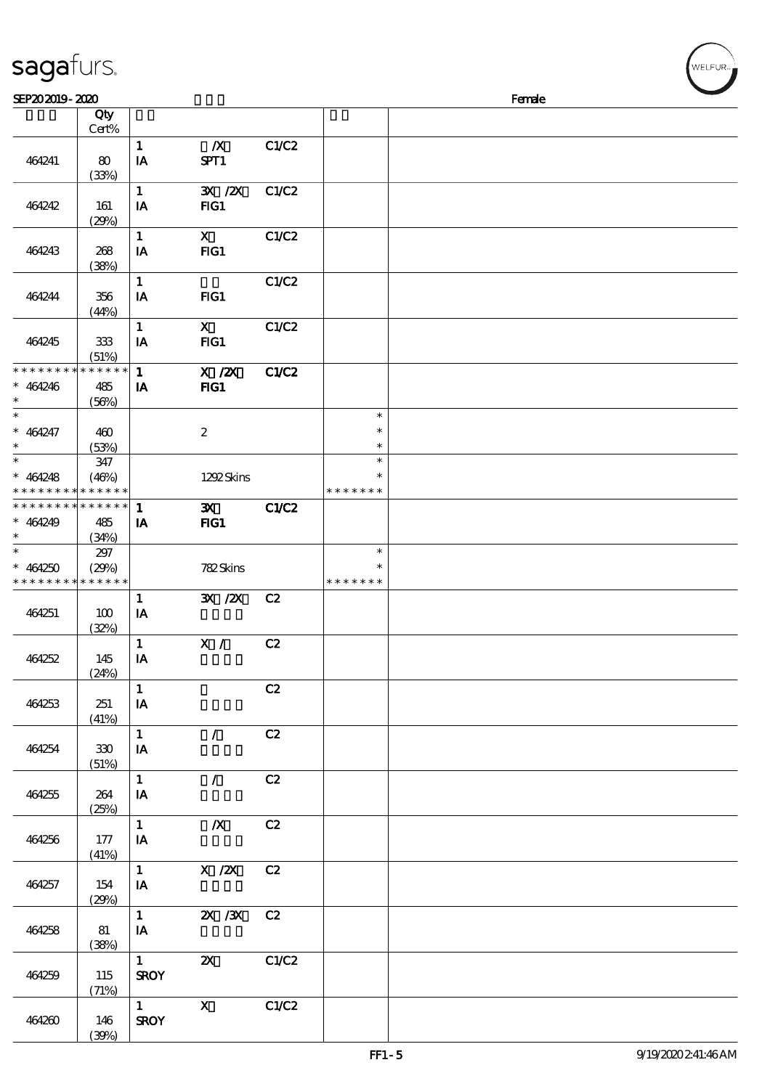| sagafurs.                                                        |                             |                                         |                                                                                             |              |                                   |        | WELFUR <sub>™</sub> |
|------------------------------------------------------------------|-----------------------------|-----------------------------------------|---------------------------------------------------------------------------------------------|--------------|-----------------------------------|--------|---------------------|
| SEP202019-2020                                                   |                             |                                         |                                                                                             |              |                                   | Female |                     |
|                                                                  | Qty<br>Cert%                |                                         |                                                                                             |              |                                   |        |                     |
| 464241                                                           | 80<br>(33%)                 | $\mathbf{1}$<br>IA                      | $\boldsymbol{X}$<br>SPT1                                                                    | C1/C2        |                                   |        |                     |
| 464242                                                           | 161<br>(29%)                | $\mathbf{1}$<br>IA                      | 3X / 2X<br>FIG1                                                                             | <b>C1/C2</b> |                                   |        |                     |
| 464243                                                           | 268<br>(38%)                | $\mathbf 1$<br>IA                       | $\mathbf{X}$<br>$HG1$                                                                       | C1/C2        |                                   |        |                     |
| 464244                                                           | 356<br>(44%)                | $\mathbf{1}$<br>IA                      | FG1                                                                                         | C1/C2        |                                   |        |                     |
| 464245                                                           | 333<br>(51%)                | $\mathbf{1}$<br>${\bf I} {\bf A}$       | $\mathbf{x}$<br>FIG1                                                                        | C1/C2        |                                   |        |                     |
| * * * * * * * *<br>$* 464246$<br>$\ast$                          | * * * * * *<br>485<br>(56%) | $\mathbf{1}$<br>IA                      | $\overline{X}$ / $\overline{Z}X$<br>FIG1                                                    | C1/C2        |                                   |        |                     |
| $\ast$<br>$* 464247$                                             | 460<br>(53%)                |                                         | $\boldsymbol{2}$                                                                            |              | $\ast$<br>$\ast$<br>$\ast$        |        |                     |
| $\ast$<br>$* 464248$<br>* * * * *                                | 347<br>(46%)<br>* * * * * * |                                         | 1292Skins                                                                                   |              | $\ast$<br>$\ast$<br>* * * * * * * |        |                     |
| * * * * * * * *  <br>$* 464249$                                  | * * * * * *<br>485<br>(34%) | $\mathbf{1}$<br>IA                      | $\mathbf{x}$<br>$HG1$                                                                       | C1/C2        |                                   |        |                     |
| $\ast$<br>$* 464250$<br>* * * * * * * * <mark>* * * * * *</mark> | 297<br>(29%)                |                                         | 782Skins                                                                                    |              | $\ast$<br>$\ast$<br>* * * * * * * |        |                     |
| 464251                                                           | 100<br>(32%)                | $\mathbf{1}$<br>$\mathbf{I} \mathbf{A}$ | $\mathbf{X}$ / $\mathbf{X}$                                                                 | C2           |                                   |        |                     |
| 464252                                                           | 145<br>(24%)                | $\mathbf{1}$<br>IA                      | $\overline{\mathbf{X}}$ / $\mathbf{C2}$                                                     |              |                                   |        |                     |
| 464253                                                           | 251<br>(41%)                | $\mathbf{1}$<br>$\mathbf{IA}$           |                                                                                             | C2           |                                   |        |                     |
| 464254                                                           | 330<br>(51%)                | $\mathbf{1}$<br>IA                      | $\mathcal{L}$                                                                               | C2           |                                   |        |                     |
| 464255                                                           | 264<br>(25%)                | $\mathbf{1}$<br>IA                      | $\mathcal{F}$                                                                               | C2           |                                   |        |                     |
| 464256                                                           | 177<br>(41%)                | $1 -$<br>IA                             | $\boldsymbol{X}$                                                                            | C2           |                                   |        |                     |
| 464257                                                           | 154<br>(29%)                | $1 -$<br>IA                             | X / ZX C2                                                                                   |              |                                   |        |                     |
| 464258                                                           | 81<br>(38%)                 | $\mathbf{1}$<br>IA                      | 2X / 3X C 2                                                                                 |              |                                   |        |                     |
| 464259                                                           | 115<br>(71%)                | $1 \qquad \qquad$<br><b>SROY</b>        | $\boldsymbol{\alpha}$                                                                       | C1/C2        |                                   |        |                     |
| 464260                                                           | 146                         | $1 \quad \blacksquare$<br><b>SROY</b>   | $\mathbf X$ and $\mathbf X$ and $\mathbf X$ and $\mathbf X$ and $\mathbf X$ and $\mathbf X$ | C1/C2        |                                   |        |                     |

(39%)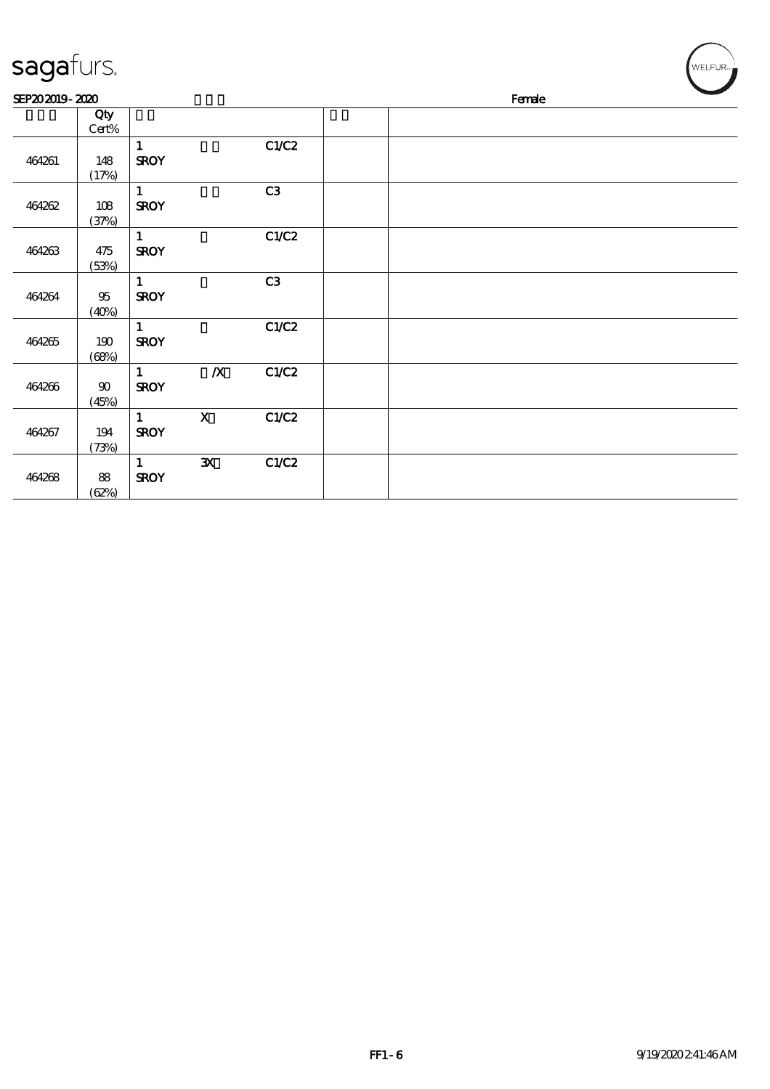| sagafurs.      |                 |                             |                  |       |  |        | WELFUR <sub>™</sub> |
|----------------|-----------------|-----------------------------|------------------|-------|--|--------|---------------------|
| SEP202019-2020 |                 |                             |                  |       |  | Female |                     |
|                | Qty<br>Cert%    |                             |                  |       |  |        |                     |
| 464261         | 148<br>(17%)    | $\mathbf{1}$<br><b>SROY</b> |                  | C1/C2 |  |        |                     |
| 464262         | $108$<br>(37%)  | $\mathbf{1}$<br><b>SROY</b> |                  | C3    |  |        |                     |
| 464263         | $475$<br>(53%)  | $\mathbf{1}$<br><b>SROY</b> |                  | C1/C2 |  |        |                     |
| 464264         | $95\,$<br>(40%) | $\mathbf{1}$<br><b>SROY</b> |                  | C3    |  |        |                     |
| 464265         | 190<br>(68%)    | $\mathbf{1}$<br><b>SROY</b> |                  | C1/C2 |  |        |                     |
| 464266         | $90\,$<br>(45%) | $\mathbf{1}$<br><b>SROY</b> | $\boldsymbol{X}$ | C1/C2 |  |        |                     |
| 464267         | 194<br>(73%)    | $\mathbf{1}$<br><b>SROY</b> | $\mathbf X$      | C1/C2 |  |        |                     |
| 464268         | 88<br>(62%)     | $\mathbf{1}$<br><b>SROY</b> | $\mathbf{x}$     | C1/C2 |  |        |                     |

╭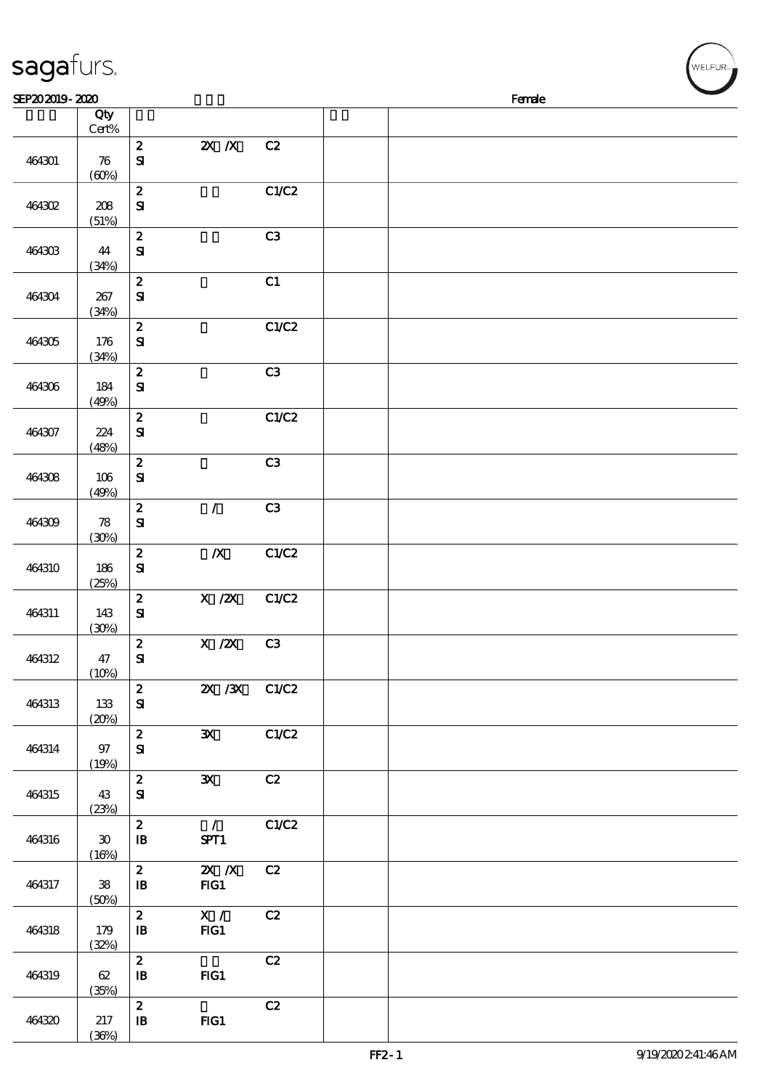| sagafurs.      |                                      |                                                |                                  |                |  |        | WELFUR <sub>™</sub> |
|----------------|--------------------------------------|------------------------------------------------|----------------------------------|----------------|--|--------|---------------------|
| SEP202019-2020 |                                      |                                                |                                  |                |  | Female |                     |
|                | Qty<br>Cert%                         |                                                |                                  |                |  |        |                     |
| 464301         | 76<br>(60%)                          | $\boldsymbol{z}$<br>${\bf s}$                  | $Z\!X$ $\,$ $X$                  | C2             |  |        |                     |
| 464302         | 208<br>(51%)                         | $\pmb{2}$<br>${\bf s}$                         |                                  | C1/C2          |  |        |                     |
| 464303         | 44<br>(34%)                          | $\boldsymbol{2}$<br>${\bf S}$                  |                                  | C <sub>3</sub> |  |        |                     |
| 464304         | 267<br>(34%)                         | $\pmb{2}$<br>$\mathbf{S}$                      |                                  | C1             |  |        |                     |
| 464305         | 176<br>(34%)                         | $\pmb{2}$<br>${\bf s}$                         |                                  | C1/C2          |  |        |                     |
| 464306         | 184<br>(49%)                         | $\boldsymbol{2}$<br>${\bf S}$                  |                                  | C3             |  |        |                     |
| 464307         | 224<br>(48%)                         | $\pmb{2}$<br>$\mathbf{S}$                      |                                  | C1/C2          |  |        |                     |
| 464308         | 106<br>(49%)                         | $\pmb{2}$<br>${\bf s}$                         |                                  | C3             |  |        |                     |
| 464309         | 78<br>(30%)                          | $\pmb{2}$<br>$\mathbf{S}$                      | $\overline{1}$                   | C3             |  |        |                     |
| 464310         | 186<br>(25%)                         | $\pmb{2}$<br>$\mathbf{S}$                      | $\pmb{X}$                        | C1/C2          |  |        |                     |
| 464311         | 143<br>(30%)                         | $\boldsymbol{2}$<br>${\bf S}$                  | $\overline{X}$ /2X               | C1/C2          |  |        |                     |
| 464312         | 47<br>$(10\%)$                       | $\boldsymbol{2}$<br>${\bf s}$                  | $X / ZX$ C3                      |                |  |        |                     |
| 464313         | 133<br>(20%)                         | $\boldsymbol{z}$<br>${\bf s}$                  | 2X /3X C1/C2                     |                |  |        |                     |
| 464314         | 97<br>(19%)                          | $\mathbf{2}$<br>${\bf S\!I}$                   | $\mathbf{x}$                     | C1/C2          |  |        |                     |
| 464315         | 43<br>(23%)                          | $\mathbf{z}$<br>${\bf S}$                      | $\mathbf{x}$                     | C2             |  |        |                     |
| 464316         | $\boldsymbol{\mathfrak{D}}$<br>(16%) | $\boldsymbol{z}$<br>$\, {\bf I} \! {\bf B} \,$ | $\overline{\phantom{a}}$<br>SPT1 | C1/C2          |  |        |                     |
| 464317         | ${\bf 38}$<br>(50%)                  | $\mathbf{z}$<br>$\, {\bf I} \! {\bf B} \,$     | $X$ $N$<br>FIG1                  | C2             |  |        |                     |
| 464318         | 179<br>(32%)                         | $\boldsymbol{z}$<br>$\mathbf{B}$               | X /<br>FG1                       | C2             |  |        |                     |
| 464319         | 62<br>(35%)                          | $\boldsymbol{z}$<br>$\mathbf{B}$               | $HG1$                            | C2             |  |        |                     |
| 464320         | $217\,$                              | $\boldsymbol{z}$<br>$\, {\bf I} \! {\bf B} \,$ | $HG1$                            | C2             |  |        |                     |

 $(36%)$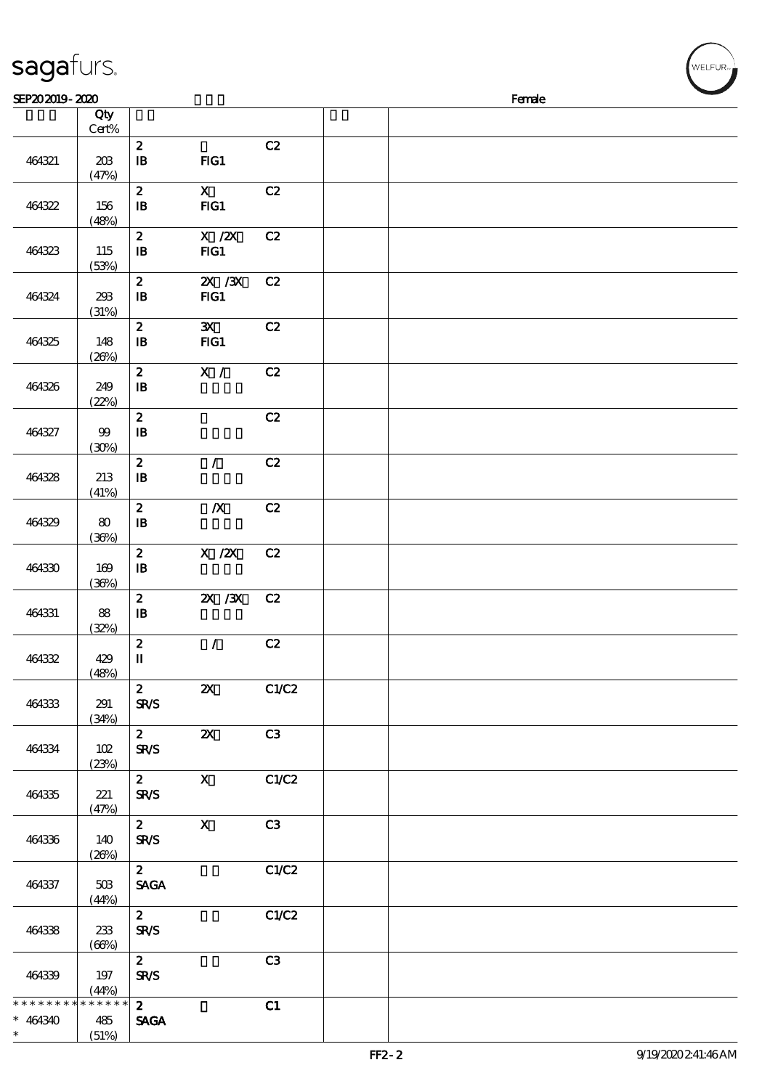| sagafurs.       |                 |                                                |                                       |       |  |        |  | WELFUR <sub>™</sub> |
|-----------------|-----------------|------------------------------------------------|---------------------------------------|-------|--|--------|--|---------------------|
| SEP202019-2020  |                 |                                                |                                       |       |  | Female |  |                     |
|                 | Qty<br>Cert%    |                                                |                                       |       |  |        |  |                     |
| 464321          | 208<br>(47%)    | $\boldsymbol{z}$<br>$\mathbf{B}$               | FG1                                   | C2    |  |        |  |                     |
| 464322          | 156<br>(48%)    | $\pmb{2}$<br>$\, {\bf I} \! {\bf B} \,$        | $\mathbf{x}$<br>$HG1$                 | C2    |  |        |  |                     |
| 464323          | 115<br>(53%)    | $\boldsymbol{2}$<br>$\, {\bf B}$               | $X$ / $ZX$<br>FIG1                    | C2    |  |        |  |                     |
| 464324          | 238<br>(31%)    | $\pmb{2}$<br>$\, {\bf B}$                      | $ZX$ / $ZX$<br>FIG1                   | C2    |  |        |  |                     |
| 464325          | 148<br>(20%)    | $\pmb{2}$<br>$\, {\bf B}$                      | $\mathbf{x}$<br>$HG1$                 | C2    |  |        |  |                     |
| 464326          | 249<br>(22%)    | $\boldsymbol{2}$<br>$\, {\bf B}$               | X /                                   | C2    |  |        |  |                     |
| 464327          | 99<br>(30%)     | $\pmb{2}$<br>$\, {\bf B}$                      |                                       | C2    |  |        |  |                     |
| 464328          | 213<br>(41%)    | $\pmb{2}$<br>$\, {\bf I} \! {\bf B} \,$        | $\mathcal{L}$                         | C2    |  |        |  |                     |
| 464329          | 80<br>(36%)     | $\boldsymbol{2}$<br>$\, {\bf I} \! {\bf B} \,$ | $\boldsymbol{X}$                      | C2    |  |        |  |                     |
| 464330          | 169<br>(36%)    | $\pmb{2}$<br>$\, {\bf I} \! {\bf B} \,$        | $\boldsymbol{\mathrm{X}}$ / <b>2X</b> | C2    |  |        |  |                     |
| 464331          | $8\!8$<br>(32%) | $\boldsymbol{2}$<br>$\, {\bf I} \! {\bf B} \,$ | $X \, X$                              | C2    |  |        |  |                     |
| 464332          | 429<br>(48%)    | $\boldsymbol{2}$<br>$\mathbf{I}$               | $\mathcal{L}$                         | C2    |  |        |  |                     |
| 464333          | 291<br>(34%)    | $\mathbf{2}$<br><b>SR/S</b>                    | $\boldsymbol{\alpha}$                 | C1/C2 |  |        |  |                     |
| 464334          | 102<br>(23%)    | $\mathbf{2}$<br><b>SR/S</b>                    | $\boldsymbol{\mathsf{X}}$             | C3    |  |        |  |                     |
| 464335          | 221<br>(47%)    | $\mathbf{2}$<br><b>SR/S</b>                    | $\mathbf{x}$                          | C1/C2 |  |        |  |                     |
| 464336          | 140<br>(20%)    | $\overline{z}$<br><b>SR/S</b>                  | $\mathbf{x}$                          | C3    |  |        |  |                     |
| 464337          | 50B<br>(44%)    | $\mathbf{2}$<br><b>SAGA</b>                    |                                       | C1/C2 |  |        |  |                     |
| 464338          | 233<br>(66%)    | $\mathbf{z}$<br><b>SR/S</b>                    |                                       | C1/C2 |  |        |  |                     |
| 464339          | 197<br>(44%)    | $\mathbf{2}$<br><b>SR/S</b>                    |                                       | C3    |  |        |  |                     |
| * * * * * * * * | $******$        | $\mathbf{z}$                                   |                                       | C1    |  |        |  |                     |

SAGA

\*\*

464340 485

(51%)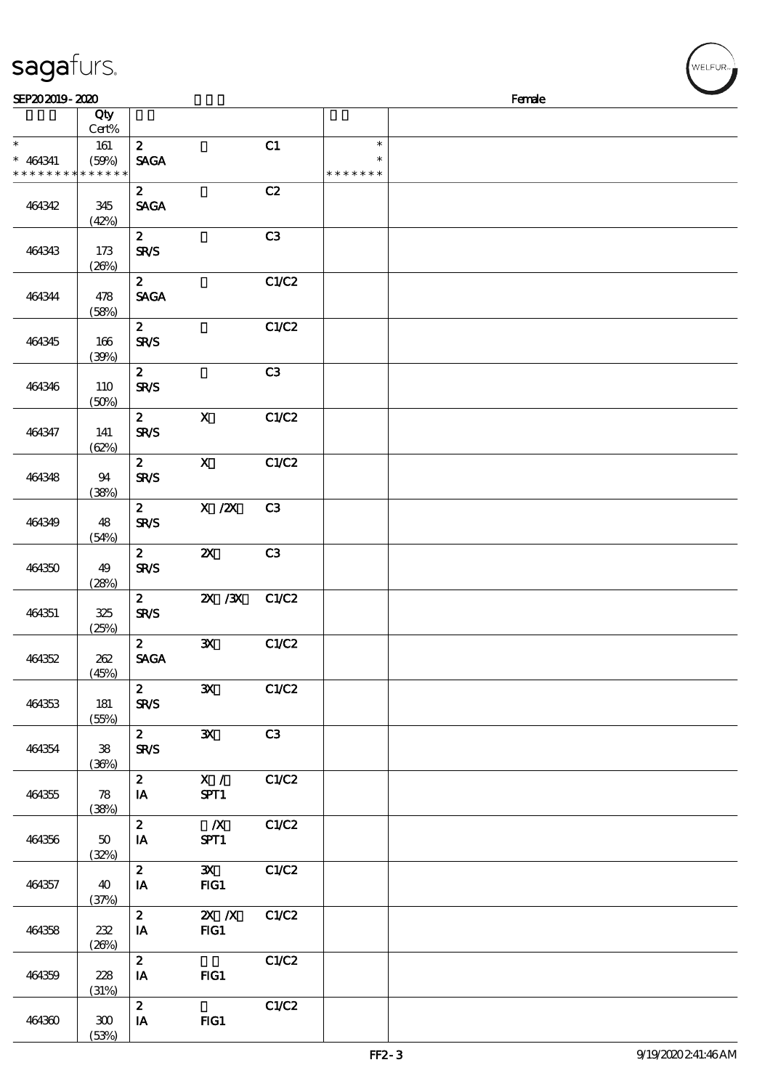| sagafurs.      |               |                  |                                                     |                |               |        | WELFUR <sub>™</sub> |
|----------------|---------------|------------------|-----------------------------------------------------|----------------|---------------|--------|---------------------|
| SEP202019-2020 |               |                  |                                                     |                |               | Female |                     |
|                | Qty<br>Cert%  |                  |                                                     |                |               |        |                     |
| $\ast$         | 161           | $\boldsymbol{z}$ |                                                     | C1             | $\ast$        |        |                     |
| $* 464341$     | (50%)         | <b>SAGA</b>      |                                                     |                | $\ast$        |        |                     |
| * * * * * * *  | * * * * * *   |                  |                                                     |                | * * * * * * * |        |                     |
|                |               | $\boldsymbol{z}$ |                                                     | C2             |               |        |                     |
| 464342         | 345           | <b>SAGA</b>      |                                                     |                |               |        |                     |
|                | (42%)         | $\boldsymbol{z}$ |                                                     | C3             |               |        |                     |
| 464343         | 173           | <b>SR/S</b>      |                                                     |                |               |        |                     |
|                | (20%)         |                  |                                                     |                |               |        |                     |
|                |               | $\boldsymbol{z}$ |                                                     | C1/C2          |               |        |                     |
| 464344         | 478           | <b>SAGA</b>      |                                                     |                |               |        |                     |
|                | (58%)         | $\boldsymbol{z}$ |                                                     | C1/C2          |               |        |                     |
| 464345         | 166           | <b>SR/S</b>      |                                                     |                |               |        |                     |
|                | (30%)         |                  |                                                     |                |               |        |                     |
|                |               | $\mathbf{z}$     |                                                     | C3             |               |        |                     |
| 464346         | 110           | <b>SR/S</b>      |                                                     |                |               |        |                     |
|                | (50%)         | $\boldsymbol{z}$ | $\mathbf X$                                         | C1/C2          |               |        |                     |
| 464347         | 141           | SR/S             |                                                     |                |               |        |                     |
|                | (62%)         |                  |                                                     |                |               |        |                     |
|                |               | $\mathbf{2}$     | $\boldsymbol{\mathsf{X}}$                           | C1/C2          |               |        |                     |
| 464348         | 94            | <b>SR/S</b>      |                                                     |                |               |        |                     |
|                | (38%)         | $\mathbf{z}$     | $\boldsymbol{X}$ / $\boldsymbol{Z}\!\boldsymbol{X}$ | C <sub>3</sub> |               |        |                     |
| 464349         | 48            | <b>SR/S</b>      |                                                     |                |               |        |                     |
|                | (54%)         |                  |                                                     |                |               |        |                     |
|                |               | $\boldsymbol{z}$ | $\boldsymbol{\mathsf{z}}$                           | C <sub>3</sub> |               |        |                     |
| 464350         | 49            | SR/S             |                                                     |                |               |        |                     |
|                | (28%)         | $\boldsymbol{2}$ | 2X / 3X                                             | C1/C2          |               |        |                     |
| 464351         | 325           | <b>SR/S</b>      |                                                     |                |               |        |                     |
|                | (25%)         |                  |                                                     |                |               |        |                     |
|                |               | $\mathbf{2}$     | $\mathbf{x}$                                        | C1/C2          |               |        |                     |
| 464352         | 262           | <b>SAGA</b>      |                                                     |                |               |        |                     |
|                | (45%)         | $\mathbf{2}$     | $\mathbf{x}$                                        | C1/C2          |               |        |                     |
| 464353         | 181           | <b>SR/S</b>      |                                                     |                |               |        |                     |
|                | (55%)         |                  |                                                     |                |               |        |                     |
|                |               | $\mathbf{2}$     | $\mathbf{x}$                                        | C3             |               |        |                     |
| 464354         | $\mathbf{38}$ | <b>SR/S</b>      |                                                     |                |               |        |                     |
|                | (36%)         | $\mathbf{2}$     | X /                                                 | C1/C2          |               |        |                     |
| 464355         | 78            | $I$ A            | SPT1                                                |                |               |        |                     |
|                | (38%)         |                  |                                                     |                |               |        |                     |
|                |               | $\mathbf{2}$     | $\mathbb{X}$                                        | C1/C2          |               |        |                     |
| 464356         | 50            | IA               | SPT1                                                |                |               |        |                     |
|                | (32%)         | $2^{\circ}$      | $\mathbf{x}$                                        | C1/C2          |               |        |                     |
| 464357         | 40            | IA               | FG1                                                 |                |               |        |                     |
|                | (37%)         |                  |                                                     |                |               |        |                     |
|                |               | $\mathbf{z}$     | $X$ $N$                                             | C1/C2          |               |        |                     |
| 464358         | 232           | $I$ A            | FG1                                                 |                |               |        |                     |
|                | (20%)         | $\mathbf{z}$     |                                                     | C1/C2          |               |        |                     |
| 464359         | 228           | IA               | $HG1$                                               |                |               |        |                     |
|                | (31%)         |                  |                                                     |                |               |        |                     |
|                |               | $\mathbf{z}$     |                                                     | C1/C2          |               |        |                     |
| 464360         | $300\,$       | IA               | $HG1$                                               |                |               |        |                     |

(53%)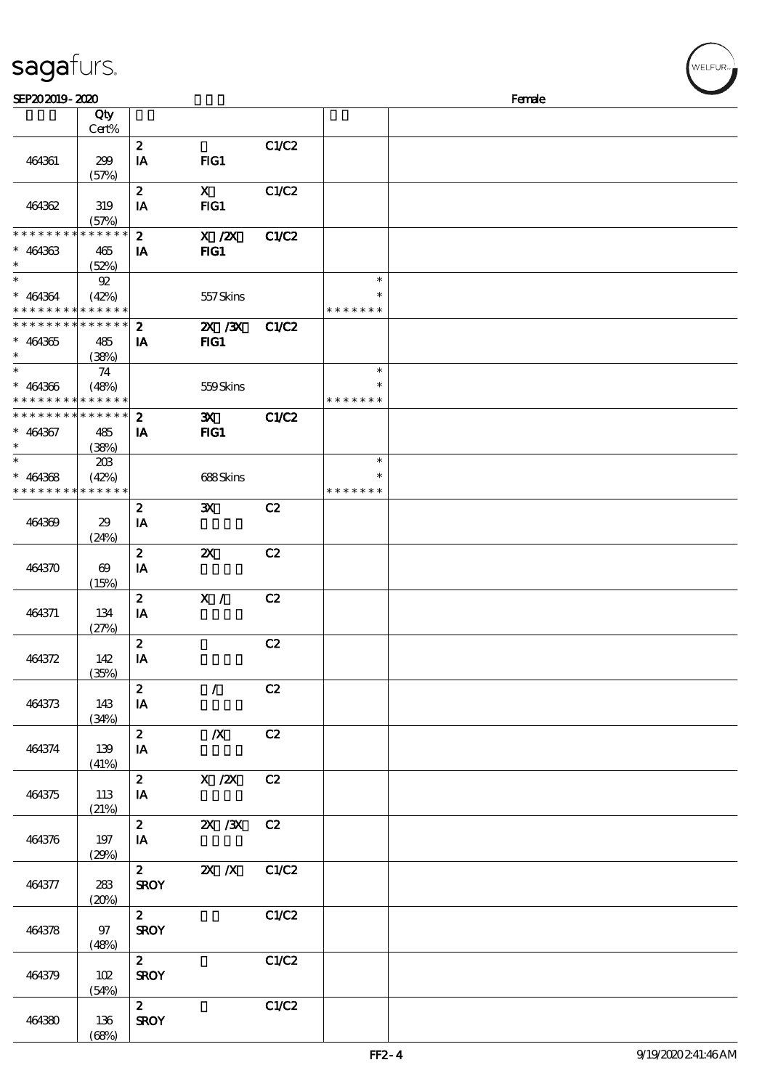| SEP202019-2020                                         |                                     |                        |                           |       |                  | Female |  |
|--------------------------------------------------------|-------------------------------------|------------------------|---------------------------|-------|------------------|--------|--|
|                                                        | Qty<br>Cert%                        |                        |                           |       |                  |        |  |
|                                                        |                                     | $\boldsymbol{z}$       |                           | C1/C2 |                  |        |  |
| 464361                                                 | 299<br>(57%)                        | IA                     | FG1                       |       |                  |        |  |
|                                                        |                                     | $\boldsymbol{z}$       | $\mathbf{x}$<br>FIG1      | C1/C2 |                  |        |  |
| 464362                                                 | 319<br>(57%)                        | IA                     |                           |       |                  |        |  |
| * * * * * * * *                                        | * * * * * *                         | $\boldsymbol{z}$       | X / ZX                    | C1/C2 |                  |        |  |
| $* 464363$<br>$\ast$                                   | 465<br>(52%)                        | IA                     | $HG1$                     |       |                  |        |  |
| $\ast$                                                 | $92\,$                              |                        |                           |       | $\ast$           |        |  |
| $* 464364$<br>* * * * * * * * <mark>* * * * * *</mark> | (42%)                               |                        | 557Skins                  |       | * * * * * * *    |        |  |
| * * * * * * * * * * * * * *                            |                                     | $\boldsymbol{z}$       | $X \, X$                  | C1/C2 |                  |        |  |
| $* 464365$<br>$\ast$                                   | 485<br>(38%)                        | IA                     | $HG1$                     |       |                  |        |  |
| $\overline{\phantom{0}}$<br>$* 464366$                 | 74                                  |                        |                           |       | $\ast$<br>$\ast$ |        |  |
| * * * * * * * *                                        | (48%)<br>$\ast\ast\ast\ast\ast\ast$ |                        | 559Skins                  |       | * * * * * * *    |        |  |
| * * * * * * * *                                        | $* * * * * * *$                     | $\boldsymbol{z}$       | $\mathbf{x}$              | C1/C2 |                  |        |  |
| $* 464367$<br>$\ast$                                   | 485<br>(38%)                        | IA                     | $HG1$                     |       |                  |        |  |
|                                                        | 203                                 |                        |                           |       | $\ast$<br>$\ast$ |        |  |
| $* 464368$<br>* * * * * * * *                          | (42%)<br>* * * * * *                |                        | 688Skins                  |       | * * * * * * *    |        |  |
|                                                        |                                     | $\boldsymbol{z}$       | $\mathbf{x}$              | C2    |                  |        |  |
| 464369                                                 | 29<br>(24%)                         | IA                     |                           |       |                  |        |  |
| 464370                                                 | $\boldsymbol{\omega}$               | $\boldsymbol{z}$<br>IA | $\boldsymbol{\mathsf{Z}}$ | C2    |                  |        |  |
|                                                        | (15%)                               |                        |                           |       |                  |        |  |
| 464371                                                 | 134                                 | $\boldsymbol{z}$<br>IA | X /                       | C2    |                  |        |  |
|                                                        | (27%)                               |                        |                           |       |                  |        |  |
| 464372                                                 | 142                                 | $\boldsymbol{z}$<br>IA |                           | C2    |                  |        |  |
|                                                        | (35%)                               |                        |                           |       |                  |        |  |
| 464373                                                 | 143                                 | $\boldsymbol{z}$<br>IA | $\mathcal{L}$             | C2    |                  |        |  |
|                                                        | (34%)                               |                        |                           |       |                  |        |  |
| 464374                                                 | 139                                 | $\pmb{2}$<br>IA        | $\boldsymbol{X}$          | C2    |                  |        |  |
|                                                        | (41%)                               | $\boldsymbol{z}$       |                           |       |                  |        |  |
| 464375                                                 | 113                                 | IA                     | X / ZX                    | C2    |                  |        |  |
|                                                        | (21%)                               | $\boldsymbol{z}$       | $X \, X$                  | C2    |                  |        |  |
| 464376                                                 | 197                                 | $\mathbf{IA}$          |                           |       |                  |        |  |
|                                                        | (29%)                               | $\mathbf{z}$           | $X$ $N$                   | C1/C2 |                  |        |  |
| 464377                                                 | 283                                 | <b>SROY</b>            |                           |       |                  |        |  |
|                                                        | (20%)                               | $\boldsymbol{z}$       |                           | C1/C2 |                  |        |  |
| 464378                                                 | 97                                  | <b>SROY</b>            |                           |       |                  |        |  |
|                                                        | (48%)                               | $\mathbf{z}$           |                           | C1/C2 |                  |        |  |
| 464379                                                 | 102<br>(54%)                        | <b>SROY</b>            |                           |       |                  |        |  |
|                                                        |                                     | $\boldsymbol{z}$       |                           | C1/C2 |                  |        |  |
| 464380                                                 | 136                                 | <b>SROY</b>            |                           |       |                  |        |  |

464380 136

sagafurs.

(68%)

、<br>WELFUR<sub>™</sub>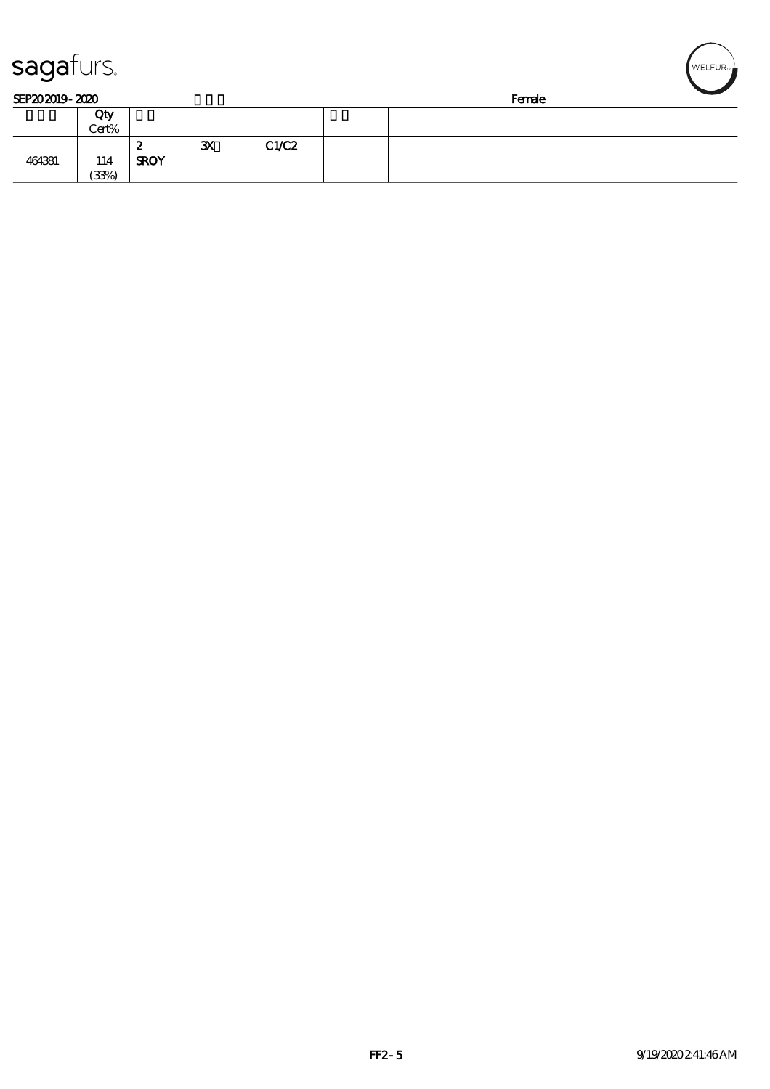| sagaturs.      |              |                  |              |       |        |  |  | WELFUR <sub>™</sub> |  |  |
|----------------|--------------|------------------|--------------|-------|--------|--|--|---------------------|--|--|
| SEP202019-2020 |              |                  |              |       | Female |  |  |                     |  |  |
|                | Qty<br>Cert% |                  |              |       |        |  |  |                     |  |  |
| 464381         | 114<br>(33%) | 2<br><b>SROY</b> | $\mathbf{x}$ | C1/C2 |        |  |  |                     |  |  |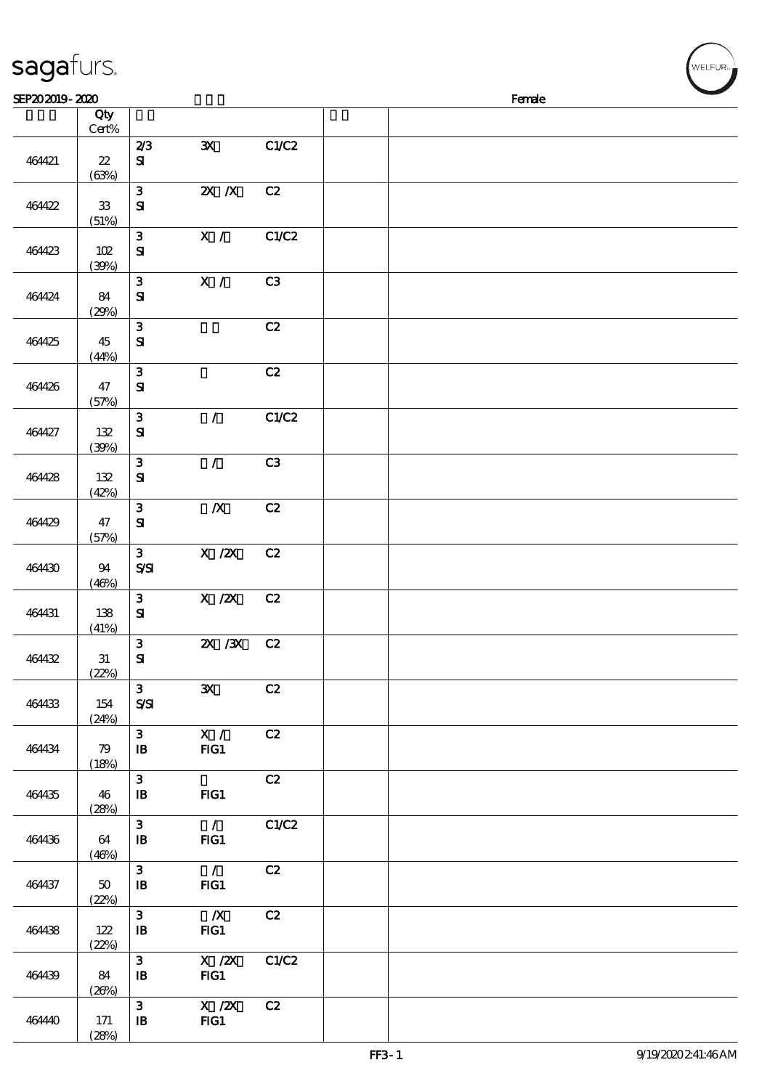| sagafurs.      |                                     |                                              |                                                                                                |       |  |        |  |
|----------------|-------------------------------------|----------------------------------------------|------------------------------------------------------------------------------------------------|-------|--|--------|--|
| SEP202019-2020 | Qty                                 |                                              |                                                                                                |       |  | Female |  |
|                | Cert%                               |                                              |                                                                                                |       |  |        |  |
| 464421         | $\boldsymbol{\mathcal{Z}}$<br>(63%) | 2/3<br>${\bf s}$                             | $\mathbf{x}$                                                                                   | C1/C2 |  |        |  |
| 464422         | ${\bf 33}$<br>(51%)                 | $\mathbf{3}$<br>${\bf S}$                    | $\overline{\mathbf{X}}$ $\overline{\mathbf{X}}$                                                | C2    |  |        |  |
| 464423         | 102<br>(30%)                        | $\mathbf{3}$<br>$\mathbf{S}$                 | X /                                                                                            | C1/C2 |  |        |  |
| 464424         | 84<br>(29%)                         | $\mathbf{3}$<br>$\mathbf{S}$                 | X /                                                                                            | C3    |  |        |  |
| 464425         | 45<br>(44%)                         | $\mathbf{3}$<br>$\mathbf{S}$                 |                                                                                                | C2    |  |        |  |
| 464426         | 47<br>(57%)                         | $\mathbf{3}$<br>${\bf S}$                    |                                                                                                | C2    |  |        |  |
| 464427         | 132<br>(30%)                        | $\mathbf{3}$<br>${\bf S}$                    | $\mathcal{L}$                                                                                  | C1/C2 |  |        |  |
| 464428         | 132<br>(42%)                        | ${\bf 3}$<br>$\mathbf{S}$                    | $\mathcal{L}$                                                                                  | C3    |  |        |  |
| 464429         | 47<br>(57%)                         | $\mathbf{3}$<br>$\mathbf{S}\mathbf{I}$       | $\pmb{X}$                                                                                      | C2    |  |        |  |
| 464430         | 94<br>(46%)                         | $\mathbf{3}$<br>$S\!S\!I$                    | $\boldsymbol{\mathrm{X}}$ / <b><math>\boldsymbol{\mathrm{Z}}\boldsymbol{\mathrm{X}}</math></b> | C2    |  |        |  |
| 464431         | 138<br>(41%)                        | $\mathbf{3}$<br>${\bf S}$                    | $\boldsymbol{\mathrm{X}}$ / <b><math>\boldsymbol{\mathrm{X}}</math></b>                        | C2    |  |        |  |
| 464432         | 31<br>(22%)                         | 3 <sup>1</sup><br>${\bf s}$                  | 2X /3X C2                                                                                      |       |  |        |  |
| 464433         | 154<br>(24%)                        | 3 <sup>7</sup><br>$S\mathcal{S}$             | $\mathbf{x}$                                                                                   | C2    |  |        |  |
| 464434         | 79<br>(18%)                         | 3 <sup>7</sup><br>$\mathbf{B}$               | $\mathbf{X}$ /<br>$FIG1$                                                                       | C2    |  |        |  |
| 464435         | 46<br>(28%)                         | 3 <sup>1</sup><br>$\mathbf{B}$               | FIG1                                                                                           | C2    |  |        |  |
| 464436         | 64<br>(46%)                         | 3 <sup>1</sup><br>$\mathbf{B}$               | $\overline{\phantom{a}}$<br>FG1                                                                | C1/C2 |  |        |  |
| 464437         | $50\,$<br>(22%)                     | 3 <sup>1</sup><br>${\bf I\!B}$               | $\overline{\phantom{a}}$<br>FG1                                                                | C2    |  |        |  |
| 464438         | 122<br>(22%)                        | 3 <sub>o</sub><br>$\, {\bf I} \! {\bf B} \,$ | $\mathbb{Z}$<br>FG1                                                                            | C2    |  |        |  |
| 464439         | 84<br>(20%)                         | $\mathbf{3}$<br>$\, {\bf B}$                 | $X$ / $ZX$<br>HG1                                                                              | C1/C2 |  |        |  |
| 464440         | 171                                 | $\mathbf{3}$<br>$\, {\bf I} \! {\bf B} \,$   | $X$ / $ZX$<br>FIG1                                                                             | C2    |  |        |  |

 $(28%)$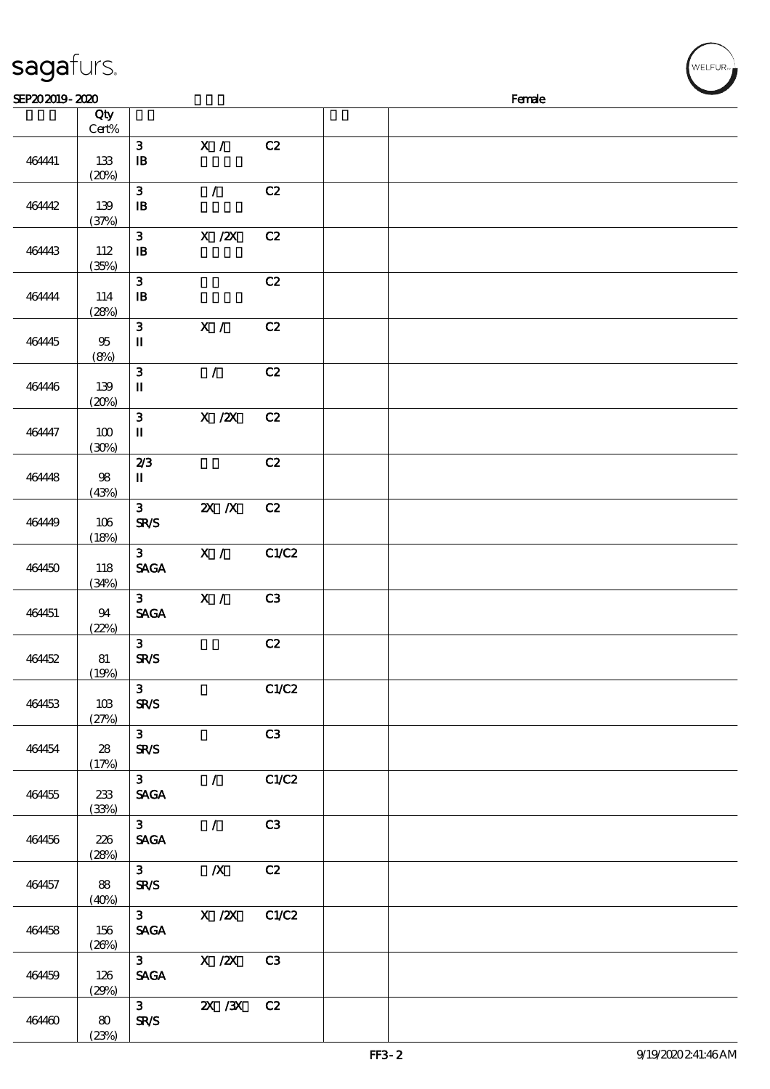| sagafurs.      |              |                                                    |                                       |       |  |        |  | ,<br>WELFUR <sub>™</sub> |
|----------------|--------------|----------------------------------------------------|---------------------------------------|-------|--|--------|--|--------------------------|
| SEP202019-2020 |              |                                                    |                                       |       |  | Female |  |                          |
|                | Qty<br>Cert% |                                                    |                                       |       |  |        |  |                          |
| 464441         | 133<br>(20%) | ${\bf 3}$<br>$\mathbf{B}$                          | X /                                   | C2    |  |        |  |                          |
| 464442         | 139<br>(37%) | ${\bf 3}$<br>$\, {\bf I} \! {\bf B} \,$            | $\mathcal{L}$                         | C2    |  |        |  |                          |
| 464443         | 112<br>(35%) | $\mathbf{3}$<br>$\mathbf{B}$                       | $\overline{X}$ / $\overline{Z}X$      | C2    |  |        |  |                          |
| 464444         | 114<br>(28%) | $\mathbf{3}$<br>${\bf I\!B}$                       |                                       | C2    |  |        |  |                          |
| 464445         | 95<br>(8%)   | ${\bf 3}$<br>$\rm I\hspace{-.1em}I\hspace{-.1em}I$ | X /                                   | C2    |  |        |  |                          |
| 464446         | 139<br>(20%) | ${\bf 3}$<br>$\mathbf u$                           | $\mathcal{L}$                         | C2    |  |        |  |                          |
| 464447         | 100<br>(30%) | ${\bf 3}$<br>$\mathbf n$                           | $\boldsymbol{\mathrm{X}}$ / <b>ZX</b> | C2    |  |        |  |                          |
| 464448         | 98<br>(43%)  | 2/3<br>$\mathbf I$                                 |                                       | C2    |  |        |  |                          |
| 464449         | 106<br>(18%) | $\mathbf{3}$<br><b>SR/S</b>                        | $Z\!X$ $\,$ $Z\!X$                    | C2    |  |        |  |                          |
| 464450         | 118<br>(34%) | 3 <sup>1</sup><br><b>SAGA</b>                      | $\mathbf{X}$ /                        | C1/C2 |  |        |  |                          |
| 464451         | 94<br>(22%)  | 3 <sup>1</sup><br><b>SAGA</b>                      | X /                                   | C3    |  |        |  |                          |
| 464452         | 81<br>(19%)  | 3 <sup>1</sup><br><b>SR/S</b>                      |                                       | C2    |  |        |  |                          |
| 464453         | 103<br>(27%) | 3 <sup>7</sup><br><b>SR/S</b>                      |                                       | C1/C2 |  |        |  |                          |
| 464454         | 28<br>(17%)  | 3 <sub>1</sub><br><b>SR/S</b>                      |                                       | C3    |  |        |  |                          |
| 464455         | 233<br>(33%) | 3 <sub>1</sub><br><b>SAGA</b>                      | $\mathcal{L}$                         | C1/C2 |  |        |  |                          |
| 464456         | 226<br>(28%) | 3 <sup>7</sup><br><b>SAGA</b>                      | $\overline{\mathcal{L}}$              | C3    |  |        |  |                          |
| 464457         | 88<br>(40%)  | 3 <sub>1</sub><br><b>SR/S</b>                      | $\boldsymbol{X}$                      | C2    |  |        |  |                          |
| 464458         | 156<br>(20%) | $3 \quad \blacksquare$<br><b>SAGA</b>              | $X$ / $ZX$                            | C1/C2 |  |        |  |                          |
| 464459         | 126<br>(29%) | $3 \qquad \qquad$<br><b>SAGA</b>                   | $X$ / $ZX$                            | C3    |  |        |  |                          |

464460 80

 $(23%)$ 

 $\frac{3}{SRS}$ 

 $\overline{\text{2X}/\text{3X} \quad \text{C2}}$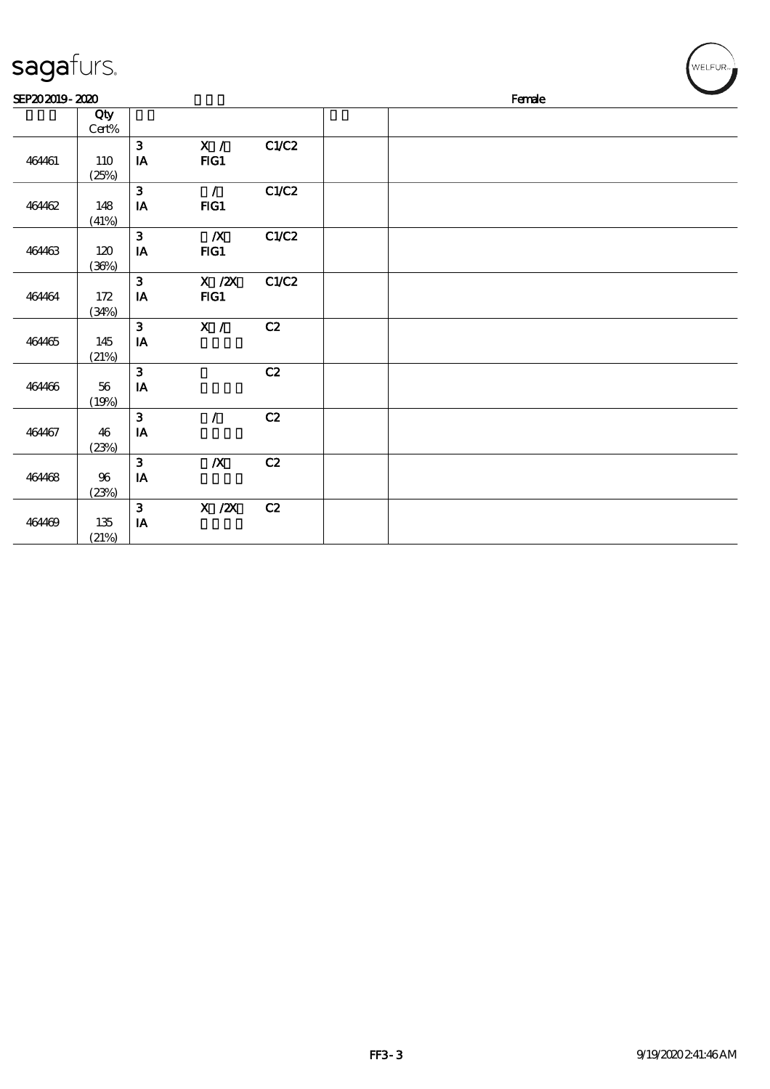| sagafurs.      |                 |                                         |                                 |       | $\sqrt{\text{WELFUR}_{\text{max}}}$ |
|----------------|-----------------|-----------------------------------------|---------------------------------|-------|-------------------------------------|
| SEP202019-2020 |                 |                                         |                                 |       | Female                              |
|                | Qty<br>Cert%    |                                         |                                 |       |                                     |
| 464461         | 110<br>(25%)    | $\mathbf{3}$<br>$\mathbf{I} \mathbf{A}$ | X /<br>FIG1                     | C1/C2 |                                     |
| 464462         | 148<br>(41%)    | $\mathbf{3}$<br>$\mathbf{I}\mathbf{A}$  | $\overline{\phantom{a}}$<br>FG1 | C1/C2 |                                     |
| 464463         | 120<br>(36%)    | $\mathbf{3}$<br>${\bf I} {\bf A}$       | $\boldsymbol{X}$<br>FG1         | C1/C2 |                                     |
| 464464         | 172<br>(34%)    | $\mathbf{3}$<br>$\mathbf{IA}$           | $X$ / $ZX$<br>FG1               | C1/C2 |                                     |
| 464465         | 145<br>(21%)    | $\mathbf{3}$<br>IA                      | X /                             | C2    |                                     |
| 464466         | 56<br>(19%)     | $\mathbf{3}$<br>${\bf I} {\bf A}$       |                                 | C2    |                                     |
| 464467         | 46<br>(23%)     | $\mathbf{3}$<br>IA                      | $\sqrt{2}$                      | C2    |                                     |
| 464468         | $96\,$<br>(23%) | $\mathbf{3}$<br>IA                      | $\boldsymbol{X}$                | C2    |                                     |
| 464469         | 135<br>(21%)    | $\mathbf{3}$<br>IA                      | X / ZX                          | C2    |                                     |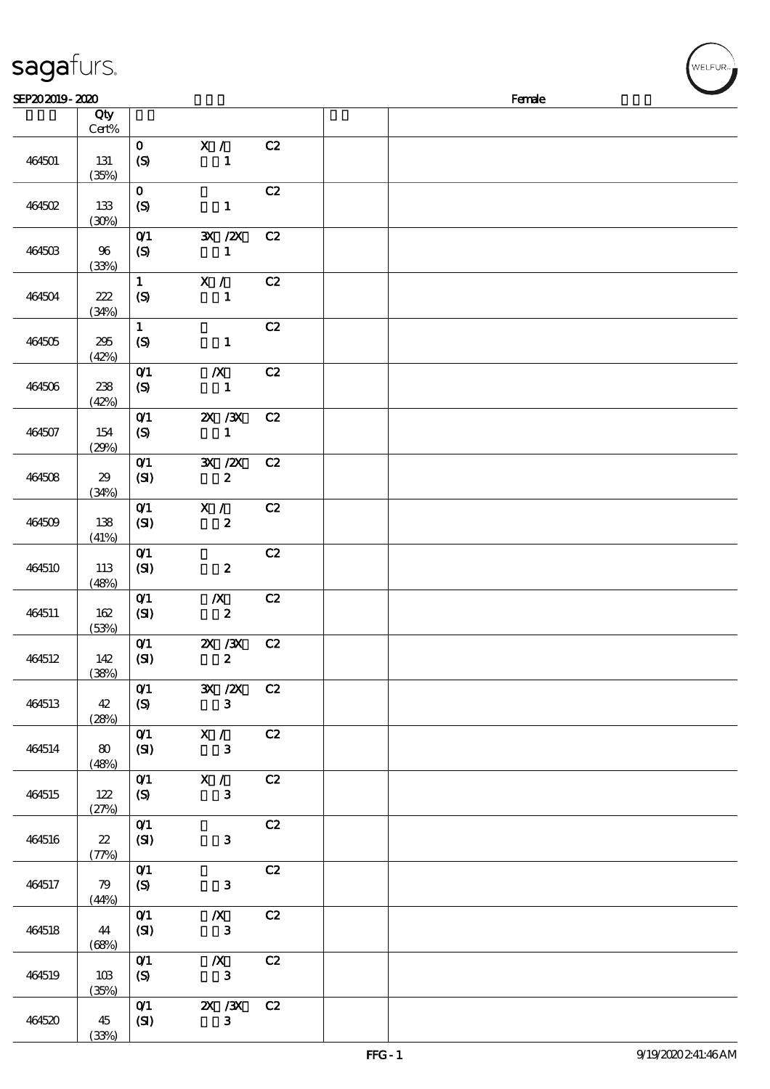| sagafurs.      |                 |                                                        |                                             |    |  |        |  |
|----------------|-----------------|--------------------------------------------------------|---------------------------------------------|----|--|--------|--|
| SEP202019-2020 |                 |                                                        |                                             |    |  | Female |  |
|                | Qty<br>Cert%    |                                                        |                                             |    |  |        |  |
| 464501         | 131<br>(35%)    | $\mathbf 0$<br>(S)                                     | X /<br>$\mathbf{1}$                         | C2 |  |        |  |
| 464502         | 133<br>(30%)    | $\mathbf O$<br>$\boldsymbol{S}$                        | $\mathbf{1}$                                | C2 |  |        |  |
| 464503         | 96<br>(33%)     | $O$ $1$<br>$\boldsymbol{S}$                            | $\mathbf{X}$ / $\mathbf{X}$<br>$\mathbf{1}$ | C2 |  |        |  |
| 464504         | $222$<br>(34%)  | $\mathbf{1}$<br>$\boldsymbol{S}$                       | X /<br>$\mathbf{1}$                         | C2 |  |        |  |
| 464505         | 295<br>(42%)    | $\mathbf 1$<br>$\boldsymbol{S}$                        | $\mathbf{1}$                                | C2 |  |        |  |
| 464506         | 238<br>(42%)    | $O$ $1$<br>$\boldsymbol{\mathrm{(S)}}$                 | $\boldsymbol{X}$<br>$\mathbf{1}$            | C2 |  |        |  |
| 464507         | 154<br>(29%)    | $O$ $1$<br>$\boldsymbol{\mathrm{(S)}}$                 | $X \, X$<br>$\mathbf{1}$                    | C2 |  |        |  |
| 464508         | 29<br>(34%)     | $O$ $1$<br>(SI)                                        | 3X /2X<br>$\boldsymbol{2}$                  | C2 |  |        |  |
| 464509         | 138<br>(41%)    | $O$ $1$<br>(SI)                                        | X /<br>$\boldsymbol{z}$                     | C2 |  |        |  |
| 464510         | 113<br>(48%)    | O(1)<br>(SI)                                           | $\boldsymbol{z}$                            | C2 |  |        |  |
| 464511         | 162<br>(53%)    | $O$ <sup><math>1</math></sup><br>(SI)                  | $\boldsymbol{X}$<br>$\pmb{2}$               | C2 |  |        |  |
| 464512         | 142<br>(38%)    | O(1)<br>(SI)                                           | 2X / 3X C 2<br>$\mathbf{z}$                 |    |  |        |  |
| 464513         | 42<br>(28%)     | O(1)<br>(S)                                            | 3X /2X C2<br>$\mathbf{3}$                   |    |  |        |  |
| 464514         | 80<br>(48%)     | $O$ <sup><math>\prime</math></sup><br>(SI)             | X / C2<br>$\mathbf{3}$                      |    |  |        |  |
| 464515         | 122<br>(27%)    | $O$ <sup>1</sup><br>(S)                                | X / C2<br>$\mathbf{3}$                      |    |  |        |  |
| 464516         | $22\,$<br>(77%) | O(1)<br>(SI)                                           | $\mathbf{3}$                                | C2 |  |        |  |
| 464517         | 79<br>(44%)     | $O$ <sup><math>\prime</math></sup><br>$\boldsymbol{S}$ | $\mathbf{3}$                                | C2 |  |        |  |
| 464518         | 44<br>(68%)     | O(1)<br>(SI)                                           | $\boldsymbol{X}$<br>$\mathbf{3}$            | C2 |  |        |  |
| 464519         | 10B<br>(35%)    | O(1)<br>(S)                                            | $\boldsymbol{X}$<br>$\mathbf{3}$            | C2 |  |        |  |
| 464520         | 45              | O(1)<br>(SI)                                           | 2X / 3X<br>3 <sup>1</sup>                   | C2 |  |        |  |

(33%)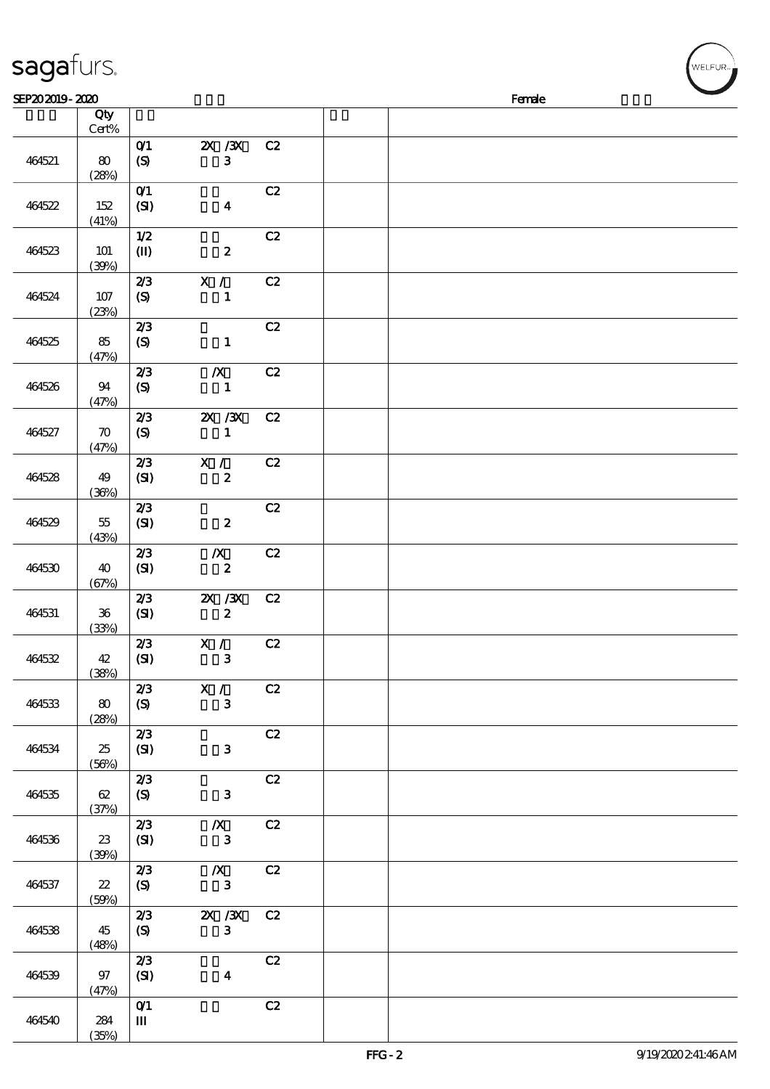| sagafurs.      |                             |                                         |                                      |    |  |        |  |
|----------------|-----------------------------|-----------------------------------------|--------------------------------------|----|--|--------|--|
| SEP202019-2020 |                             |                                         |                                      |    |  | Female |  |
|                | Qty<br>Cert%                |                                         |                                      |    |  |        |  |
| 464521         | 80<br>(28%)                 | O(1)<br>$\boldsymbol{\mathrm{(S)}}$     | 2X / 3X<br>$\mathbf{3}$              | C2 |  |        |  |
| 464522         | 152<br>(41%)                | O(1)<br>(SI)                            | $\boldsymbol{4}$                     | C2 |  |        |  |
| 464523         | <b>101</b><br>(30%)         | 1/2<br>$\mathbf{I}$                     | $\boldsymbol{z}$                     | C2 |  |        |  |
| 464524         | 107<br>(23%)                | 2/3<br>(S)                              | X /<br>$\mathbf{1}$                  | C2 |  |        |  |
| 464525         | 85<br>(47%)                 | 2/3<br>$\boldsymbol{\mathrm{(S)}}$      | $\mathbf{1}$                         | C2 |  |        |  |
| 464526         | 94<br>(47%)                 | 2/3<br>$\boldsymbol{S}$                 | $\boldsymbol{X}$<br>$\mathbf{1}$     | C2 |  |        |  |
| 464527         | $\boldsymbol{\pi}$<br>(47%) | 2/3<br>$\boldsymbol{S}$                 | $X \, X$<br>$\mathbf{1}$             | C2 |  |        |  |
| 464528         | 49<br>(30%)                 | 2/3<br>(SI)                             | X / T<br>$\boldsymbol{z}$            | C2 |  |        |  |
| 464529         | $5\!$<br>(43%)              | 2/3<br>(SI)                             | $\boldsymbol{z}$                     | C2 |  |        |  |
| 464530         | 40<br>(67%)                 | 2/3<br>(SI)                             | $\boldsymbol{X}$<br>$\boldsymbol{2}$ | C2 |  |        |  |
| 464531         | ${\bf 36}$<br>(33%)         | 2/3<br>(SI)                             | $\chi$ / $\chi$<br>$\boldsymbol{z}$  | C2 |  |        |  |
| 464532         | 42<br>(38%)                 | 2/3<br>(SI)                             | X / C2<br>$\mathbf{3}$               |    |  |        |  |
| 464533         | 80<br>(28%)                 | 2/3<br>(S)                              | X /<br>$\mathbf{3}$                  | C2 |  |        |  |
| 464534         | 25<br>(56%)                 | 2/3<br>(SI)                             | $\mathbf{3}$                         | C2 |  |        |  |
| 464535         | 62<br>(37%)                 | 2/3<br>(S)                              | $\mathbf{3}$                         | C2 |  |        |  |
| 464536         | 23<br>(39%)                 | 2/3<br>(SI)                             | $\boldsymbol{X}$<br>$\mathbf{3}$     | C2 |  |        |  |
| 464537         | $22\,$<br>(50%)             | 2/3<br>(S)                              | $\boldsymbol{X}$<br>$\mathbf{3}$     | C2 |  |        |  |
| 464538         | 45<br>(48%)                 | 2/3<br>(S)                              | $X \, X$<br>3 <sup>1</sup>           | C2 |  |        |  |
| 464539         | 97<br>(47%)                 | 2/3<br>(SI)                             | $\boldsymbol{4}$                     | C2 |  |        |  |
| 464540         | 284                         | $O$ <sup><math>\prime</math></sup><br>Ш |                                      | C2 |  |        |  |

(35%)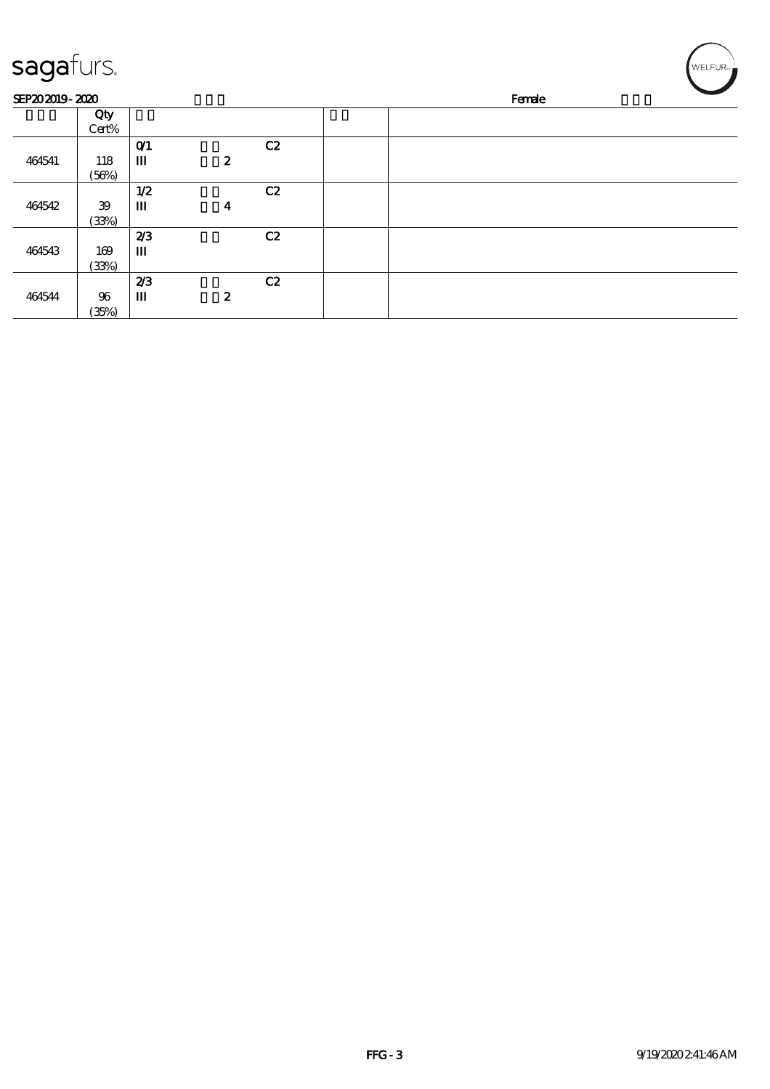| sagafurs.      |                 |              |                  |    |        |  |  | WELFUR <sub>™I</sub> |  |  |
|----------------|-----------------|--------------|------------------|----|--------|--|--|----------------------|--|--|
| SEP202019-2020 |                 |              |                  |    | Female |  |  |                      |  |  |
|                | Qty<br>Cert%    |              |                  |    |        |  |  |                      |  |  |
| 464541         | 118<br>(56%)    | $O$ $1$<br>Ш | $\boldsymbol{z}$ | C2 |        |  |  |                      |  |  |
| 464542         | 39<br>(33%)     | 1/2<br>Ш     | 4                | C2 |        |  |  |                      |  |  |
| 464543         | 169<br>(33%)    | 2/3<br>Ш     |                  | C2 |        |  |  |                      |  |  |
| 464544         | $96\,$<br>(35%) | 2/3<br>Ш     | $\boldsymbol{z}$ | C2 |        |  |  |                      |  |  |

- 11